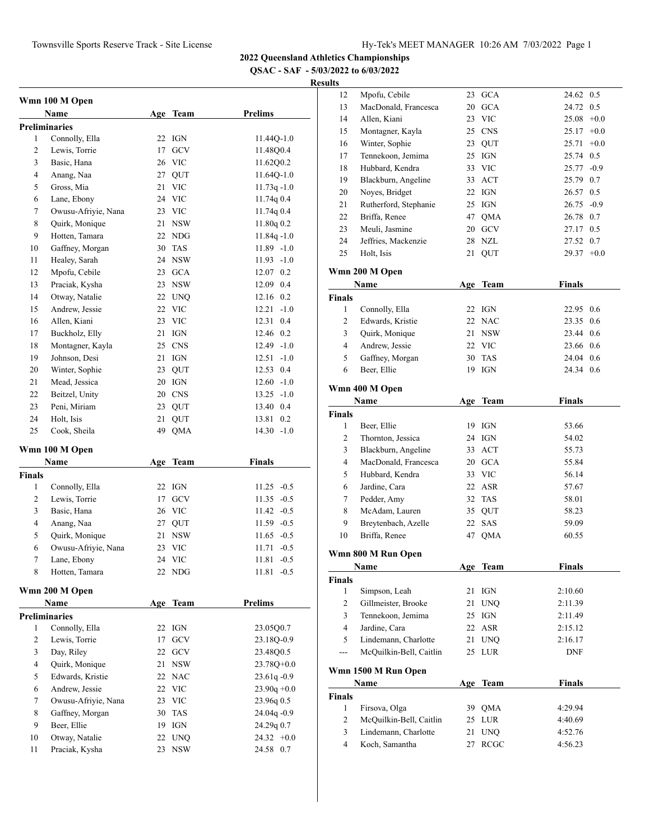**QSAC - SAF - 5/03/2022 to 6/03/2022**

|        | Wmn 100 M Open<br>Name                 |     | Age Team    | <b>Prelims</b>  |
|--------|----------------------------------------|-----|-------------|-----------------|
|        |                                        |     |             |                 |
| 1      | <b>Preliminaries</b><br>Connolly, Ella | 22  | IGN         | $11.44Q-1.0$    |
| 2      | Lewis, Torrie                          | 17  | GCV         | 11.48O0.4       |
| 3      | Basic, Hana                            |     | 26 VIC      | 11.62Q0.2       |
| 4      |                                        | 27  |             | 11.64Q-1.0      |
|        | Anang, Naa                             |     | QUT         |                 |
| 5      | Gross, Mia                             | 21  | <b>VIC</b>  | $11.73q - 1.0$  |
| 6      | Lane, Ebony                            |     | 24 VIC      | 11.74q0.4       |
| 7      | Owusu-Afriyie, Nana                    |     | 23 VIC      | 11.74q0.4       |
| 8      | Quirk, Monique                         | 21  | <b>NSW</b>  | 11.80q 0.2      |
| 9      | Hotten, Tamara                         |     | 22 NDG      | $11.84q - 1.0$  |
| 10     | Gaffney, Morgan                        | 30  | TAS         | $11.89 - 1.0$   |
| 11     | Healey, Sarah                          |     | 24 NSW      | 11.93<br>$-1.0$ |
| 12     | Mpofu, Cebile                          |     | 23 GCA      | 12.07 0.2       |
| 13     | Praciak, Kysha                         | 23  | <b>NSW</b>  | 12.09 0.4       |
| 14     | Otway, Natalie                         | 22  | <b>UNQ</b>  | 12.16 0.2       |
| 15     | Andrew, Jessie                         | 22  | <b>VIC</b>  | $-1.0$<br>12.21 |
| 16     | Allen, Kiani                           | 23  | VIC         | 0.4<br>12.31    |
| 17     | Buckholz, Elly                         | 21  | <b>IGN</b>  | 0.2<br>12.46    |
| 18     | Montagner, Kayla                       |     | 25 CNS      | $12.49 - 1.0$   |
| 19     | Johnson, Desi                          | 21  | IGN         | $-1.0$<br>12.51 |
| 20     | Winter, Sophie                         | 23  | <b>OUT</b>  | 0.4<br>12.53    |
| 21     | Mead, Jessica                          | 20  | IGN         | 12.60<br>$-1.0$ |
| 22     | Beitzel, Unity                         | 20  | <b>CNS</b>  | 13.25<br>$-1.0$ |
| 23     | Peni, Miriam                           | 23  | QUT         | 13.40 0.4       |
| 24     | Holt, Isis                             | 21  | QUT         | 0.2<br>13.81    |
| 25     | Cook, Sheila                           | 49  | QMA         | 14.30<br>$-1.0$ |
|        | Wmn 100 M Open                         |     |             |                 |
|        | Name                                   | Age | <b>Team</b> | Finals          |
| Finals |                                        |     |             |                 |
| 1      | Connolly, Ella                         | 22  | IGN         | $11.25 -0.5$    |
| 2      | Lewis, Torrie                          | 17  | GCV         | $-0.5$<br>11.35 |
| 3      | Basic, Hana                            |     | 26 VIC      | $-0.5$<br>11.42 |
| 4      | Anang, Naa                             | 27  | QUT         | $11.59 - 0.5$   |
| 5      | Quirk, Monique                         | 21  | NSW         | $-0.5$<br>11.65 |
| 6      | Owusu-Afriyie, Nana                    | 23  | <b>VIC</b>  | 11.71<br>$-0.5$ |
| 7      | Lane, Ebony                            |     | 24 VIC      | $11.81 - 0.5$   |
| 8      | Hotten, Tamara                         |     | 22 NDG      | $11.81 - 0.5$   |
|        | Wmn 200 M Open                         |     |             |                 |
|        | Name                                   | Age | <b>Team</b> | <b>Prelims</b>  |
|        | <b>Preliminaries</b>                   |     |             |                 |
| 1      | Connolly, Ella                         | 22  | IGN         | 23.05Q0.7       |
| 2      | Lewis, Torrie                          | 17  | GCV         | 23.18Q-0.9      |
| 3      | Day, Riley                             | 22  | GCV         | 23.48Q0.5       |
| 4      | Quirk, Monique                         | 21  | <b>NSW</b>  | 23.78Q+0.0      |
| 5      | Edwards, Kristie                       |     | 22 NAC      | $23.61q - 0.9$  |
| 6      | Andrew, Jessie                         |     | 22 VIC      | $23.90q +0.0$   |
| 7      | Owusu-Afriyie, Nana                    | 23  | <b>VIC</b>  | 23.96q 0.5      |
| 8      | Gaffney, Morgan                        | 30  | TAS         | $24.04q - 0.9$  |
| 9      | Beer, Ellie                            | 19  | IGN         | 24.29q 0.7      |
| 10     | Otway, Natalie                         |     | 22 UNQ      | $24.32 +0.0$    |
| 11     | Praciak, Kysha                         |     | 23 NSW      | 24.58 0.7       |
|        |                                        |     |             |                 |

| 12                     | Mpofu, Cebile                          | 23         | <b>GCA</b>   | 24.62              | 0.5    |
|------------------------|----------------------------------------|------------|--------------|--------------------|--------|
| 13                     | MacDonald, Francesca                   | 20         | <b>GCA</b>   | 24.72 0.5          |        |
| 14                     | Allen, Kiani                           |            | 23 VIC       | $25.08 + 0.0$      |        |
| 15                     | Montagner, Kayla                       |            | 25 CNS       | $25.17 +0.0$       |        |
| 16                     | Winter, Sophie                         |            | 23 QUT       | 25.71              | $+0.0$ |
| 17                     | Tennekoon, Jemima                      |            | 25 IGN       | 25.74 0.5          |        |
| 18                     | Hubbard, Kendra                        |            | 33 VIC       | 25.77 -0.9         |        |
| 19                     | Blackburn, Angeline                    |            | 33 ACT       | 25.79 0.7          |        |
| 20                     | Noyes, Bridget                         |            | 22 IGN       | 26.57 0.5          |        |
| 21                     | Rutherford, Stephanie                  |            | 25 IGN       | $26.75 -0.9$       |        |
| 22                     | Briffa, Renee                          |            | 47 QMA       | 26.78 0.7          |        |
| 23                     | Meuli, Jasmine                         |            | 20 GCV       | 27.17 0.5          |        |
| 24                     | Jeffries, Mackenzie                    |            | 28 NZL       | 27.52 0.7          |        |
| 25                     | Holt, Isis                             | 21         | QUT          | $29.37 +0.0$       |        |
|                        |                                        |            |              |                    |        |
|                        | Wmn 200 M Open                         |            |              |                    |        |
|                        | Name                                   | Age        | <b>Team</b>  | <b>Finals</b>      |        |
| <b>Finals</b>          |                                        |            |              |                    |        |
| 1                      | Connolly, Ella                         |            | 22 IGN       | 22.95 0.6          |        |
| 2                      | Edwards, Kristie                       |            | 22 NAC       | 23.35 0.6          |        |
| 3                      | Quirk, Monique                         |            | 21 NSW       | 23.44 0.6          |        |
| $\overline{4}$         | Andrew, Jessie                         |            | 22 VIC       | 23.66 0.6          |        |
| 5                      | Gaffney, Morgan                        |            | 30 TAS       | 24.04 0.6          |        |
| 6                      | Beer, Ellie                            |            | 19 IGN       | 24.34 0.6          |        |
|                        |                                        |            |              |                    |        |
|                        | Wmn 400 M Open                         |            |              |                    |        |
|                        | Name                                   | Age        | <b>Team</b>  | Finals             |        |
| <b>Finals</b>          |                                        |            |              |                    |        |
| 1                      | Beer, Ellie                            |            | 19 IGN       | 53.66              |        |
|                        |                                        |            | 24 IGN       | 54.02              |        |
| 2                      | Thornton, Jessica                      |            |              |                    |        |
| 3                      | Blackburn, Angeline                    |            | 33 ACT       | 55.73              |        |
| 4                      | MacDonald, Francesca                   |            | 20 GCA       | 55.84              |        |
| 5                      | Hubbard, Kendra                        |            | 33 VIC       | 56.14              |        |
| 6                      | Jardine, Cara                          |            | 22 ASR       | 57.67              |        |
| 7                      | Pedder, Amy                            |            | 32 TAS       | 58.01              |        |
| 8                      | McAdam, Lauren                         |            | 35 QUT       | 58.23              |        |
| 9                      | Breytenbach, Azelle                    |            | 22 SAS       | 59.09              |        |
| 10                     | Briffa, Renee                          | 47         | QMA          | 60.55              |        |
|                        |                                        |            |              |                    |        |
|                        | Wmn 800 M Run Open                     |            |              |                    |        |
|                        | <u>Name</u>                            | <u>Age</u> | <b>Team</b>  | <b>Finals</b>      |        |
| Finals                 |                                        |            |              |                    |        |
| 1                      | Simpson, Leah                          | 21         | IGN          | 2:10.60            |        |
| 2                      | Gillmeister, Brooke                    | 21         | <b>UNQ</b>   | 2:11.39            |        |
| 3                      | Tennekoon, Jemima                      |            | 25 IGN       | 2:11.49            |        |
| $\overline{4}$         | Jardine, Cara                          |            | 22 ASR       | 2:15.12            |        |
| 5                      | Lindemann, Charlotte                   | 21         | <b>UNQ</b>   | 2:16.17            |        |
| $---$                  | McQuilkin-Bell, Caitlin                | 25         | LUR          | <b>DNF</b>         |        |
|                        | Wmn 1500 M Run Open                    |            |              |                    |        |
|                        | Name                                   |            |              |                    |        |
|                        |                                        |            | Age Team     | <b>Finals</b>      |        |
| Finals<br>$\mathbf{1}$ |                                        | 39         |              |                    |        |
|                        | Firsova, Olga                          |            | <b>QMA</b>   | 4:29.94            |        |
| $\overline{c}$         | McQuilkin-Bell, Caitlin                |            | 25 LUR       | 4:40.69            |        |
| 3<br>$\overline{4}$    | Lindemann, Charlotte<br>Koch, Samantha | 21<br>27   | UNQ.<br>RCGC | 4:52.76<br>4:56.23 |        |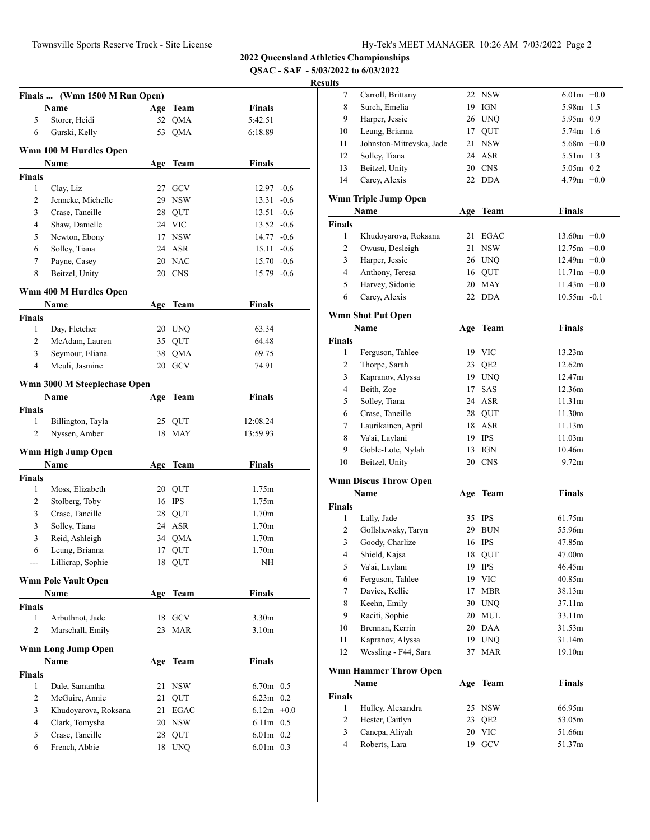**QSAC - SAF - 5/03/2022 to 6/03/2022**

# **Resul**

|                | Finals  (Wmn 1500 M Run Open)<br>Name |    | Age Team   | <b>Finals</b>     |        |
|----------------|---------------------------------------|----|------------|-------------------|--------|
| 5              | Storer, Heidi                         |    | 52 QMA     | 5:42.51           |        |
| 6              | Gurski, Kelly                         | 53 | QMA        | 6:18.89           |        |
|                |                                       |    |            |                   |        |
|                | Wmn 100 M Hurdles Open                |    |            |                   |        |
|                | Name                                  |    | Age Team   | <b>Finals</b>     |        |
| <b>Finals</b>  |                                       |    |            |                   |        |
| 1              | Clay, Liz                             |    | 27 GCV     | $12.97 -0.6$      |        |
| 2              | Jenneke, Michelle                     |    | 29 NSW     | 13.31             | $-0.6$ |
| 3              | Crase, Taneille                       |    | 28 QUT     | $13.51 - 0.6$     |        |
| 4              | Shaw, Danielle                        |    | 24 VIC     | $13.52 -0.6$      |        |
| 5              | Newton, Ebony                         |    | 17 NSW     | $14.77 - 0.6$     |        |
| 6              | Solley, Tiana                         |    | 24 ASR     | $15.11 - 0.6$     |        |
| 7              | Payne, Casey                          |    | 20 NAC     | $15.70 -0.6$      |        |
| 8              | Beitzel, Unity                        |    | 20 CNS     | $15.79 - 0.6$     |        |
|                | Wmn 400 M Hurdles Open                |    |            |                   |        |
|                | Name                                  |    | Age Team   | Finals            |        |
| <b>Finals</b>  |                                       |    |            |                   |        |
| 1              | Day, Fletcher                         |    | 20 UNO     | 63.34             |        |
| 2              | McAdam, Lauren                        |    | 35 QUT     | 64.48             |        |
| 3              | Seymour, Eliana                       | 38 | <b>QMA</b> | 69.75             |        |
| $\overline{4}$ | Meuli, Jasmine                        | 20 | GCV        | 74.91             |        |
|                | Wmn 3000 M Steeplechase Open          |    |            |                   |        |
|                | Name                                  |    | Age Team   | Finals            |        |
| <b>Finals</b>  |                                       |    |            |                   |        |
| 1              | Billington, Tayla                     |    | 25 QUT     | 12:08.24          |        |
| 2              | Nyssen, Amber                         | 18 | <b>MAY</b> | 13:59.93          |        |
|                | Wmn High Jump Open                    |    |            |                   |        |
|                | Name                                  |    | Age Team   | <b>Finals</b>     |        |
| <b>Finals</b>  |                                       |    |            |                   |        |
| 1              | Moss, Elizabeth                       |    | 20 QUT     | 1.75m             |        |
| 2              | Stolberg, Toby                        |    | 16 IPS     | 1.75m             |        |
| 3              | Crase, Taneille                       |    | 28 QUT     | 1.70 <sub>m</sub> |        |
| 3              | Solley, Tiana                         |    | 24 ASR     | 1.70 <sub>m</sub> |        |
| 3              | Reid, Ashleigh                        |    | 34 QMA     | 1.70 <sub>m</sub> |        |
| 6              | Leung, Brianna                        | 17 | QUT        | 1.70m             |        |
|                | Lillicrap, Sophie                     |    | 18 QUT     | NΗ                |        |
|                | <b>Wmn Pole Vault Open</b>            |    |            |                   |        |
|                | Name                                  |    | Age Team   | <b>Finals</b>     |        |
| <b>Finals</b>  |                                       |    |            |                   |        |
| 1              | Arbuthnot, Jade                       |    | 18 GCV     | 3.30 <sub>m</sub> |        |
| $\overline{c}$ | Marschall, Emily                      | 23 | <b>MAR</b> | 3.10 <sub>m</sub> |        |
|                | Wmn Long Jump Open                    |    |            |                   |        |
|                | Name                                  |    | Age Team   | Finals            |        |
| <b>Finals</b>  |                                       |    |            |                   |        |
| $\mathbf{1}$   | Dale, Samantha                        | 21 | <b>NSW</b> | $6.70m$ 0.5       |        |
| 2              | McGuire, Annie                        | 21 | QUT        | $6.23m$ 0.2       |        |
| 3              | Khudoyarova, Roksana                  | 21 | EGAC       | $6.12m + 0.0$     |        |
|                |                                       |    |            |                   |        |
| 4              | Clark, Tomysha                        |    | 20 NSW     | 6.11m 0.5         |        |
| 5              | Crase, Taneille                       | 28 | QUT        | $6.01m$ 0.2       |        |

| sults          |                              |     |                 |                |  |
|----------------|------------------------------|-----|-----------------|----------------|--|
| 7              | Carroll, Brittany            |     | 22 NSW          | $6.01m + 0.0$  |  |
| 8              | Surch, Emelia                |     | 19 IGN          | 5.98m 1.5      |  |
| 9              | Harper, Jessie               |     | 26 UNQ          | 5.95m 0.9      |  |
| 10             | Leung, Brianna               |     | 17 QUT          | 5.74m 1.6      |  |
| 11             | Johnston-Mitrevska, Jade     |     | 21 NSW          | $5.68m + 0.0$  |  |
| 12             | Solley, Tiana                |     | 24 ASR          | 5.51m 1.3      |  |
| 13             | Beitzel, Unity               |     | 20 CNS          | $5.05m$ 0.2    |  |
| 14             | Carey, Alexis                |     | 22 DDA          | $4.79m +0.0$   |  |
|                | Wmn Triple Jump Open         |     |                 | <b>Finals</b>  |  |
| <b>Finals</b>  | Name                         |     | Age Team        |                |  |
| $\mathbf{1}$   | Khudoyarova, Roksana         |     | 21 EGAC         | $13.60m +0.0$  |  |
| 2              | Owusu, Desleigh              |     | 21 NSW          | $12.75m +0.0$  |  |
| 3              | Harper, Jessie               |     | 26 UNQ          | $12.49m + 0.0$ |  |
| 4              | Anthony, Teresa              |     | 16 QUT          | $11.71m +0.0$  |  |
| 5              | Harvey, Sidonie              |     | 20 MAY          | $11.43m +0.0$  |  |
| 6              | Carey, Alexis                |     | 22 DDA          | $10.55m - 0.1$ |  |
|                |                              |     |                 |                |  |
|                | <b>Wmn Shot Put Open</b>     |     |                 |                |  |
|                | Name                         | Age | Team            | <b>Finals</b>  |  |
| <b>Finals</b>  |                              |     |                 |                |  |
| 1              | Ferguson, Tahlee             |     | 19 VIC          | 13.23m         |  |
| 2              | Thorpe, Sarah                |     | 23 QE2          | 12.62m         |  |
| 3              | Kapranov, Alyssa             |     | 19 UNQ          | 12.47m         |  |
| 4              | Beith, Zoe                   | 17  | SAS             | 12.36m         |  |
| 5              | Solley, Tiana                |     | 24 ASR          | 11.31m         |  |
| 6              | Crase, Taneille              |     | 28 QUT          | 11.30m         |  |
| 7              | Laurikainen, April           |     | 18 ASR          | 11.13m         |  |
| 8              | Va'ai, Laylani               |     | 19 IPS          | 11.03m         |  |
| 9              | Goble-Lote, Nylah            |     | 13 IGN          | 10.46m         |  |
| 10             | Beitzel, Unity               |     | 20 CNS          | 9.72m          |  |
|                | <b>Wmn Discus Throw Open</b> |     |                 |                |  |
|                | Name                         |     | Age Team        | <b>Finals</b>  |  |
| <b>Finals</b>  |                              |     |                 |                |  |
| 1              | Lally, Jade                  |     | 35 IPS          | 61.75m         |  |
| 2              | Gollshewsky, Taryn           |     | 29 BUN          | 55.96m         |  |
| 3              | Goody, Charlize              |     | 16 IPS          | 47.85m         |  |
| 4              | Shield, Kajsa                |     | 18 QUT          | 47.00m         |  |
| 5              | Va'ai, Laylani               |     | 19 IPS          | 46.45m         |  |
| 6              | Ferguson, Tahlee             | 19  | <b>VIC</b>      | 40.85m         |  |
| 7              | Davies, Kellie               | 17  | <b>MBR</b>      | 38.13m         |  |
| 8              | Keehn, Emily                 | 30  | <b>UNQ</b>      | 37.11m         |  |
| 9              | Raciti, Sophie               | 20  | MUL             | 33.11m         |  |
| 10             | Brennan, Kerrin              | 20  | DAA             | 31.53m         |  |
| 11             | Kapranov, Alyssa             | 19  | UNQ             | 31.14m         |  |
| 12             | Wessling - F44, Sara         | 37  | MAR             | 19.10m         |  |
|                | <b>Wmn Hammer Throw Open</b> |     |                 |                |  |
|                | Name                         |     | Age Team        | <b>Finals</b>  |  |
| <b>Finals</b>  |                              |     |                 |                |  |
| $\mathbf{1}$   | Hulley, Alexandra            | 25  | <b>NSW</b>      | 66.95m         |  |
| $\overline{c}$ | Hester, Caitlyn              | 23  | QE <sub>2</sub> | 53.05m         |  |
| 3              | Canepa, Aliyah               | 20  | VIC             | 51.66m         |  |
| 4              | Roberts, Lara                | 19  | GCV             | 51.37m         |  |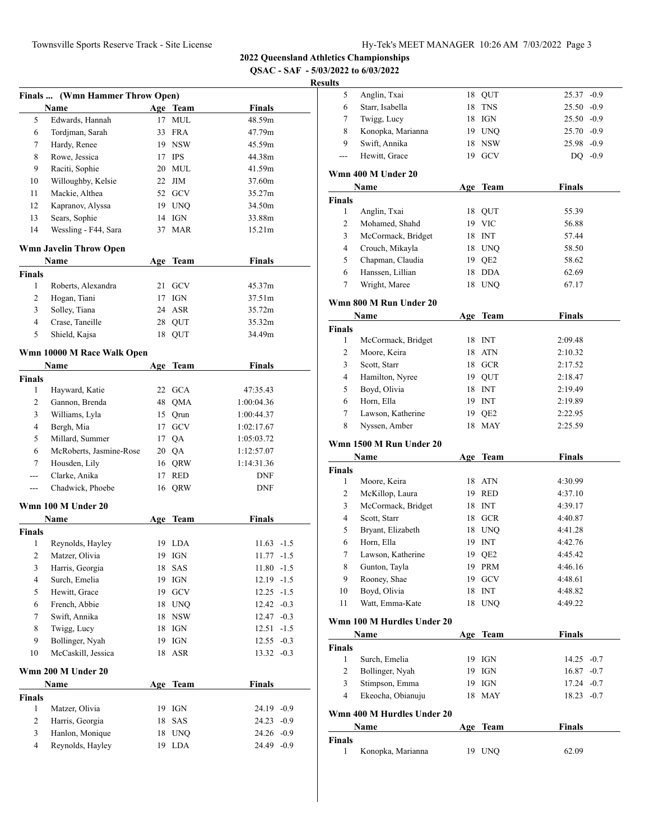**QSAC - SAF - 5/03/2022 to 6/03/2022**

|                | Finals  (Wmn Hammer Throw Open) |     |             |               |        |
|----------------|---------------------------------|-----|-------------|---------------|--------|
|                | Name                            |     | Age Team    | <b>Finals</b> |        |
| 5              | Edwards, Hannah                 | 17  | MUL         | 48.59m        |        |
| 6              | Tordjman, Sarah                 |     | 33 FRA      | 47.79m        |        |
| 7              | Hardy, Renee                    |     | 19 NSW      | 45.59m        |        |
| 8              | Rowe, Jessica                   |     | 17 IPS      | 44.38m        |        |
| 9              | Raciti, Sophie                  |     | 20 MUL      | 41.59m        |        |
| 10             | Willoughby, Kelsie              |     | $22$ JIM    | 37.60m        |        |
| 11             | Mackie, Althea                  |     | 52 GCV      | 35.27m        |        |
| 12             | Kapranov, Alyssa                |     | 19 UNQ      | 34.50m        |        |
| 13             | Sears, Sophie                   |     | 14 IGN      | 33.88m        |        |
| 14             | Wessling - F44, Sara            | 37  | <b>MAR</b>  | 15.21m        |        |
|                | Wmn Javelin Throw Open          |     |             |               |        |
|                | Name                            | Age | <b>Team</b> | <b>Finals</b> |        |
| <b>Finals</b>  |                                 |     |             |               |        |
| 1              | Roberts, Alexandra              | 21  | <b>GCV</b>  | 45.37m        |        |
| 2              | Hogan, Tiani                    |     | $17$ IGN    | 37.51m        |        |
| 3              | Solley, Tiana                   |     | 24 ASR      | 35.72m        |        |
| 4              | Crase, Taneille                 |     | 28 QUT      | 35.32m        |        |
| 5              | Shield, Kajsa                   |     | 18 QUT      | 34.49m        |        |
|                |                                 |     |             |               |        |
|                | Wmn 10000 M Race Walk Open      |     |             |               |        |
|                | Name                            |     | Age Team    | <b>Finals</b> |        |
| <b>Finals</b>  |                                 |     |             |               |        |
| 1              | Hayward, Katie                  |     | 22 GCA      | 47:35.43      |        |
| 2              | Gannon, Brenda                  |     | 48 QMA      | 1:00:04.36    |        |
| 3              | Williams, Lyla                  |     | 15 Qrun     | 1:00:44.37    |        |
| 4              | Bergh, Mia                      |     | 17 GCV      | 1:02:17.67    |        |
| 5              | Millard, Summer                 |     | 17 QA       | 1:05:03.72    |        |
| 6              | McRoberts, Jasmine-Rose         |     | 20 QA       | 1:12:57.07    |        |
| 7              | Housden, Lily                   |     | 16 QRW      | 1:14:31.36    |        |
|                | Clarke, Anika                   |     | 17 RED      | <b>DNF</b>    |        |
| ---            | Chadwick, Phoebe                |     | 16 QRW      | DNF           |        |
|                | Wmn 100 M Under 20              |     |             |               |        |
|                | Name                            | Age | <b>Team</b> | <b>Finals</b> |        |
| <b>Finals</b>  |                                 |     |             |               |        |
| 1              | Reynolds, Hayley                |     | 19 LDA      | 11.63         | $-1.5$ |
| $\overline{c}$ | Matzer, Olivia                  |     | 19 IGN      | $11.77 - 1.5$ |        |
| 3              | Harris, Georgia                 | 18  | SAS         | 11.80         | $-1.5$ |
| 4              | Surch, Emelia                   | 19  | IGN         | 12.19         | $-1.5$ |
| 5              | Hewitt, Grace                   | 19  | ${\rm GCV}$ | 12.25         | $-1.5$ |
| 6              | French, Abbie                   | 18  | <b>UNQ</b>  | $12.42 -0.3$  |        |
| 7              | Swift, Annika                   | 18  | <b>NSW</b>  | $12.47 -0.3$  |        |
| 8              | Twigg, Lucy                     | 18  | IGN         | 12.51         | $-1.5$ |
| 9              | Bollinger, Nyah                 | 19  | IGN         | $12.55 -0.3$  |        |
| 10             | McCaskill, Jessica              | 18  | ASR         | $13.32 -0.3$  |        |
|                | Wmn 200 M Under 20              |     |             |               |        |
|                | Name                            | Age | <b>Team</b> | <b>Finals</b> |        |
| <b>Finals</b>  |                                 |     |             |               |        |
| $\mathbf{1}$   | Matzer, Olivia                  | 19  | IGN         | 24.19         | $-0.9$ |
| 2              | Harris, Georgia                 | 18  | SAS         | 24.23         | $-0.9$ |
| 3              | Hanlon, Monique                 | 18  | <b>UNQ</b>  | 24.26         | $-0.9$ |
| 4              | Reynolds, Hayley                | 19  | LDA         | 24.49         | $-0.9$ |
|                |                                 |     |             |               |        |

| uus           |                            |     |                 |               |        |
|---------------|----------------------------|-----|-----------------|---------------|--------|
| 5             | Anglin, Txai               |     | 18 QUT          | $25.37 -0.9$  |        |
| 6             | Starr, Isabella            | 18  | <b>TNS</b>      | 25.50         | $-0.9$ |
| 7             | Twigg, Lucy                |     | 18 IGN          | $25.50 -0.9$  |        |
| 8             | Konopka, Marianna          |     | 19 UNQ          | 25.70         | $-0.9$ |
| 9             | Swift, Annika              |     | 18 NSW          | $25.98 - 0.9$ |        |
| ---           | Hewitt, Grace              |     | 19 GCV          | $DQ - 0.9$    |        |
|               | Wmn 400 M Under 20         |     |                 |               |        |
|               | Name                       |     | Age Team        | <b>Finals</b> |        |
| <b>Finals</b> |                            |     |                 |               |        |
| 1             | Anglin, Txai               |     | 18 QUT          | 55.39         |        |
| 2             | Mohamed, Shahd             |     | 19 VIC          | 56.88         |        |
| 3             | McCormack, Bridget         |     | 18 INT          | 57.44         |        |
| 4             | Crouch, Mikayla            |     | 18 UNQ          | 58.50         |        |
| 5             | Chapman, Claudia           |     | 19 QE2          | 58.62         |        |
| 6             | Hanssen, Lillian           |     | 18 DDA          | 62.69         |        |
| 7             | Wright, Maree              | 18  | UNQ             | 67.17         |        |
|               |                            |     |                 |               |        |
|               | Wmn 800 M Run Under 20     |     |                 |               |        |
|               | Name                       |     | Age Team        | Finals        |        |
| <b>Finals</b> |                            |     |                 |               |        |
| $\mathbf{1}$  | McCormack, Bridget         |     | 18 INT          | 2:09.48       |        |
| 2             | Moore, Keira               |     | 18 ATN          | 2:10.32       |        |
| 3             | Scott, Starr               |     | 18 GCR          | 2:17.52       |        |
| 4             | Hamilton, Nyree            |     | 19 QUT          | 2:18.47       |        |
| 5             | Boyd, Olivia               |     | 18 INT          | 2:19.49       |        |
| 6             | Horn, Ella                 |     | 19 INT          | 2:19.89       |        |
| 7             | Lawson, Katherine          |     | 19 QE2          | 2:22.95       |        |
| 8             | Nyssen, Amber              | 18  | <b>MAY</b>      | 2:25.59       |        |
|               | Wmn 1500 M Run Under 20    |     |                 |               |        |
|               | Name                       |     | Age Team        | <b>Finals</b> |        |
| <b>Finals</b> |                            |     |                 |               |        |
| 1             | Moore, Keira               |     | 18 ATN          | 4:30.99       |        |
| 2             | McKillop, Laura            |     | 19 RED          | 4:37.10       |        |
| 3             | McCormack, Bridget         |     | 18 INT          | 4:39.17       |        |
| 4             | Scott, Starr               |     | 18 GCR          | 4:40.87       |        |
| 5             | Bryant, Elizabeth          |     | 18 UNQ          | 4:41.28       |        |
| 6             | Horn, Ella                 | 19  | <b>INT</b>      | 4:42.76       |        |
| 7             | Lawson, Katherine          | 19  | QE <sub>2</sub> | 4:45.42       |        |
| 8             | Gunton, Tayla              | 19  | PRM             | 4:46.16       |        |
| 9             | Rooney, Shae               | 19  | GCV             | 4:48.61       |        |
| 10            | Boyd, Olivia               | 18  | <b>INT</b>      | 4:48.82       |        |
| 11            | Watt, Emma-Kate            | 18  | UNQ             | 4:49.22       |        |
|               | Wmn 100 M Hurdles Under 20 |     |                 |               |        |
|               | Name                       |     | Age Team        | <b>Finals</b> |        |
| Finals        |                            |     |                 |               |        |
| 1             | Surch, Emelia              | 19  | IGN             | 14.25 -0.7    |        |
| 2             | Bollinger, Nyah            | 19  | IGN             | 16.87         | $-0.7$ |
| 3             | Stimpson, Emma             | 19  | IGN             | 17.24         | $-0.7$ |
| 4             | Ekeocha, Obianuju          | 18  | MAY             | $18.23 - 0.7$ |        |
|               |                            |     |                 |               |        |
|               | Wmn 400 M Hurdles Under 20 |     |                 |               |        |
|               | Name                       | Age | <b>Team</b>     | <b>Finals</b> |        |
| <b>Finals</b> |                            |     |                 |               |        |
| 1             | Konopka, Marianna          | 19  | <b>UNQ</b>      | 62.09         |        |
|               |                            |     |                 |               |        |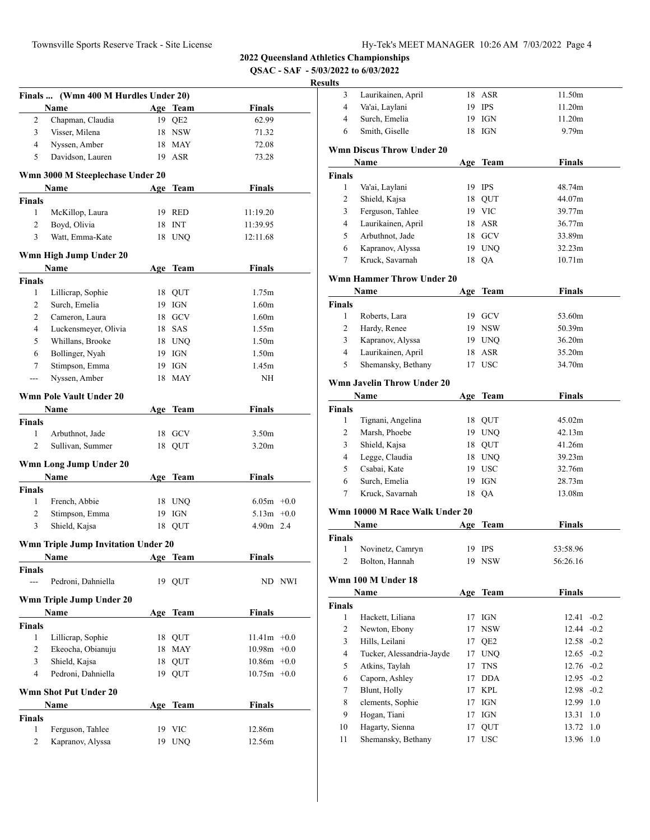**QSAC - SAF - 5/03/2022 to 6/03/2022**

# **Resul**

|                          | Finals  (Wmn 400 M Hurdles Under 20)       |     |            |                   |        |
|--------------------------|--------------------------------------------|-----|------------|-------------------|--------|
|                          | Name                                       |     | Age Team   | <b>Finals</b>     |        |
| 2                        | Chapman, Claudia                           |     | 19 QE2     | 62.99             |        |
| 3                        | Visser, Milena                             |     | 18 NSW     | 71.32             |        |
| $\overline{4}$           | Nyssen, Amber                              |     | 18 MAY     | 72.08             |        |
| 5                        | Davidson, Lauren                           |     | 19 ASR     | 73.28             |        |
|                          |                                            |     |            |                   |        |
|                          | Wmn 3000 M Steeplechase Under 20           |     |            |                   |        |
|                          | Name                                       |     | Age Team   | <b>Finals</b>     |        |
| <b>Finals</b>            |                                            |     |            |                   |        |
| 1                        | McKillop, Laura                            |     | 19 RED     | 11:19.20          |        |
| 2                        | Boyd, Olivia                               |     | 18 INT     | 11:39.95          |        |
| 3                        | Watt, Emma-Kate                            |     | 18 UNQ     | 12:11.68          |        |
|                          | Wmn High Jump Under 20                     |     |            |                   |        |
|                          | Name                                       |     | Age Team   | <b>Finals</b>     |        |
| <b>Finals</b>            |                                            |     |            |                   |        |
| 1                        | Lillicrap, Sophie                          |     | 18 QUT     | 1.75m             |        |
| 2                        | Surch, Emelia                              |     | 19 IGN     | 1.60 <sub>m</sub> |        |
| 2                        | Cameron, Laura                             |     | 18 GCV     | 1.60 <sub>m</sub> |        |
| $\overline{4}$           | Luckensmeyer, Olivia                       |     | 18 SAS     | 1.55m             |        |
| 5                        | Whillans, Brooke                           |     | 18 UNO     | 1.50 <sub>m</sub> |        |
| 6                        | Bollinger, Nyah                            |     | 19 IGN     | 1.50 <sub>m</sub> |        |
| 7                        | Stimpson, Emma                             |     | 19 IGN     | 1.45m             |        |
| ---                      | Nyssen, Amber                              |     | 18 MAY     | NH                |        |
|                          |                                            |     |            |                   |        |
|                          | Wmn Pole Vault Under 20                    |     |            |                   |        |
|                          | Name                                       | Age | Team       | <b>Finals</b>     |        |
| <b>Finals</b>            |                                            |     |            |                   |        |
| 1                        | Arbuthnot, Jade                            |     | 18 GCV     | 3.50 <sub>m</sub> |        |
| $\overline{c}$           | Sullivan, Summer                           |     | 18 QUT     | 3.20 <sub>m</sub> |        |
|                          | Wmn Long Jump Under 20                     |     |            |                   |        |
|                          | Name                                       |     | Age Team   | <b>Finals</b>     |        |
| Finals                   |                                            |     |            |                   |        |
| 1                        | French, Abbie                              |     | 18 UNQ     | $6.05m + 0.0$     |        |
| 2                        | Stimpson, Emma                             |     | 19 IGN     | $5.13m +0.0$      |        |
| 3                        | Shield, Kajsa                              |     | 18 QUT     | $4.90m$ 2.4       |        |
|                          |                                            |     |            |                   |        |
|                          | <b>Wmn Triple Jump Invitation Under 20</b> |     |            |                   |        |
|                          | <b>Name</b>                                |     | Age Team   | Finals            |        |
| Finals<br>$\overline{a}$ | Pedroni, Dahniella                         |     | 19 OUT     |                   | ND NWI |
|                          |                                            |     |            |                   |        |
|                          | Wmn Triple Jump Under 20                   |     |            |                   |        |
|                          | Name                                       | Age | Team       | <b>Finals</b>     |        |
| Finals                   |                                            |     |            |                   |        |
| 1                        | Lillicrap, Sophie                          |     | 18 QUT     | $11.41m +0.0$     |        |
| $\overline{c}$           | Ekeocha, Obianuju                          | 18  | MAY        | $10.98m + 0.0$    |        |
| 3                        | Shield, Kajsa                              | 18  | QUT        | $10.86m + 0.0$    |        |
| $\overline{4}$           | Pedroni, Dahniella                         |     | 19 QUT     | $10.75m + 0.0$    |        |
|                          | <b>Wmn Shot Put Under 20</b>               |     |            |                   |        |
|                          | Name                                       | Age | Team       | <b>Finals</b>     |        |
| <b>Finals</b>            |                                            |     |            |                   |        |
| 1                        | Ferguson, Tahlee                           | 19  | <b>VIC</b> | 12.86m            |        |
| 2                        | Kapranov, Alyssa                           | 19  | <b>UNQ</b> | 12.56m            |        |
|                          |                                            |     |            |                   |        |

| Laurikainen, April               |                                                                                                                                                                                                                                                                                                                                                                                                                                                         |                                                                                | 11.50m                                                                                                                                                                                                                                                                                                                                 |
|----------------------------------|---------------------------------------------------------------------------------------------------------------------------------------------------------------------------------------------------------------------------------------------------------------------------------------------------------------------------------------------------------------------------------------------------------------------------------------------------------|--------------------------------------------------------------------------------|----------------------------------------------------------------------------------------------------------------------------------------------------------------------------------------------------------------------------------------------------------------------------------------------------------------------------------------|
| Va'ai, Laylani                   |                                                                                                                                                                                                                                                                                                                                                                                                                                                         |                                                                                | 11.20m                                                                                                                                                                                                                                                                                                                                 |
| Surch, Emelia                    |                                                                                                                                                                                                                                                                                                                                                                                                                                                         |                                                                                | 11.20m                                                                                                                                                                                                                                                                                                                                 |
| Smith, Giselle                   | 18                                                                                                                                                                                                                                                                                                                                                                                                                                                      | IGN                                                                            | 9.79 <sub>m</sub>                                                                                                                                                                                                                                                                                                                      |
| <b>Wmn Discus Throw Under 20</b> |                                                                                                                                                                                                                                                                                                                                                                                                                                                         |                                                                                |                                                                                                                                                                                                                                                                                                                                        |
| Name                             |                                                                                                                                                                                                                                                                                                                                                                                                                                                         |                                                                                | <b>Finals</b>                                                                                                                                                                                                                                                                                                                          |
|                                  |                                                                                                                                                                                                                                                                                                                                                                                                                                                         |                                                                                |                                                                                                                                                                                                                                                                                                                                        |
| Va'ai, Laylani                   |                                                                                                                                                                                                                                                                                                                                                                                                                                                         |                                                                                | 48.74m                                                                                                                                                                                                                                                                                                                                 |
| Shield, Kajsa                    |                                                                                                                                                                                                                                                                                                                                                                                                                                                         |                                                                                | 44.07m                                                                                                                                                                                                                                                                                                                                 |
|                                  |                                                                                                                                                                                                                                                                                                                                                                                                                                                         |                                                                                | 39.77m                                                                                                                                                                                                                                                                                                                                 |
|                                  |                                                                                                                                                                                                                                                                                                                                                                                                                                                         |                                                                                | 36.77m                                                                                                                                                                                                                                                                                                                                 |
| Arbuthnot, Jade                  |                                                                                                                                                                                                                                                                                                                                                                                                                                                         |                                                                                | 33.89m                                                                                                                                                                                                                                                                                                                                 |
|                                  |                                                                                                                                                                                                                                                                                                                                                                                                                                                         |                                                                                | 32.23m                                                                                                                                                                                                                                                                                                                                 |
| Kruck, Savarnah                  |                                                                                                                                                                                                                                                                                                                                                                                                                                                         |                                                                                | 10.71m                                                                                                                                                                                                                                                                                                                                 |
|                                  |                                                                                                                                                                                                                                                                                                                                                                                                                                                         |                                                                                |                                                                                                                                                                                                                                                                                                                                        |
| Name                             |                                                                                                                                                                                                                                                                                                                                                                                                                                                         |                                                                                | <b>Finals</b>                                                                                                                                                                                                                                                                                                                          |
|                                  |                                                                                                                                                                                                                                                                                                                                                                                                                                                         |                                                                                |                                                                                                                                                                                                                                                                                                                                        |
| Roberts, Lara                    |                                                                                                                                                                                                                                                                                                                                                                                                                                                         |                                                                                | 53.60m                                                                                                                                                                                                                                                                                                                                 |
|                                  |                                                                                                                                                                                                                                                                                                                                                                                                                                                         |                                                                                | 50.39m                                                                                                                                                                                                                                                                                                                                 |
|                                  |                                                                                                                                                                                                                                                                                                                                                                                                                                                         |                                                                                | 36.20m                                                                                                                                                                                                                                                                                                                                 |
|                                  |                                                                                                                                                                                                                                                                                                                                                                                                                                                         |                                                                                | 35.20m                                                                                                                                                                                                                                                                                                                                 |
| Shemansky, Bethany               |                                                                                                                                                                                                                                                                                                                                                                                                                                                         |                                                                                | 34.70m                                                                                                                                                                                                                                                                                                                                 |
|                                  |                                                                                                                                                                                                                                                                                                                                                                                                                                                         |                                                                                |                                                                                                                                                                                                                                                                                                                                        |
|                                  |                                                                                                                                                                                                                                                                                                                                                                                                                                                         |                                                                                | <b>Finals</b>                                                                                                                                                                                                                                                                                                                          |
|                                  |                                                                                                                                                                                                                                                                                                                                                                                                                                                         |                                                                                |                                                                                                                                                                                                                                                                                                                                        |
|                                  |                                                                                                                                                                                                                                                                                                                                                                                                                                                         |                                                                                | 45.02m                                                                                                                                                                                                                                                                                                                                 |
|                                  |                                                                                                                                                                                                                                                                                                                                                                                                                                                         |                                                                                | 42.13m                                                                                                                                                                                                                                                                                                                                 |
|                                  |                                                                                                                                                                                                                                                                                                                                                                                                                                                         |                                                                                | 41.26m                                                                                                                                                                                                                                                                                                                                 |
|                                  |                                                                                                                                                                                                                                                                                                                                                                                                                                                         |                                                                                | 39.23m                                                                                                                                                                                                                                                                                                                                 |
|                                  |                                                                                                                                                                                                                                                                                                                                                                                                                                                         |                                                                                | 32.76m                                                                                                                                                                                                                                                                                                                                 |
|                                  |                                                                                                                                                                                                                                                                                                                                                                                                                                                         |                                                                                | 28.73m                                                                                                                                                                                                                                                                                                                                 |
|                                  |                                                                                                                                                                                                                                                                                                                                                                                                                                                         |                                                                                | 13.08m                                                                                                                                                                                                                                                                                                                                 |
|                                  |                                                                                                                                                                                                                                                                                                                                                                                                                                                         |                                                                                |                                                                                                                                                                                                                                                                                                                                        |
|                                  |                                                                                                                                                                                                                                                                                                                                                                                                                                                         |                                                                                |                                                                                                                                                                                                                                                                                                                                        |
|                                  |                                                                                                                                                                                                                                                                                                                                                                                                                                                         |                                                                                | <b>Finals</b>                                                                                                                                                                                                                                                                                                                          |
|                                  |                                                                                                                                                                                                                                                                                                                                                                                                                                                         |                                                                                | 53:58.96                                                                                                                                                                                                                                                                                                                               |
|                                  |                                                                                                                                                                                                                                                                                                                                                                                                                                                         |                                                                                | 56:26.16                                                                                                                                                                                                                                                                                                                               |
|                                  |                                                                                                                                                                                                                                                                                                                                                                                                                                                         |                                                                                |                                                                                                                                                                                                                                                                                                                                        |
|                                  |                                                                                                                                                                                                                                                                                                                                                                                                                                                         |                                                                                |                                                                                                                                                                                                                                                                                                                                        |
|                                  |                                                                                                                                                                                                                                                                                                                                                                                                                                                         |                                                                                | Finals                                                                                                                                                                                                                                                                                                                                 |
|                                  |                                                                                                                                                                                                                                                                                                                                                                                                                                                         |                                                                                |                                                                                                                                                                                                                                                                                                                                        |
|                                  | 17                                                                                                                                                                                                                                                                                                                                                                                                                                                      |                                                                                | $-0.2$<br>12.41                                                                                                                                                                                                                                                                                                                        |
|                                  | 17                                                                                                                                                                                                                                                                                                                                                                                                                                                      |                                                                                | 12.44<br>$-0.2$                                                                                                                                                                                                                                                                                                                        |
|                                  | 17                                                                                                                                                                                                                                                                                                                                                                                                                                                      | QE2                                                                            | 12.58 -0.2                                                                                                                                                                                                                                                                                                                             |
|                                  | 17                                                                                                                                                                                                                                                                                                                                                                                                                                                      |                                                                                | $12.65 -0.2$                                                                                                                                                                                                                                                                                                                           |
| Atkins, Taylah                   | 17                                                                                                                                                                                                                                                                                                                                                                                                                                                      | <b>TNS</b>                                                                     | $12.76 -0.2$                                                                                                                                                                                                                                                                                                                           |
|                                  | 17                                                                                                                                                                                                                                                                                                                                                                                                                                                      | <b>DDA</b>                                                                     | $12.95 -0.2$                                                                                                                                                                                                                                                                                                                           |
| Caporn, Ashley                   |                                                                                                                                                                                                                                                                                                                                                                                                                                                         |                                                                                |                                                                                                                                                                                                                                                                                                                                        |
| Blunt, Holly                     | 17                                                                                                                                                                                                                                                                                                                                                                                                                                                      | KPL                                                                            | 12.98<br>$-0.2$                                                                                                                                                                                                                                                                                                                        |
| clements, Sophie                 | 17                                                                                                                                                                                                                                                                                                                                                                                                                                                      | IGN                                                                            | 12.99<br>1.0                                                                                                                                                                                                                                                                                                                           |
| Hogan, Tiani                     | 17                                                                                                                                                                                                                                                                                                                                                                                                                                                      | IGN                                                                            | 1.0<br>13.31                                                                                                                                                                                                                                                                                                                           |
| Hagarty, Sienna                  | 17                                                                                                                                                                                                                                                                                                                                                                                                                                                      | QUT                                                                            | 1.0<br>13.72                                                                                                                                                                                                                                                                                                                           |
| Shemansky, Bethany               | 17                                                                                                                                                                                                                                                                                                                                                                                                                                                      | USC                                                                            | 13.96<br>1.0                                                                                                                                                                                                                                                                                                                           |
|                                  | Ferguson, Tahlee<br>Laurikainen, April<br>Kapranov, Alyssa<br>Hardy, Renee<br>Kapranov, Alyssa<br>Laurikainen, April<br>Wmn Javelin Throw Under 20<br>Name<br>Tignani, Angelina<br>Marsh, Phoebe<br>Shield, Kajsa<br>Legge, Claudia<br>Csabai, Kate<br>Surch, Emelia<br>Kruck, Savarnah<br>Name<br>Novinetz, Camryn<br>Bolton, Hannah<br>Wmn 100 M Under 18<br>Name<br>Hackett, Liliana<br>Newton, Ebony<br>Hills, Leilani<br>Tucker, Alessandria-Jayde | <b>Wmn Hammer Throw Under 20</b><br>19<br>Wmn 10000 M Race Walk Under 20<br>19 | 18 ASR<br>19 IPS<br>19 IGN<br>Age Team<br>19 IPS<br>18 QUT<br>19 VIC<br>18 ASR<br>18 GCV<br>19 UNQ<br>18 QA<br>Age Team<br>19 GCV<br>19 NSW<br>19 UNQ<br>18 ASR<br>17 USC<br>Age Team<br>18 QUT<br>19 UNQ<br>18 QUT<br>18 UNQ<br>19 USC<br>IGN<br>18 QA<br>Team<br>Age<br>IPS<br>19 NSW<br>Age Team<br>IGN<br><b>NSW</b><br><b>UNQ</b> |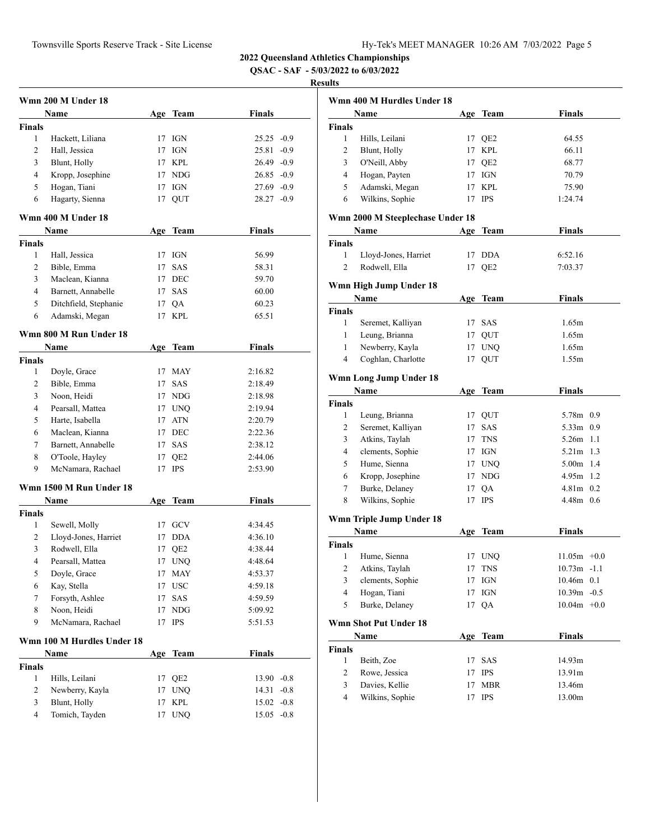**QSAC - SAF - 5/03/2022 to 6/03/2022**

|               | Wmn 200 M Under 18         |     |                 |               |  |
|---------------|----------------------------|-----|-----------------|---------------|--|
|               | <b>Name</b>                |     | Age Team        | Finals        |  |
| <b>Finals</b> |                            |     |                 |               |  |
| 1             | Hackett, Liliana           | 17  | IGN             | $25.25 -0.9$  |  |
| 2             | Hall, Jessica              | 17  | <b>IGN</b>      | $25.81 - 0.9$ |  |
| 3             | Blunt, Holly               | 17  | <b>KPL</b>      | $26.49 -0.9$  |  |
| 4             | Kropp, Josephine           |     | 17 NDG          | $26.85 -0.9$  |  |
| 5             | Hogan, Tiani               | 17  | IGN             | $27.69 - 0.9$ |  |
| 6             | Hagarty, Sienna            | 17  | QUT             | $28.27 -0.9$  |  |
|               | Wmn 400 M Under 18         |     |                 |               |  |
|               | Name                       |     | Age Team        | <b>Finals</b> |  |
| <b>Finals</b> |                            |     |                 |               |  |
| 1             | Hall, Jessica              | 17  | IGN             | 56.99         |  |
| 2             | Bible, Emma                | 17  | <b>SAS</b>      | 58.31         |  |
| 3             | Maclean, Kianna            | 17  | <b>DEC</b>      | 59.70         |  |
| 4             | Barnett, Annabelle         | 17  | SAS             | 60.00         |  |
| 5             | Ditchfield, Stephanie      | 17  | QA              | 60.23         |  |
| 6             | Adamski, Megan             | 17  | <b>KPL</b>      | 65.51         |  |
|               |                            |     |                 |               |  |
|               | Wmn 800 M Run Under 18     |     |                 |               |  |
|               | Name                       | Age | Team            | <b>Finals</b> |  |
| <b>Finals</b> |                            |     |                 |               |  |
| 1             | Doyle, Grace               | 17  | <b>MAY</b>      | 2:16.82       |  |
| 2             | Bible, Emma                | 17  | <b>SAS</b>      | 2:18.49       |  |
| 3             | Noon, Heidi                |     | 17 NDG          | 2:18.98       |  |
| 4             | Pearsall, Mattea           | 17  | <b>UNQ</b>      | 2:19.94       |  |
| 5             | Harte, Isabella            | 17  | ATN             | 2:20.79       |  |
| 6             | Maclean, Kianna            | 17  | DEC             | 2:22.36       |  |
| 7             | Barnett, Annabelle         | 17  | <b>SAS</b>      | 2:38.12       |  |
| 8             | O'Toole, Hayley            | 17  | QE <sub>2</sub> | 2:44.06       |  |
| 9             | McNamara, Rachael          | 17  | <b>IPS</b>      | 2:53.90       |  |
|               | Wmn 1500 M Run Under 18    |     |                 |               |  |
|               | Name                       | Age | Team            | <b>Finals</b> |  |
| <b>Finals</b> |                            |     |                 |               |  |
| 1             | Sewell, Molly              |     | 17 GCV          | 4:34.45       |  |
| 2             | Lloyd-Jones, Harriet       | 17  | <b>DDA</b>      | 4:36.10       |  |
| 3             | Rodwell, Ella              | 17  | QE2             | 4:38.44       |  |
| 4             | Pearsall, Mattea           | 17  | <b>UNQ</b>      | 4:48.64       |  |
| 5             | Doyle, Grace               | 17  | MAY             | 4:53.37       |  |
| 6             | Kay, Stella                | 17  | <b>USC</b>      | 4:59.18       |  |
| 7             | Forsyth, Ashlee            | 17  | SAS             | 4:59.59       |  |
| 8             | Noon, Heidi                | 17  | <b>NDG</b>      | 5:09.92       |  |
| 9             | McNamara, Rachael          | 17  | <b>IPS</b>      | 5:51.53       |  |
|               | Wmn 100 M Hurdles Under 18 |     |                 |               |  |
|               | Name                       |     | Age Team        | Finals        |  |
| <b>Finals</b> |                            |     |                 |               |  |
| 1             | Hills, Leilani             | 17  | QE <sub>2</sub> | $13.90 -0.8$  |  |
| 2             | Newberry, Kayla            | 17  | <b>UNQ</b>      | 14.31 -0.8    |  |
| 3             | Blunt, Holly               | 17  | <b>KPL</b>      | $15.02 -0.8$  |  |
| 4             | Tomich, Tayden             | 17  | <b>UNQ</b>      | $15.05 -0.8$  |  |
|               |                            |     |                 |               |  |

|                         | Wmn 400 M Hurdles Under 18       |     |                    |                |
|-------------------------|----------------------------------|-----|--------------------|----------------|
|                         | Name                             |     | Age Team           | Finals         |
| Finals                  |                                  |     |                    |                |
| 1                       | Hills, Leilani                   |     | 17 QE2             | 64.55          |
| 2                       | Blunt, Holly                     |     | 17 KPL             | 66.11          |
| 3                       | O'Neill, Abby                    |     | 17 QE2             | 68.77          |
| 4                       | Hogan, Payten                    |     | 17 IGN             | 70.79          |
| 5                       | Adamski, Megan                   | 17  | <b>KPL</b>         | 75.90          |
| 6                       | Wilkins, Sophie                  | 17  | <b>IPS</b>         | 1:24.74        |
|                         | Wmn 2000 M Steeplechase Under 18 |     |                    |                |
|                         | Name                             | Age | Team               | <b>Finals</b>  |
| <b>Finals</b>           |                                  |     |                    |                |
| 1                       | Lloyd-Jones, Harriet             | 17  | <b>DDA</b>         | 6:52.16        |
| 2                       | Rodwell, Ella                    | 17  | QE <sub>2</sub>    | 7:03.37        |
|                         |                                  |     |                    |                |
|                         | Wmn High Jump Under 18<br>Name   |     | Age Team           | Finals         |
| <b>Finals</b>           |                                  |     |                    |                |
| 1                       | Seremet, Kalliyan                |     | 17 SAS             | 1.65m          |
| 1                       | Leung, Brianna                   |     | 17 QUT             | 1.65m          |
| $\mathbf{1}$            | Newberry, Kayla                  |     | 17 UNQ             | 1.65m          |
| 4                       | Coghlan, Charlotte               | 17  | QUT                | 1.55m          |
|                         |                                  |     |                    |                |
|                         | Wmn Long Jump Under 18           |     |                    |                |
|                         | Name                             |     | Age Team           | Finals         |
| <b>Finals</b>           |                                  |     |                    |                |
| 1                       | Leung, Brianna                   |     | 17 QUT             | 5.78m 0.9      |
| 2                       | Seremet, Kalliyan                |     | 17 SAS             | 5.33m<br>0.9   |
| 3                       | Atkins, Taylah                   |     | 17 TNS             | $5.26m$ 1.1    |
| 4                       | clements, Sophie                 |     | 17 IGN             | 5.21m 1.3      |
| 5                       | Hume, Sienna                     |     | 17 UNQ             | 5.00m 1.4      |
| 6                       | Kropp, Josephine                 |     | 17 NDG             | $4.95m$ 1.2    |
| 7                       | Burke, Delaney                   |     | 17 QA              | $4.81m$ 0.2    |
| 8                       | Wilkins, Sophie                  | 17  | IPS                | 4.48m 0.6      |
|                         | Wmn Triple Jump Under 18         |     |                    |                |
|                         | Name                             |     | Age Team           | <b>Finals</b>  |
| Finals                  |                                  |     |                    |                |
| 1                       | Hume, Sienna                     |     | 17 UNQ             | $11.05m +0.0$  |
| $\overline{\mathbf{c}}$ | Atkins, Taylah                   | 17  | $\mathop{\rm TNS}$ | $10.73m - 1.1$ |
| 3                       | clements, Sophie                 | 17  | IGN                | 10.46m 0.1     |
| 4                       | Hogan, Tiani                     | 17  | IGN                | $10.39m - 0.5$ |
| 5                       | Burke, Delaney                   | 17  | QA                 | $10.04m + 0.0$ |
|                         | <b>Wmn Shot Put Under 18</b>     |     |                    |                |
|                         | Name                             | Age | <b>Team</b>        | <b>Finals</b>  |
| <b>Finals</b>           |                                  |     |                    |                |
| $\mathbf{1}$            | Beith, Zoe                       | 17  | SAS                | 14.93m         |
| $\overline{c}$          | Rowe, Jessica                    | 17  | <b>IPS</b>         | 13.91m         |
| 3                       | Davies, Kellie                   | 17  | <b>MBR</b>         | 13.46m         |
| $\overline{4}$          | Wilkins, Sophie                  | 17  | <b>IPS</b>         | 13.00m         |
|                         |                                  |     |                    |                |
|                         |                                  |     |                    |                |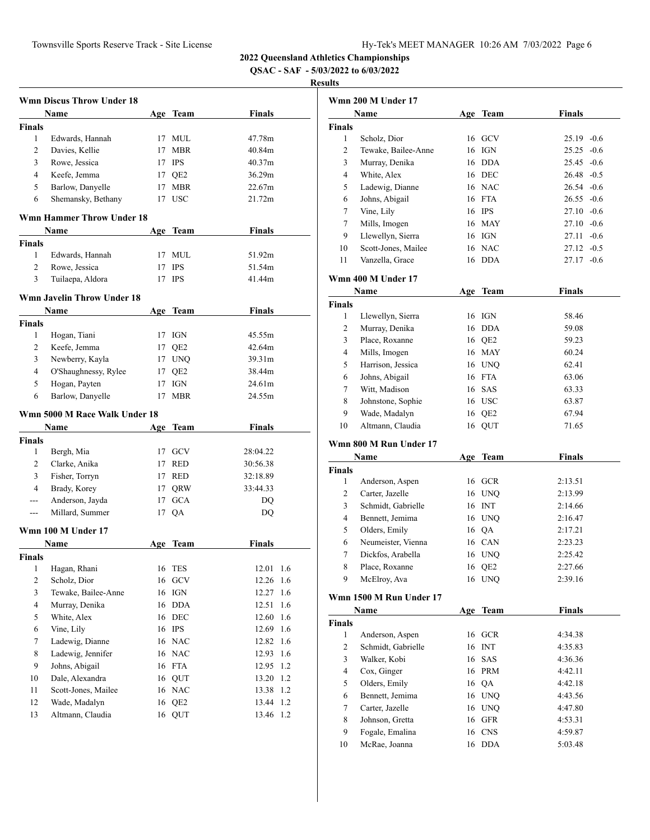**QSAC - SAF - 5/03/2022 to 6/03/2022**

|                         | <b>Wmn Discus Throw Under 18</b>  |     |                 |               |
|-------------------------|-----------------------------------|-----|-----------------|---------------|
|                         | Name                              |     | Age Team        | Finals        |
| <b>Finals</b>           |                                   |     |                 |               |
| 1                       | Edwards, Hannah                   | 17  | MUL             | 47.78m        |
| $\overline{c}$          | Davies, Kellie                    | 17  | <b>MBR</b>      | 40.84m        |
| 3                       | Rowe, Jessica                     |     | 17 IPS          | 40.37m        |
| 4                       | Keefe, Jemma                      |     | 17 QE2          | 36.29m        |
| 5                       | Barlow, Danyelle                  | 17  | <b>MBR</b>      | 22.67m        |
| 6                       | Shemansky, Bethany                | 17  | USC             | 21.72m        |
|                         | <b>Wmn Hammer Throw Under 18</b>  |     |                 |               |
|                         | Name                              | Age | Team            | Finals        |
| <b>Finals</b>           |                                   |     |                 |               |
| 1                       | Edwards, Hannah                   | 17  | MUL             | 51.92m        |
| $\overline{c}$          | Rowe, Jessica                     | 17  | <b>IPS</b>      | 51.54m        |
| 3                       | Tuilaepa, Aldora                  | 17  | <b>IPS</b>      | 41.44m        |
|                         | <b>Wmn Javelin Throw Under 18</b> |     |                 |               |
|                         | Name                              |     | Age Team        | <b>Finals</b> |
| Finals                  |                                   |     |                 |               |
| 1                       | Hogan, Tiani                      | 17  | IGN             | 45.55m        |
| 2                       | Keefe, Jemma                      | 17  | QE <sub>2</sub> | 42.64m        |
| 3                       | Newberry, Kayla                   | 17  | <b>UNQ</b>      | 39.31m        |
| 4                       | O'Shaughnessy, Rylee              | 17  | QE <sub>2</sub> | 38.44m        |
| 5                       | Hogan, Payten                     | 17  | IGN             | 24.61m        |
| 6                       | Barlow, Danyelle                  | 17  | <b>MBR</b>      | 24.55m        |
|                         | Wmn 5000 M Race Walk Under 18     |     |                 |               |
|                         | Name                              |     | Age Team        | Finals        |
| <b>Finals</b>           |                                   |     |                 |               |
| 1                       | Bergh, Mia                        |     | 17 GCV          | 28:04.22      |
| $\overline{c}$          | Clarke, Anika                     | 17  | <b>RED</b>      | 30:56.38      |
| 3                       | Fisher, Torryn                    | 17  | <b>RED</b>      | 32:18.89      |
| 4                       | Brady, Korey                      | 17  | QRW             | 33:44.33      |
| ---                     | Anderson, Jayda                   | 17  | <b>GCA</b>      | DQ            |
| $---$                   | Millard, Summer                   |     | 17 QA           | DQ            |
|                         | Wmn 100 M Under 17                |     |                 |               |
|                         | Name                              | Age | <b>Team</b>     | <b>Finals</b> |
| Finals                  |                                   |     |                 |               |
| 1                       | Hagan, Rhani                      | 16  | <b>TES</b>      | 12.01<br>1.6  |
| 2                       | Scholz, Dior                      |     | 16 GCV          | 12.26<br>1.6  |
| 3                       | Tewake, Bailee-Anne               | 16  | IGN             | 12.27<br>1.6  |
| $\overline{\mathbf{4}}$ | Murray, Denika                    |     | 16 DDA          | 12.51<br>1.6  |
| 5                       | White, Alex                       |     | 16 DEC          | 12.60<br>1.6  |
| 6                       | Vine, Lily                        |     | 16 IPS          | 12.69<br>1.6  |
| 7                       | Ladewig, Dianne                   |     | 16 NAC          | 12.82<br>1.6  |
| 8                       | Ladewig, Jennifer                 |     | 16 NAC          | 12.93<br>1.6  |
| 9                       | Johns, Abigail                    |     | 16 FTA          | 12.95<br>1.2  |
| 10                      | Dale, Alexandra                   |     | 16 QUT          | 13.20<br>1.2  |
| 11                      | Scott-Jones, Mailee               |     | 16 NAC          | 13.38<br>1.2  |
| 12                      | Wade, Madalyn                     | 16  | QE <sub>2</sub> | 13.44<br>1.2  |
| 13                      | Altmann, Claudia                  | 16  | QUT             | 1.2<br>13.46  |
|                         |                                   |     |                 |               |

|                | <b>Wmn 200 M Under 17</b> |    |                 |               |
|----------------|---------------------------|----|-----------------|---------------|
|                | Name                      |    | Age Team        | <b>Finals</b> |
| <b>Finals</b>  |                           |    |                 |               |
| 1              | Scholz, Dior              |    | 16 GCV          | $25.19 -0.6$  |
| $\overline{2}$ | Tewake, Bailee-Anne       |    | 16 IGN          | $25.25 -0.6$  |
| 3              | Murray, Denika            |    | 16 DDA          | $25.45 -0.6$  |
| 4              | White, Alex               |    | 16 DEC          | $26.48 - 0.5$ |
| 5              | Ladewig, Dianne           |    | 16 NAC          | $26.54 - 0.6$ |
| 6              | Johns, Abigail            |    | 16 FTA          | $26.55 - 0.6$ |
| 7              | Vine, Lily                |    | 16 IPS          | $27.10 - 0.6$ |
| 7              | Mills, Imogen             |    | 16 MAY          | $27.10 - 0.6$ |
| 9              | Llewellyn, Sierra         |    | 16 IGN          | $27.11 - 0.6$ |
| 10             | Scott-Jones, Mailee       |    | 16 NAC          | $27.12 -0.5$  |
| 11             | Vanzella, Grace           |    | 16 DDA          | $27.17 - 0.6$ |
|                | Wmn 400 M Under 17        |    |                 |               |
|                | Name                      |    | Age Team        | <b>Finals</b> |
| <b>Finals</b>  |                           |    |                 |               |
| 1              | Llewellyn, Sierra         |    | 16 IGN          | 58.46         |
| 2              | Murray, Denika            |    | 16 DDA          | 59.08         |
| 3              | Place, Roxanne            |    | 16 QE2          | 59.23         |
| 4              | Mills, Imogen             |    | 16 MAY          | 60.24         |
| 5              | Harrison, Jessica         |    | 16 UNQ          | 62.41         |
| 6              | Johns, Abigail            |    | 16 FTA          | 63.06         |
| 7              | Witt, Madison             |    | 16 SAS          | 63.33         |
| 8              | Johnstone, Sophie         |    | 16 USC          | 63.87         |
| 9              | Wade, Madalyn             |    | 16 QE2          | 67.94         |
| 10             | Altmann, Claudia          |    | 16 QUT          | 71.65         |
|                | Wmn 800 M Run Under 17    |    |                 |               |
|                | Name                      |    | Age Team        | <b>Finals</b> |
| <b>Finals</b>  |                           |    |                 |               |
| 1              | Anderson, Aspen           |    | 16 GCR          | 2:13.51       |
| 2              | Carter, Jazelle           |    | 16 UNQ          | 2:13.99       |
| 3              | Schmidt, Gabrielle        |    | 16 INT          | 2:14.66       |
| 4              | Bennett, Jemima           |    | 16 UNQ          | 2:16.47       |
| 5              | Olders, Emily             |    | 16 QA           | 2:17.21       |
| 6              | Neumeister, Vienna        |    | 16 CAN          | 2:23.23       |
| 7              | Dickfos, Arabella         |    | 16 UNQ          | 2:25.42       |
| 8              | Place, Roxanne            | 16 | QE <sub>2</sub> | 2:27.66       |
| 9              | McElroy, Ava              |    | 16 UNQ          | 2:39.16       |
|                | Wmn 1500 M Run Under 17   |    |                 |               |
|                | <b>Name</b>               |    | Age Team        | <b>Finals</b> |
| <b>Finals</b>  |                           |    |                 |               |
| 1              | Anderson, Aspen           | 16 | <b>GCR</b>      | 4:34.38       |
| 2              | Schmidt, Gabrielle        | 16 | <b>INT</b>      | 4:35.83       |
| 3              | Walker, Kobi              | 16 | SAS             | 4:36.36       |
| 4              | Cox, Ginger               |    | 16 PRM          | 4:42.11       |
| 5              | Olders, Emily             | 16 | QA              | 4:42.18       |
| 6              | Bennett, Jemima           |    | 16 UNQ          | 4:43.56       |
| 7              | Carter, Jazelle           | 16 | <b>UNQ</b>      | 4:47.80       |
| 8              | Johnson, Gretta           | 16 | <b>GFR</b>      | 4:53.31       |
| 9              | Fogale, Emalina           | 16 | <b>CNS</b>      | 4:59.87       |
| 10             | McRae, Joanna             |    | 16 DDA          | 5:03.48       |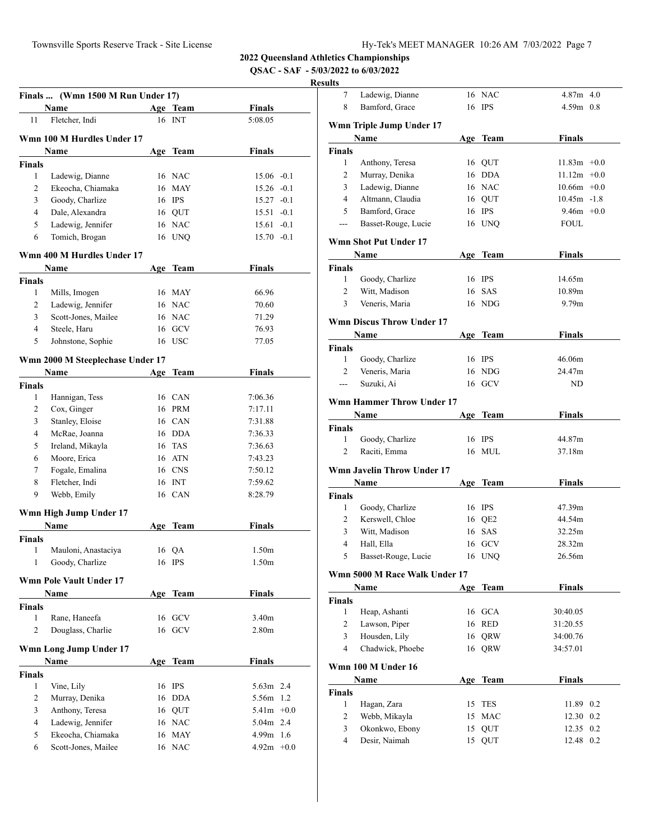7 Ladewig, Dianne 16 NAC 4.87m 4.0

**2022 Queensland Athletics Championships**

**QSAC - SAF - 5/03/2022 to 6/03/2022**

|                | Finals  (Wmn 1500 M Run Under 17)        |    |                  |                              |     |
|----------------|------------------------------------------|----|------------------|------------------------------|-----|
|                | Name                                     |    | Age Team         | <b>Finals</b>                |     |
| 11             | Fletcher, Indi                           |    | 16 INT           | 5:08.05                      |     |
|                | Wmn 100 M Hurdles Under 17               |    |                  |                              |     |
|                | Name                                     |    | Age Team         | <b>Finals</b>                |     |
| <b>Finals</b>  |                                          |    |                  |                              |     |
| 1              | Ladewig, Dianne                          |    | 16 NAC           | $15.06 - 0.1$                |     |
| $\overline{2}$ | Ekeocha, Chiamaka                        |    | 16 MAY           | $15.26 -0.1$                 |     |
| 3              | Goody, Charlize                          |    | 16 IPS           | $15.27 -0.1$                 |     |
| $\overline{4}$ | Dale, Alexandra                          |    | 16 QUT           | $15.51 - 0.1$                |     |
| 5              | Ladewig, Jennifer                        |    | 16 NAC           | $15.61 - 0.1$                |     |
| 6              | Tomich, Brogan                           |    | 16 UNQ           | $15.70 - 0.1$                |     |
|                | Wmn 400 M Hurdles Under 17               |    |                  |                              |     |
|                | Name                                     |    | Age Team         | Finals                       |     |
| <b>Finals</b>  |                                          |    |                  |                              |     |
| 1              | Mills, Imogen                            |    | 16 MAY           | 66.96                        |     |
| 2              | Ladewig, Jennifer                        |    | 16 NAC           | 70.60                        |     |
| 3              | Scott-Jones, Mailee                      |    | 16 NAC           | 71.29                        |     |
| $\overline{4}$ | Steele, Haru                             |    | 16 GCV           | 76.93                        |     |
| 5              | Johnstone, Sophie                        |    | 16 USC           | 77.05                        |     |
|                |                                          |    |                  |                              |     |
|                | Wmn 2000 M Steeplechase Under 17         |    |                  |                              |     |
|                | Name                                     |    | Age Team         | <b>Finals</b>                |     |
| <b>Finals</b>  |                                          |    |                  |                              |     |
| 1              | Hannigan, Tess                           |    | 16 CAN           | 7:06.36                      |     |
| $\overline{2}$ | Cox, Ginger                              |    | 16 PRM           | 7:17.11                      |     |
| 3              | Stanley, Eloise                          |    | 16 CAN           | 7:31.88                      |     |
| 4              | McRae, Joanna                            |    | 16 DDA           | 7:36.33                      |     |
| 5              | Ireland, Mikayla                         |    | 16 TAS           | 7:36.63                      |     |
| 6              | Moore, Erica                             |    | 16 ATN           | 7:43.23                      |     |
| 7              | Fogale, Emalina                          |    | 16 CNS           | 7:50.12                      |     |
| 8              | Fletcher, Indi                           |    | 16 INT           | 7:59.62                      |     |
| 9              | Webb, Emily                              |    | 16 CAN           | 8:28.79                      |     |
|                | Wmn High Jump Under 17                   |    |                  |                              |     |
|                | Name                                     |    | Age Team         | <b>Finals</b>                |     |
| <b>Finals</b>  |                                          |    |                  |                              |     |
| 1              | Mauloni, Anastaciya                      | 16 | QA               | 1.50 <sub>m</sub>            |     |
| 1              | Goody, Charlize                          | 16 | <b>IPS</b>       | 1.50m                        |     |
|                | <b>Wmn Pole Vault Under 17</b>           |    |                  |                              |     |
|                | <b>Name</b>                              |    | Age Team         | <b>Finals</b>                |     |
| <b>Finals</b>  |                                          |    |                  |                              |     |
| 1              | Rane, Haneefa                            |    | 16 GCV           | 3.40m                        |     |
| 2              | Douglass, Charlie                        |    | 16 GCV           | 2.80 <sub>m</sub>            |     |
|                |                                          |    |                  |                              |     |
|                | Wmn Long Jump Under 17                   |    |                  |                              |     |
|                | Name                                     |    | Age Team         | Finals                       |     |
| <b>Finals</b>  |                                          |    |                  |                              |     |
| 1              | Vine, Lily                               |    | 16 IPS           | 5.63m 2.4                    |     |
| 2              | Murray, Denika                           | 16 | <b>DDA</b>       | 5.56m                        | 1.2 |
| 3              | Anthony, Teresa                          |    | 16 QUT           | $5.41m +0.0$                 |     |
| $\overline{4}$ | Ladewig, Jennifer                        |    | 16 NAC           | 5.04m 2.4                    |     |
| 5<br>6         | Ekeocha, Chiamaka<br>Scott-Jones, Mailee |    | 16 MAY<br>16 NAC | $4.99m$ 1.6<br>$4.92m + 0.0$ |     |
|                |                                          |    |                  |                              |     |

| 8              | Bamford, Grace                    |     | 16 IPS     | 4.59m 0.8      |     |
|----------------|-----------------------------------|-----|------------|----------------|-----|
|                | Wmn Triple Jump Under 17          |     |            |                |     |
|                | Name                              |     | Age Team   | <b>Finals</b>  |     |
| <b>Finals</b>  |                                   |     |            |                |     |
| 1              | Anthony, Teresa                   |     | 16 QUT     | $11.83m +0.0$  |     |
| 2              | Murray, Denika                    |     | 16 DDA     | $11.12m +0.0$  |     |
| 3              | Ladewig, Dianne                   |     | 16 NAC     | $10.66m + 0.0$ |     |
| 4              | Altmann, Claudia                  |     | 16 QUT     | $10.45m - 1.8$ |     |
| 5              | Bamford, Grace                    |     | 16 IPS     | $9.46m + 0.0$  |     |
| ---            | Basset-Rouge, Lucie               |     | 16 UNQ     | <b>FOUL</b>    |     |
|                |                                   |     |            |                |     |
|                | Wmn Shot Put Under 17             |     |            |                |     |
|                | Name                              |     | Age Team   | <b>Finals</b>  |     |
| <b>Finals</b>  |                                   |     |            |                |     |
| 1              | Goody, Charlize                   |     | 16 IPS     | 14.65m         |     |
| 2              | Witt, Madison                     |     | 16 SAS     | 10.89m         |     |
| 3              | Veneris, Maria                    |     | 16 NDG     | 9.79m          |     |
|                | <b>Wmn Discus Throw Under 17</b>  |     |            |                |     |
|                | Name                              |     | Age Team   | <b>Finals</b>  |     |
| <b>Finals</b>  |                                   |     |            |                |     |
| 1              | Goody, Charlize                   |     | 16 IPS     | 46.06m         |     |
| $\overline{2}$ | Veneris, Maria                    |     | 16 NDG     | 24.47m         |     |
| $\overline{a}$ | Suzuki, Ai                        |     | 16 GCV     | ND             |     |
|                |                                   |     |            |                |     |
|                | <b>Wmn Hammer Throw Under 17</b>  |     |            |                |     |
|                | Name                              |     | Age Team   | <b>Finals</b>  |     |
| <b>Finals</b>  |                                   |     |            |                |     |
| 1              | Goody, Charlize                   |     | 16 IPS     | 44.87m         |     |
| 2              | Raciti, Emma                      |     | 16 MUL     | 37.18m         |     |
|                | <b>Wmn Javelin Throw Under 17</b> |     |            |                |     |
|                | Name                              |     | Age Team   | <b>Finals</b>  |     |
| Finals         |                                   |     |            |                |     |
| 1              | Goody, Charlize                   |     | 16 IPS     | 47.39m         |     |
| 2              | Kerswell, Chloe                   |     | 16 QE2     | 44.54m         |     |
| 3              | Witt, Madison                     |     | 16 SAS     | 32.25m         |     |
| 4              | Hall, Ella                        |     | 16 GCV     | 28.32m         |     |
| 5              | Basset-Rouge, Lucie               |     | 16 UNQ     | 26.56m         |     |
|                | Wmn 5000 M Race Walk Under 17     |     |            |                |     |
|                |                                   |     | Team       | <b>Finals</b>  |     |
| <b>Finals</b>  | <b>Name</b>                       | Age |            |                |     |
| $\mathbf{1}$   | Heap, Ashanti                     |     | 16 GCA     | 30:40.05       |     |
| 2              | Lawson, Piper                     |     | 16 RED     | 31:20.55       |     |
| 3              | Housden, Lily                     | 16  | QRW        | 34:00.76       |     |
| $\overline{4}$ | Chadwick, Phoebe                  |     | 16 QRW     | 34:57.01       |     |
|                |                                   |     |            |                |     |
|                | Wmn 100 M Under 16                |     |            |                |     |
|                | Name                              |     | Age Team   | Finals         |     |
| Finals         |                                   |     |            |                |     |
| $\mathbf{1}$   | Hagan, Zara                       | 15  | <b>TES</b> | 11.89 0.2      |     |
| 2              | Webb, Mikayla                     | 15  | $\rm MAC$  | 12.30          | 0.2 |
| 3              | Okonkwo, Ebony                    | 15  | QUT        | 12.35          | 0.2 |
| $\overline{4}$ | Desir, Naimah                     | 15  | QUT        | 12.48 0.2      |     |
|                |                                   |     |            |                |     |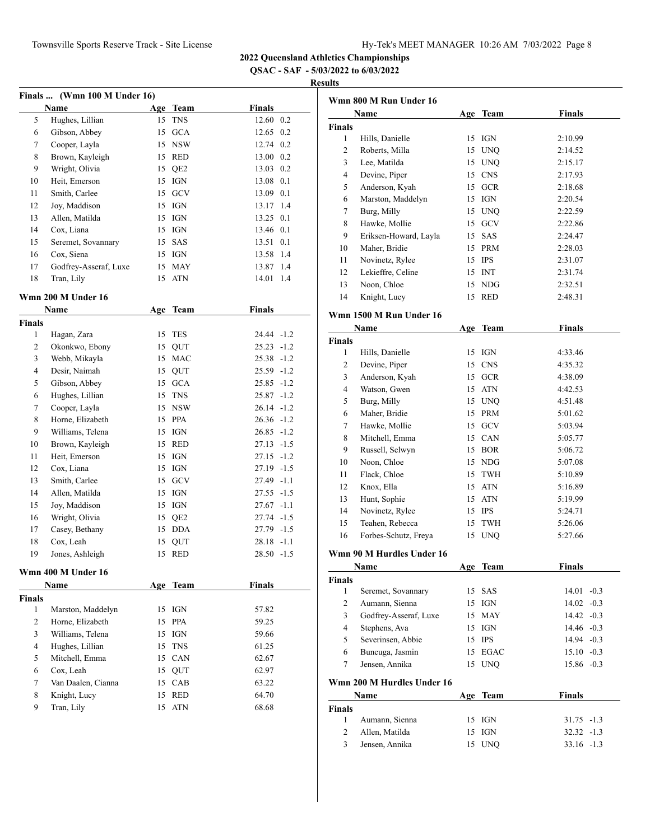**QSAC - SAF - 5/03/2022 to 6/03/2022**

|                |                              |     |             |               | K   |
|----------------|------------------------------|-----|-------------|---------------|-----|
| <b>Finals</b>  | (Wmn 100 M Under 16)<br>Name |     | Age Team    | <b>Finals</b> |     |
| 5              | Hughes, Lillian              | 15  | <b>TNS</b>  | 12.60 0.2     |     |
| 6              | Gibson, Abbey                | 15  | GCA         | 12.65 0.2     |     |
| 7              | Cooper, Layla                |     | 15 NSW      | 12.74 0.2     |     |
| 8              | Brown, Kayleigh              |     | 15 RED      | 13.00 0.2     |     |
| 9              | Wright, Olivia               |     | 15 QE2      | 13.03         | 0.2 |
| 10             | Heit, Emerson                |     | 15 IGN      | 13.08         | 0.1 |
| 11             | Smith, Carlee                |     | 15 GCV      | 13.09         | 0.1 |
| 12             | Joy, Maddison                |     | 15 IGN      | 13.17         | 1.4 |
| 13             | Allen, Matilda               |     | 15 IGN      | 13.25         | 0.1 |
| 14             | Cox, Liana                   |     | 15 IGN      | 13.46         | 0.1 |
| 15             | Seremet, Sovannary           |     | 15 SAS      | 13.51         | 0.1 |
| 16             | Cox, Siena                   |     | 15 IGN      | 13.58         | 1.4 |
| 17             | Godfrey-Asseraf, Luxe        | 15  | <b>MAY</b>  | 13.87         | 1.4 |
| 18             | Tran, Lily                   | 15  | <b>ATN</b>  | 14.01         | 1.4 |
|                | Wmn 200 M Under 16           |     |             |               |     |
|                | Name                         | Age | <b>Team</b> | Finals        |     |
| <b>Finals</b>  |                              |     |             |               |     |
| 1              | Hagan, Zara                  | 15  | <b>TES</b>  | 24.44 -1.2    |     |
| 2              | Okonkwo, Ebony               |     | 15 QUT      | $25.23 -1.2$  |     |
| 3              | Webb, Mikayla                |     | 15 MAC      | $25.38 - 1.2$ |     |
| 4              | Desir, Naimah                | 15  | QUT         | $25.59 - 1.2$ |     |
| 5              | Gibson, Abbey                |     | 15 GCA      | $25.85 -1.2$  |     |
| 6              | Hughes, Lillian              | 15  | <b>TNS</b>  | 25.87 -1.2    |     |
| 7              | Cooper, Layla                |     | 15 NSW      | $26.14 - 1.2$ |     |
| 8              | Horne, Elizabeth             | 15  | PPA         | $26.36 - 1.2$ |     |
| 9              | Williams, Telena             | 15  | IGN         | $26.85 - 1.2$ |     |
| 10             | Brown, Kayleigh              | 15  | RED         | $27.13 - 1.5$ |     |
| 11             | Heit, Emerson                | 15  | IGN         | $27.15 - 1.2$ |     |
| 12             | Cox, Liana                   | 15  | IGN         | $27.19 - 1.5$ |     |
| 13             | Smith, Carlee                |     | 15 GCV      | 27.49 -1.1    |     |
| 14             | Allen, Matilda               | 15  | IGN         | $27.55 - 1.5$ |     |
| 15             | Joy, Maddison                | 15  | IGN         | $27.67 -1.1$  |     |
| 16             | Wright, Olivia               |     | 15 QE2      | 27.74 -1.5    |     |
| 17             | Casey, Bethany               |     | 15 DDA      | 27.79 -1.5    |     |
| 18             | Cox, Leah                    | 15  | <b>QUT</b>  | $28.18 - 1.1$ |     |
| 19             | Jones, Ashleigh              | 15  | <b>RED</b>  | $28.50 -1.5$  |     |
|                | Wmn 400 M Under 16           |     |             |               |     |
|                | Name                         |     | Age Team    | <b>Finals</b> |     |
| <b>Finals</b>  |                              |     |             |               |     |
| 1              | Marston, Maddelyn            | 15  | IGN         | 57.82         |     |
| $\overline{c}$ | Horne, Elizabeth             | 15  | <b>PPA</b>  | 59.25         |     |
| 3              | Williams, Telena             | 15  | <b>IGN</b>  | 59.66         |     |
| 4              | Hughes, Lillian              | 15  | <b>TNS</b>  | 61.25         |     |
| 5              | Mitchell, Emma               |     | 15 CAN      | 62.67         |     |
| 6              | Cox, Leah                    | 15  | QUT         | 62.97         |     |
| 7              | Van Daalen, Cianna           | 15  | CAB         | 63.22         |     |
| 8              | Knight, Lucy                 | 15  | RED         | 64.70         |     |
| 9              | Tran, Lily                   | 15  | <b>ATN</b>  | 68.68         |     |

| Wmn 800 M Run Under 16 |                            |            |             |               |  |  |  |
|------------------------|----------------------------|------------|-------------|---------------|--|--|--|
|                        | Name                       |            | Age Team    | <b>Finals</b> |  |  |  |
| <b>Finals</b>          |                            |            |             |               |  |  |  |
| 1                      | Hills, Danielle            |            | 15 IGN      | 2:10.99       |  |  |  |
| 2                      | Roberts, Milla             | 15         | <b>UNO</b>  | 2:14.52       |  |  |  |
| 3                      | Lee, Matilda               | 15         | <b>UNQ</b>  | 2:15.17       |  |  |  |
| 4                      | Devine, Piper              | 15         | <b>CNS</b>  | 2:17.93       |  |  |  |
| 5                      | Anderson, Kyah             | 15         | <b>GCR</b>  | 2:18.68       |  |  |  |
| 6                      | Marston, Maddelyn          | 15         | IGN         | 2:20.54       |  |  |  |
| 7                      | Burg, Milly                |            | 15 UNO      | 2:22.59       |  |  |  |
| 8                      | Hawke, Mollie              | 15         | GCV         | 2:22.86       |  |  |  |
| 9                      | Eriksen-Howard, Layla      | 15         | SAS         | 2:24.47       |  |  |  |
| 10                     | Maher, Bridie              |            | 15 PRM      | 2:28.03       |  |  |  |
| 11                     | Novinetz, Rylee            | 15         | <b>IPS</b>  | 2:31.07       |  |  |  |
| 12                     | Lekieffre, Celine          |            | 15 INT      | 2:31.74       |  |  |  |
| 13                     | Noon, Chloe                | 15         | <b>NDG</b>  | 2:32.51       |  |  |  |
| 14                     | Knight, Lucy               | 15         | <b>RED</b>  | 2:48.31       |  |  |  |
|                        | Wmn 1500 M Run Under 16    |            |             |               |  |  |  |
|                        | Name                       |            | Age Team    | <b>Finals</b> |  |  |  |
| <b>Finals</b>          |                            |            |             |               |  |  |  |
| 1                      | Hills, Danielle            |            | 15 IGN      | 4:33.46       |  |  |  |
| 2                      | Devine, Piper              | 15         | <b>CNS</b>  | 4:35.32       |  |  |  |
| 3                      | Anderson, Kyah             | 15         | <b>GCR</b>  | 4:38.09       |  |  |  |
| 4                      | Watson, Gwen               | 15         | <b>ATN</b>  | 4:42.53       |  |  |  |
| 5                      | Burg, Milly                |            | 15 UNQ      | 4:51.48       |  |  |  |
| 6                      | Maher, Bridie              |            | 15 PRM      | 5:01.62       |  |  |  |
| 7                      | Hawke, Mollie              | 15         | GCV         | 5:03.94       |  |  |  |
| $\,$ 8 $\,$            | Mitchell, Emma             |            | 15 CAN      | 5:05.77       |  |  |  |
| 9                      | Russell, Selwyn            | 15         | <b>BOR</b>  | 5:06.72       |  |  |  |
| 10                     | Noon, Chloe                | 15         | <b>NDG</b>  | 5:07.08       |  |  |  |
| 11                     | Flack, Chloe               | 15         | <b>TWH</b>  | 5:10.89       |  |  |  |
| 12                     | Knox, Ella                 | 15         | <b>ATN</b>  | 5:16.89       |  |  |  |
| 13                     | Hunt, Sophie               | 15         | <b>ATN</b>  | 5:19.99       |  |  |  |
| 14                     | Novinetz, Rylee            | 15         | IPS         | 5:24.71       |  |  |  |
| 15                     | Teahen, Rebecca            | 15         | TWH         | 5:26.06       |  |  |  |
| 16                     | Forbes-Schutz, Freya       | 15         | <b>UNO</b>  | 5:27.66       |  |  |  |
|                        | Wmn 90 M Hurdles Under 16  |            |             |               |  |  |  |
|                        | <b>Name</b>                | <u>Age</u> | <u>Team</u> | <b>Finals</b> |  |  |  |
| Finals                 |                            |            |             |               |  |  |  |
| $\mathbf{1}$           | Seremet, Sovannary         | 15         | SAS         | $14.01 - 0.3$ |  |  |  |
| 2                      | Aumann, Sienna             | 15         | IGN         | $14.02 -0.3$  |  |  |  |
| 3                      | Godfrey-Asseraf, Luxe      | 15         | <b>MAY</b>  | 14.42 -0.3    |  |  |  |
| 4                      | Stephens, Ava              | 15         | IGN         | $14.46 - 0.3$ |  |  |  |
| 5                      | Severinsen, Abbie          |            | 15 IPS      | $14.94 - 0.3$ |  |  |  |
| 6                      | Buncuga, Jasmin            | 15         | <b>EGAC</b> | $15.10 -0.3$  |  |  |  |
| 7                      | Jensen, Annika             | 15         | <b>UNQ</b>  | 15.86 -0.3    |  |  |  |
|                        | Wmn 200 M Hurdles Under 16 |            |             |               |  |  |  |
|                        | Name                       |            | Age Team    | <b>Finals</b> |  |  |  |
| <b>Finals</b>          |                            |            |             |               |  |  |  |
| $\mathbf{1}$           | Aumann, Sienna             |            | 15 IGN      | $31.75 - 1.3$ |  |  |  |
| $\overline{2}$         | Allen, Matilda             |            | 15 IGN      | $32.32 - 1.3$ |  |  |  |
| 3                      | Jensen, Annika             |            | 15 UNQ      | $33.16 - 1.3$ |  |  |  |
|                        |                            |            |             |               |  |  |  |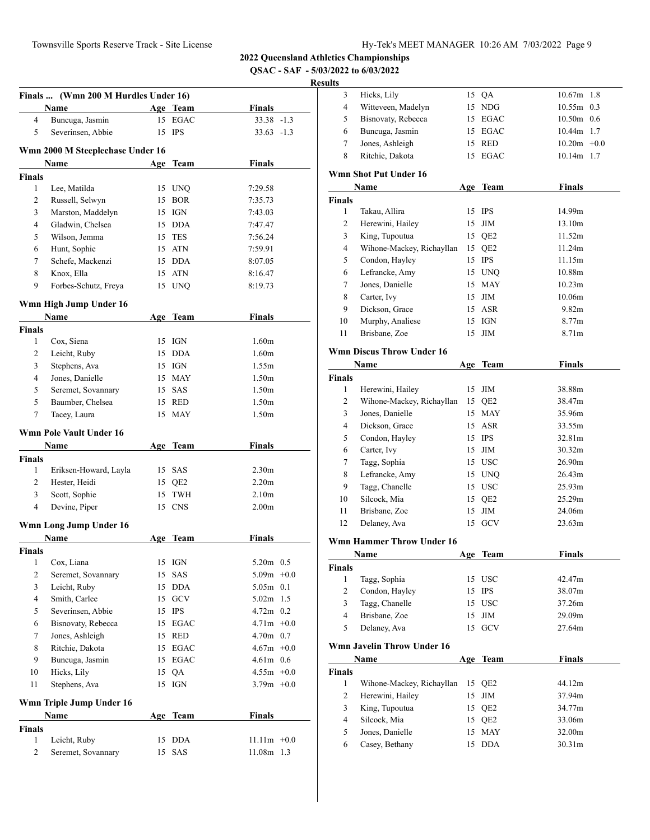**QSAC - SAF - 5/03/2022 to 6/03/2022**

|                | Finals  (Wmn 200 M Hurdles Under 16) |     |                     | <b>Finals</b>            |
|----------------|--------------------------------------|-----|---------------------|--------------------------|
| 4              | Name<br>Buncuga, Jasmin              |     | Age Team<br>15 EGAC | $33.38 - 1.3$            |
| 5              | Severinsen, Abbie                    |     | 15 IPS              | $33.63 - 1.3$            |
|                |                                      |     |                     |                          |
|                | Wmn 2000 M Steeplechase Under 16     |     |                     |                          |
|                | Name                                 |     | Age Team            | <b>Finals</b>            |
| <b>Finals</b>  |                                      |     |                     |                          |
| 1              | Lee, Matilda                         |     | 15 UNQ              | 7:29.58                  |
| $\overline{c}$ | Russell, Selwyn                      |     | 15 BOR              | 7:35.73                  |
| 3              | Marston, Maddelyn                    |     | 15 IGN              | 7:43.03                  |
| 4              | Gladwin, Chelsea                     |     | 15 DDA              | 7:47.47                  |
| 5              | Wilson, Jemma                        |     | 15 TES              | 7:56.24                  |
| 6              | Hunt, Sophie                         |     | 15 ATN              | 7:59.91                  |
| 7              | Schefe, Mackenzi                     |     | 15 DDA              | 8:07.05                  |
| 8              | Knox, Ella                           |     | 15 ATN              | 8:16.47                  |
| 9              | Forbes-Schutz, Freya                 |     | 15 UNQ              | 8:19.73                  |
|                | Wmn High Jump Under 16               |     |                     |                          |
|                | Name                                 | Age | Team                | <b>Finals</b>            |
| <b>Finals</b>  |                                      |     |                     | 1.60 <sub>m</sub>        |
| 1              | Cox, Siena                           |     | 15 IGN              |                          |
| 2              | Leicht, Ruby                         |     | 15 DDA              | 1.60 <sub>m</sub>        |
| 3              | Stephens, Ava                        |     | 15 IGN              | 1.55m                    |
| 4              | Jones, Danielle                      |     | 15 MAY              | 1.50 <sub>m</sub>        |
| 5              | Seremet, Sovannary                   |     | 15 SAS              | 1.50 <sub>m</sub>        |
| 5              | Baumber, Chelsea                     |     | 15 RED              | 1.50 <sub>m</sub>        |
| 7              | Tacey, Laura                         |     | 15 MAY              | 1.50 <sub>m</sub>        |
|                | <b>Wmn Pole Vault Under 16</b>       |     |                     |                          |
|                | Name                                 | Age | Team                | <b>Finals</b>            |
| <b>Finals</b>  |                                      |     |                     |                          |
| 1              | Eriksen-Howard, Layla                |     | 15 SAS              | 2.30 <sub>m</sub>        |
| $\overline{c}$ | Hester, Heidi                        |     | 15 QE2              | 2.20 <sub>m</sub>        |
| 3              | Scott, Sophie                        |     | 15 TWH              | 2.10 <sub>m</sub>        |
| 4              | Devine, Piper                        |     | 15 CNS              | 2.00 <sub>m</sub>        |
|                | Wmn Long Jump Under 16               |     |                     |                          |
|                | Name                                 |     | Age Team            | <b>Finals</b>            |
| <b>Finals</b>  |                                      |     |                     |                          |
| 1              | Cox, Liana                           | 15  | IGN                 | 5.20m 0.5                |
| 2              | Seremet, Sovannary                   | 15  | SAS                 | 5.09m<br>$+0.0$          |
| 3              | Leicht, Ruby                         | 15  | <b>DDA</b>          | $5.05m$ 0.1              |
| 4              | Smith, Carlee                        |     | 15 GCV              | 5.02 <sub>m</sub><br>1.5 |
| 5              | Severinsen, Abbie                    |     | 15 IPS              | 4.72m<br>0.2             |
| 6              | Bisnovaty, Rebecca                   |     | 15 EGAC             | $4.71m +0.0$             |
| 7              | Jones, Ashleigh                      |     | 15 RED              | $4.70m$ 0.7              |
| 8              | Ritchie, Dakota                      |     | 15 EGAC             | $4.67m + 0.0$            |
| 9              | Buncuga, Jasmin                      |     | 15 EGAC             | $4.61m$ 0.6              |
| 10             | Hicks, Lily                          |     | 15 QA               | $4.55m +0.0$             |
| 11             | Stephens, Ava                        |     | 15 IGN              | $3.79m +0.0$             |
|                | Wmn Triple Jump Under 16             |     |                     |                          |
|                | Name                                 |     | Age Team            | Finals                   |
| <b>Finals</b>  |                                      |     |                     |                          |
| 1              | Leicht, Ruby                         | 15  | <b>DDA</b>          | $11.11m +0.0$            |
| $\overline{2}$ | Seremet, Sovannary                   | 15  | SAS                 | 11.08m 1.3               |

| 3              | Hicks, Lily                      |    | 15 QA           | 10.67m             | 1.8 |
|----------------|----------------------------------|----|-----------------|--------------------|-----|
| 4              | Witteveen, Madelyn               | 15 | NDG             | $10.55m$ 0.3       |     |
| 5              | Bisnovaty, Rebecca               |    | 15 EGAC         | $10.50m$ 0.6       |     |
| 6              | Buncuga, Jasmin                  |    | 15 EGAC         | 10.44m 1.7         |     |
| 7              | Jones, Ashleigh                  |    | 15 RED          | $10.20m + 0.0$     |     |
| 8              | Ritchie, Dakota                  | 15 | <b>EGAC</b>     | 10.14m 1.7         |     |
|                | Wmn Shot Put Under 16            |    |                 |                    |     |
|                | Name                             |    | Age Team        | <b>Finals</b>      |     |
| <b>Finals</b>  |                                  |    |                 |                    |     |
| 1              | Takau, Allira                    |    | 15 IPS          | 14.99m             |     |
| 2              | Herewini, Hailey                 | 15 | $\rm JIM$       | 13.10m             |     |
| 3              | King, Tupoutua                   |    | 15 QE2          | 11.52m             |     |
| 4              | Wihone-Mackey, Richayllan        |    | 15 QE2          | 11.24m             |     |
| 5              | Condon, Hayley                   |    | 15 IPS          | 11.15m             |     |
| 6              | Lefrancke, Amy                   |    | 15 UNQ          | 10.88m             |     |
| 7              | Jones, Danielle                  |    | 15 MAY          | 10.23m             |     |
| 8              | Carter, Ivy                      |    | $15$ JIM        | 10.06m             |     |
| 9              | Dickson, Grace                   |    | 15 ASR          | 9.82 <sub>m</sub>  |     |
| 10             | Murphy, Analiese                 |    | 15 IGN          | 8.77m              |     |
| 11             | Brisbane, Zoe                    | 15 | JIM             | 8.71m              |     |
|                | <b>Wmn Discus Throw Under 16</b> |    |                 |                    |     |
|                | Name                             |    | Age Team        | <b>Finals</b>      |     |
| <b>Finals</b>  |                                  |    |                 |                    |     |
| 1              | Herewini, Hailey                 | 15 | ЛM              | 38.88m             |     |
| $\overline{c}$ | Wihone-Mackey, Richayllan        |    | 15 QE2          | 38.47m             |     |
| 3              | Jones, Danielle                  |    | 15 MAY          | 35.96m             |     |
| 4              | Dickson, Grace                   |    | 15 ASR          | 33.55m             |     |
| 5              | Condon, Hayley                   |    | 15 IPS          | 32.81m             |     |
| 6              | Carter, Ivy                      |    | 15 JIM          | 30.32m             |     |
| 7              | Tagg, Sophia                     |    | 15 USC          | 26.90 <sub>m</sub> |     |
| 8              | Lefrancke, Amy                   |    | 15 UNQ          | 26.43m             |     |
| 9              | Tagg, Chanelle                   |    | 15 USC          | 25.93m             |     |
| 10             | Silcock, Mia                     |    | 15 QE2          | 25.29m             |     |
| 11             | Brisbane, Zoe                    |    | 15 JIM          | 24.06m             |     |
| 12             | Delaney, Ava                     | 15 | GCV             | 23.63m             |     |
|                | Wmn Hammer Throw Under 16        |    |                 |                    |     |
|                | Name                             |    | Age Team        | <b>Finals</b>      |     |
| Finals         |                                  |    |                 |                    |     |
| 1              | Tagg, Sophia                     | 15 | USC             | 42.47m             |     |
| 2              | Condon, Hayley                   | 15 | <b>IPS</b>      | 38.07m             |     |
| 3              | Tagg, Chanelle                   |    | 15 USC          | 37.26m             |     |
| 4              | Brisbane, Zoe                    | 15 | $\text{JIM}{}$  | 29.09m             |     |
| 5              | Delaney, Ava                     | 15 | <b>GCV</b>      | 27.64m             |     |
|                | Wmn Javelin Throw Under 16       |    |                 |                    |     |
|                | Name                             |    | Age Team        | <b>Finals</b>      |     |
| Finals         |                                  |    |                 |                    |     |
| $\mathbf{1}$   | Wihone-Mackey, Richayllan        | 15 | QE <sub>2</sub> | 44.12m             |     |
| 2              | Herewini, Hailey                 | 15 | ЛM              | 37.94m             |     |
| 3              | King, Tupoutua                   | 15 | QE <sub>2</sub> | 34.77m             |     |
| 4              | Silcock, Mia                     |    | 15 QE2          | 33.06m             |     |
| 5              | Jones, Danielle                  | 15 | <b>MAY</b>      | 32.00m             |     |
| 6              | Casey, Bethany                   | 15 | <b>DDA</b>      | 30.31m             |     |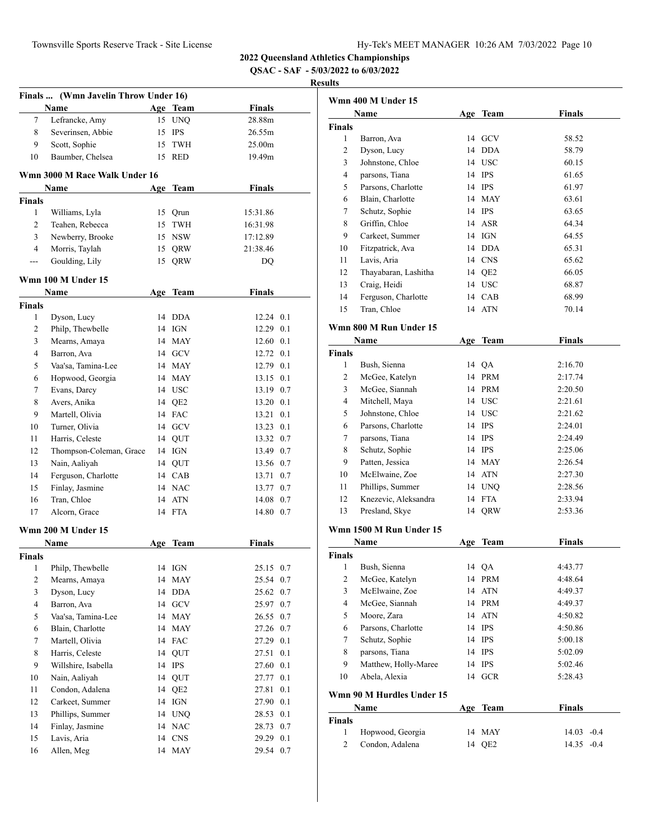**QSAC - SAF - 5/03/2022 to 6/03/2022**

| Finals  (Wmn Javelin Throw Under 16) |                               |     |                 |                   |         |  |  |
|--------------------------------------|-------------------------------|-----|-----------------|-------------------|---------|--|--|
|                                      | Name                          |     | Age Team        | <b>Finals</b>     |         |  |  |
| 7                                    | Lefrancke, Amy                |     | 15 UNQ          | 28.88m            |         |  |  |
| 8                                    | Severinsen, Abbie             |     | 15 IPS          | 26.55m            |         |  |  |
| 9                                    | Scott, Sophie                 | 15  | <b>TWH</b>      | 25.00m            |         |  |  |
| 10                                   | Baumber, Chelsea              |     | 15 RED          | 19.49m            |         |  |  |
|                                      |                               |     |                 |                   |         |  |  |
|                                      | Wmn 3000 M Race Walk Under 16 |     |                 |                   |         |  |  |
|                                      | Name                          |     | Age Team        | <b>Finals</b>     |         |  |  |
| <b>Finals</b>                        |                               |     |                 |                   |         |  |  |
| 1                                    | Williams, Lyla                |     | 15 Qrun         | 15:31.86          |         |  |  |
| $\overline{c}$                       | Teahen, Rebecca               |     | 15 TWH          | 16:31.98          |         |  |  |
| 3                                    | Newberry, Brooke              |     | 15 NSW          | 17:12.89          |         |  |  |
| $\overline{4}$                       | Morris, Taylah                |     | 15 QRW          | 21:38.46          |         |  |  |
| ---                                  | Goulding, Lily                |     | 15 QRW          | DQ                |         |  |  |
|                                      |                               |     |                 |                   |         |  |  |
|                                      | Wmn 100 M Under 15            |     |                 |                   |         |  |  |
|                                      | Name                          |     | Age Team        | <b>Finals</b>     |         |  |  |
| <b>Finals</b>                        |                               |     |                 |                   |         |  |  |
| 1                                    | Dyson, Lucy                   |     | 14 DDA          | 12.24 0.1         |         |  |  |
| 2                                    | Philp, Thewbelle              |     | 14 IGN          | 12.29 0.1         |         |  |  |
| 3                                    | Mearns, Amaya                 |     | 14 MAY          | 12.60 0.1         |         |  |  |
| 4                                    | Barron, Ava                   |     | 14 GCV          | 12.72 0.1         |         |  |  |
| 5                                    | Vaa'sa, Tamina-Lee            |     | 14 MAY          | 12.79 0.1         |         |  |  |
| 6                                    | Hopwood, Georgia              |     | 14 MAY          | $13.15 \quad 0.1$ |         |  |  |
| 7                                    | Evans, Darcy                  |     | 14 USC          | 13.19 0.7         |         |  |  |
| 8                                    | Avers, Anika                  |     | 14 QE2          | 13.20 0.1         |         |  |  |
| 9                                    | Martell, Olivia               |     | 14 FAC          | 13.21 0.1         |         |  |  |
| 10                                   | Turner, Olivia                |     | 14 GCV          | 13.23 0.1         |         |  |  |
| 11                                   | Harris, Celeste               |     | 14 QUT          | 13.32 0.7         |         |  |  |
| 12                                   | Thompson-Coleman, Grace       |     | 14 IGN          | 13.49 0.7         |         |  |  |
| 13                                   | Nain, Aaliyah                 |     | 14 QUT          | 13.56 0.7         |         |  |  |
| 14                                   | Ferguson, Charlotte           |     | 14 CAB          | 13.71             | 0.7     |  |  |
| 15                                   | Finlay, Jasmine               |     | 14 NAC          | 13.77 0.7         |         |  |  |
| 16                                   | Tran, Chloe                   |     | 14 ATN          | 14.08 0.7         |         |  |  |
| 17                                   | Alcorn, Grace                 |     | 14 FTA          | 14.80 0.7         |         |  |  |
|                                      |                               |     |                 |                   |         |  |  |
|                                      | <b>Wmn 200 M Under 15</b>     |     |                 | <b>Finals</b>     |         |  |  |
|                                      | Name                          | Age | <b>Team</b>     |                   |         |  |  |
| <b>Finals</b>                        |                               |     |                 |                   |         |  |  |
| $\mathbf{1}$                         | Philp, Thewbelle              |     | 14 IGN          | 25.15             | 0.7     |  |  |
| $\overline{c}$                       | Mearns, Amaya                 | 14  | <b>MAY</b>      | 25.54             | 0.7     |  |  |
| 3                                    | Dyson, Lucy                   |     | 14 DDA          | 25.62             | $0.7\,$ |  |  |
| 4                                    | Barron, Ava                   |     | 14 GCV          | 25.97             | 0.7     |  |  |
| 5                                    | Vaa'sa, Tamina-Lee            |     | 14 MAY          | 26.55             | 0.7     |  |  |
| 6                                    | Blain, Charlotte              | 14  | MAY             | 27.26             | $0.7\,$ |  |  |
| 7                                    | Martell, Olivia               | 14  | <b>FAC</b>      | 27.29             | 0.1     |  |  |
| 8                                    | Harris, Celeste               | 14  | QUT             | 27.51             | $0.1\,$ |  |  |
| 9                                    | Willshire, Isabella           | 14  | $\rm IPS$       | 27.60             | 0.1     |  |  |
| 10                                   | Nain, Aaliyah                 | 14  | QUT             | 27.77             | 0.1     |  |  |
| 11                                   | Condon, Adalena               | 14  | QE <sub>2</sub> | 27.81             | 0.1     |  |  |
| 12                                   | Carkeet, Summer               |     | 14 IGN          | 27.90 0.1         |         |  |  |
| 13                                   | Phillips, Summer              |     | 14 UNQ          | 28.53             | 0.1     |  |  |
| 14                                   | Finlay, Jasmine               |     | 14 NAC          | 28.73             | 0.7     |  |  |
| 15                                   | Lavis, Aria                   |     | 14 CNS          | 29.29             | 0.1     |  |  |
| 16                                   | Allen, Meg                    |     | 14 MAY          | 29.54             | 0.7     |  |  |

|                         | Wmn 400 M Under 15                  |          |                        |                                    |
|-------------------------|-------------------------------------|----------|------------------------|------------------------------------|
|                         | <b>Name</b>                         |          | Age Team               | <b>Finals</b>                      |
| <b>Finals</b>           |                                     |          |                        |                                    |
| 1                       | Barron, Ava                         |          | 14 GCV                 | 58.52                              |
| $\overline{c}$          | Dyson, Lucy                         |          | 14 DDA                 | 58.79                              |
| 3                       | Johnstone, Chloe                    |          | 14 USC                 | 60.15                              |
| $\overline{4}$          | parsons, Tiana                      |          | 14 IPS                 | 61.65                              |
| 5                       | Parsons, Charlotte                  |          | 14 IPS                 | 61.97                              |
| 6                       | Blain, Charlotte                    |          | 14 MAY                 | 63.61                              |
| 7                       | Schutz, Sophie                      |          | 14 IPS                 | 63.65                              |
| 8                       | Griffin, Chloe                      |          | 14 ASR                 | 64.34                              |
| 9                       | Carkeet, Summer                     |          | 14 IGN                 | 64.55                              |
| 10                      | Fitzpatrick, Ava                    |          | 14 DDA                 | 65.31                              |
| 11                      | Lavis, Aria                         |          | 14 CNS                 | 65.62                              |
| 12                      | Thayabaran, Lashitha                |          | 14 QE2                 | 66.05                              |
| 13                      | Craig, Heidi                        |          | 14 USC                 | 68.87                              |
| 14                      | Ferguson, Charlotte                 |          | 14 CAB                 | 68.99                              |
| 15                      | Tran, Chloe                         |          | 14 ATN                 | 70.14                              |
|                         | Wmn 800 M Run Under 15              |          |                        |                                    |
|                         | Name                                |          | Age Team               | <b>Finals</b>                      |
| <b>Finals</b>           |                                     |          |                        |                                    |
| 1                       | Bush, Sienna                        |          | 14 QA                  | 2:16.70                            |
| 2                       | McGee, Katelyn                      |          | 14 PRM                 | 2:17.74                            |
| 3                       | McGee, Siannah                      |          | 14 PRM                 | 2:20.50                            |
| 4                       | Mitchell, Maya                      |          | 14 USC                 | 2:21.61                            |
| 5                       | Johnstone, Chloe                    |          | 14 USC                 | 2:21.62                            |
| 6                       | Parsons, Charlotte                  |          | 14 IPS                 | 2:24.01                            |
| 7                       | parsons, Tiana                      |          | 14 IPS                 | 2:24.49                            |
| 8                       | Schutz, Sophie                      |          | 14 IPS                 | 2:25.06                            |
| 9                       | Patten, Jessica                     |          | 14 MAY                 | 2:26.54                            |
| 10                      | McElwaine, Zoe                      |          | 14 ATN                 | 2:27.30                            |
| 11                      | Phillips, Summer                    |          | 14 UNQ                 | 2:28.56                            |
| 12                      | Knezevic, Aleksandra                |          | 14 FTA                 | 2:33.94                            |
| 13                      | Presland, Skye                      |          | 14 QRW                 | 2:53.36                            |
|                         |                                     |          |                        |                                    |
|                         | Wmn 1500 M Run Under 15             |          |                        |                                    |
|                         | Name                                | Age      | Team                   | <b>Finals</b>                      |
| <b>Finals</b>           |                                     |          |                        |                                    |
| 1                       | Bush, Sienna                        | 14       | $\mathsf{QA}$          | 4:43.77                            |
| $\mathfrak{2}$          | McGee, Katelyn                      | 14       | PRM                    | 4:48.64                            |
| 3                       | McElwaine, Zoe                      | 14       | <b>ATN</b>             | 4:49.37                            |
| 4                       | McGee, Siannah                      |          | 14 PRM                 | 4:49.37                            |
| 5                       | Moore, Zara                         | 14       | <b>ATN</b>             | 4:50.82                            |
| 6                       | Parsons, Charlotte                  | 14       | <b>IPS</b>             | 4:50.86                            |
| 7                       | Schutz, Sophie                      | 14       | IPS                    | 5:00.18                            |
| 8                       | parsons, Tiana                      | 14       | <b>IPS</b>             | 5:02.09                            |
| 9                       | Matthew, Holly-Maree                | 14       | <b>IPS</b>             | 5:02.46                            |
| 10                      | Abela, Alexia                       |          | 14 GCR                 | 5:28.43                            |
|                         | Wmn 90 M Hurdles Under 15           |          |                        |                                    |
|                         | Name                                | Age      | <b>Team</b>            | <b>Finals</b>                      |
|                         |                                     |          |                        |                                    |
|                         |                                     |          |                        |                                    |
|                         |                                     |          |                        |                                    |
| <b>Finals</b><br>1<br>2 | Hopwood, Georgia<br>Condon, Adalena | 14<br>14 | MAY<br>QE <sub>2</sub> | 14.03<br>$-0.4$<br>14.35<br>$-0.4$ |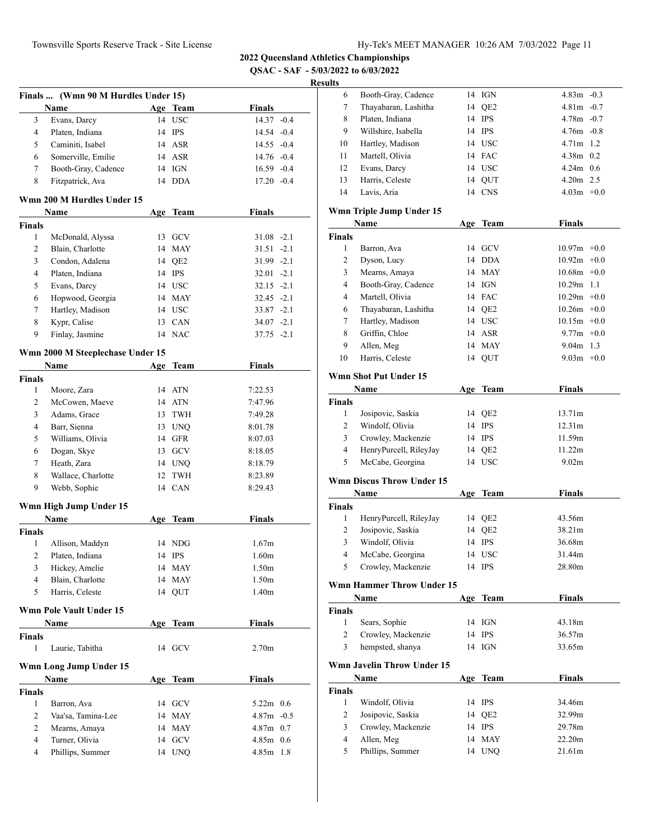**QSAC - SAF - 5/03/2022 to 6/03/2022**

| Finals  (Wmn 90 M Hurdles Under 15) |                                  |    |          |                   |  |  |  |
|-------------------------------------|----------------------------------|----|----------|-------------------|--|--|--|
|                                     | Name                             |    | Age Team | <b>Finals</b>     |  |  |  |
| 3                                   | Evans, Darcy                     |    | 14 USC   | 14.37 -0.4        |  |  |  |
| $\overline{4}$                      | Platen, Indiana                  |    | 14 IPS   | 14.54 -0.4        |  |  |  |
| 5                                   | Caminiti, Isabel                 |    | 14 ASR   | $14.55 - 0.4$     |  |  |  |
| 6                                   | Somerville, Emilie               |    | 14 ASR   | 14.76 -0.4        |  |  |  |
| $\tau$                              | Booth-Gray, Cadence              |    | 14 IGN   | $16.59 - 0.4$     |  |  |  |
| 8                                   | Fitzpatrick, Ava                 |    | 14 DDA   | $17.20 -0.4$      |  |  |  |
|                                     | Wmn 200 M Hurdles Under 15       |    |          |                   |  |  |  |
|                                     | Name                             |    | Age Team | <b>Finals</b>     |  |  |  |
| <b>Finals</b>                       |                                  |    |          |                   |  |  |  |
| 1                                   | McDonald, Alyssa                 |    | 13 GCV   | $31.08 - 2.1$     |  |  |  |
| 2                                   | Blain, Charlotte                 |    | 14 MAY   | 31.51<br>$-2.1$   |  |  |  |
| 3                                   | Condon, Adalena                  |    | 14 QE2   | $31.99 - 2.1$     |  |  |  |
| $\overline{4}$                      | Platen, Indiana                  |    | 14 IPS   | $32.01 -2.1$      |  |  |  |
| 5                                   | Evans, Darcy                     |    | 14 USC   | $32.15 -2.1$      |  |  |  |
| 6                                   | Hopwood, Georgia                 |    | 14 MAY   | $32.45 -2.1$      |  |  |  |
| 7                                   | Hartley, Madison                 |    | 14 USC   | $33.87 -2.1$      |  |  |  |
| 8                                   | Kypr, Calise                     |    | 13 CAN   | $34.07 -2.1$      |  |  |  |
| 9                                   | Finlay, Jasmine                  |    | 14 NAC   | $37.75 - 2.1$     |  |  |  |
|                                     | Wmn 2000 M Steeplechase Under 15 |    |          |                   |  |  |  |
|                                     | Name                             |    | Age Team | <b>Finals</b>     |  |  |  |
| <b>Finals</b>                       |                                  |    |          |                   |  |  |  |
| 1                                   | Moore, Zara                      |    | 14 ATN   | 7:22.53           |  |  |  |
| 2                                   | McCowen, Maeve                   |    | 14 ATN   | 7:47.96           |  |  |  |
| 3                                   | Adams, Grace                     |    | 13 TWH   | 7:49.28           |  |  |  |
| $\overline{4}$                      | Barr, Sienna                     |    | 13 UNQ   | 8:01.78           |  |  |  |
| 5                                   | Williams, Olivia                 |    | 14 GFR   | 8:07.03           |  |  |  |
| 6                                   | Dogan, Skye                      |    | 13 GCV   | 8:18.05           |  |  |  |
| 7                                   | Heath, Zara                      |    | 14 UNQ   | 8:18.79           |  |  |  |
| 8                                   | Wallace, Charlotte               | 12 | TWH      | 8:23.89           |  |  |  |
| 9                                   | Webb, Sophie                     |    | 14 CAN   | 8:29.43           |  |  |  |
|                                     | Wmn High Jump Under 15           |    |          |                   |  |  |  |
|                                     | Name                             |    | Age Team | Finals            |  |  |  |
| <b>Finals</b>                       |                                  |    |          |                   |  |  |  |
| 1                                   | Allison, Maddyn                  |    | 14 NDG   | 1.67m             |  |  |  |
| 2                                   | Platen, Indiana                  |    | 14 IPS   | 1.60 <sub>m</sub> |  |  |  |
| 3                                   | Hickey, Amelie                   |    | 14 MAY   | 1.50m             |  |  |  |
| $\overline{4}$                      | Blain, Charlotte                 | 14 | MAY      | 1.50m             |  |  |  |
| 5                                   | Harris, Celeste                  |    | 14 QUT   | 1.40m             |  |  |  |
|                                     | <b>Wmn Pole Vault Under 15</b>   |    |          |                   |  |  |  |
|                                     | Name                             |    | Age Team | <b>Finals</b>     |  |  |  |
| <b>Finals</b>                       |                                  |    |          |                   |  |  |  |
| 1                                   | Laurie, Tabitha                  |    | 14 GCV   | 2.70 <sub>m</sub> |  |  |  |
|                                     | Wmn Long Jump Under 15           |    |          |                   |  |  |  |
|                                     | Name                             |    | Age Team | <b>Finals</b>     |  |  |  |
| Finals                              |                                  |    |          |                   |  |  |  |
| 1                                   | Barron, Ava                      |    | 14 GCV   | 5.22 $m$ 0.6      |  |  |  |
| 2                                   | Vaa'sa, Tamina-Lee               |    | 14 MAY   | $4.87m - 0.5$     |  |  |  |
| 2                                   | Mearns, Amaya                    |    | 14 MAY   | $4.87m$ 0.7       |  |  |  |
| $\overline{4}$                      | Turner, Olivia                   |    | 14 GCV   | $4.85m$ 0.6       |  |  |  |
| $\overline{4}$                      | Phillips, Summer                 |    | 14 UNQ   | 4.85m 1.8         |  |  |  |

| ults           |                                   |    |                 |                   |  |
|----------------|-----------------------------------|----|-----------------|-------------------|--|
| 6              | Booth-Gray, Cadence               |    | 14 IGN          | $4.83m - 0.3$     |  |
| 7              | Thayabaran, Lashitha              | 14 | QE <sub>2</sub> | $4.81m - 0.7$     |  |
| 8              | Platen, Indiana                   | 14 | <b>IPS</b>      | $4.78m - 0.7$     |  |
| 9              | Willshire, Isabella               |    | 14 IPS          | $4.76m - 0.8$     |  |
| 10             | Hartley, Madison                  |    | 14 USC          | 4.71m 1.2         |  |
| 11             | Martell, Olivia                   |    | 14 FAC          | $4.38m$ 0.2       |  |
| 12             | Evans, Darcy                      | 14 | <b>USC</b>      | $4.24m$ 0.6       |  |
| 13             | Harris, Celeste                   |    | 14 QUT          | $4.20m$ 2.5       |  |
| 14             | Lavis, Aria                       |    | 14 CNS          | $4.03m + 0.0$     |  |
|                | Wmn Triple Jump Under 15          |    |                 |                   |  |
|                | Name                              |    | Age Team        | <b>Finals</b>     |  |
| <b>Finals</b>  |                                   |    |                 |                   |  |
| 1              | Barron, Ava                       |    | 14 GCV          | $10.97m + 0.0$    |  |
| $\mathfrak{2}$ | Dyson, Lucy                       |    | 14 DDA          | $10.92m + 0.0$    |  |
| 3              | Mearns, Amaya                     |    | 14 MAY          | $10.68m + 0.0$    |  |
| 4              | Booth-Gray, Cadence               | 14 | IGN             | $10.29m$ 1.1      |  |
| 4              | Martell, Olivia                   |    | 14 FAC          | $10.29m + 0.0$    |  |
| 6              | Thayabaran, Lashitha              |    | 14 QE2          | $10.26m + 0.0$    |  |
| 7              | Hartley, Madison                  | 14 | <b>USC</b>      | $10.15m + 0.0$    |  |
| 8              | Griffin, Chloe                    | 14 | ASR             | $9.77m + 0.0$     |  |
| 9              | Allen, Meg                        | 14 | <b>MAY</b>      | $9.04m$ 1.3       |  |
| 10             | Harris, Celeste                   | 14 | QUT             | $9.03m + 0.0$     |  |
|                |                                   |    |                 |                   |  |
|                | <b>Wmn Shot Put Under 15</b>      |    |                 |                   |  |
|                | Name                              |    | Age Team        | <b>Finals</b>     |  |
| <b>Finals</b>  |                                   |    |                 |                   |  |
| 1              | Josipovic, Saskia                 |    | 14 QE2          | 13.71m            |  |
| 2              | Windolf, Olivia                   |    | 14 IPS          | 12.31m            |  |
| 3              | Crowley, Mackenzie                |    | 14 IPS          | 11.59m            |  |
| 4              | HenryPurcell, RileyJay            |    | 14 QE2          | 11.22m            |  |
| 5              | McCabe, Georgina                  |    | 14 USC          | 9.02 <sub>m</sub> |  |
|                | <b>Wmn Discus Throw Under 15</b>  |    |                 |                   |  |
|                | Name                              |    | Age Team        | <b>Finals</b>     |  |
| <b>Finals</b>  |                                   |    |                 |                   |  |
| 1              | HenryPurcell, RileyJay            |    | 14 QE2          | 43.56m            |  |
| 2              | Josipovic, Saskia                 | 14 | QE <sub>2</sub> | 38.21m            |  |
| 3              | Windolf, Olivia                   | 14 | <b>IPS</b>      | 36.68m            |  |
| $\overline{4}$ | McCabe, Georgina                  |    | 14 USC          | 31.44m            |  |
| 5              | Crowley, Mackenzie                |    | 14 IPS          | 28.80m            |  |
|                |                                   |    |                 |                   |  |
|                | Wmn Hammer Throw Under 15         |    |                 |                   |  |
|                | Name                              |    | Age Team        | <b>Finals</b>     |  |
| <b>Finals</b>  |                                   |    |                 |                   |  |
| $\mathbf{1}$   | Sears, Sophie                     | 14 | IGN             | 43.18m            |  |
| 2              | Crowley, Mackenzie                | 14 | <b>IPS</b>      | 36.57m            |  |
| 3              | hempsted, shanya                  |    | 14 IGN          | 33.65m            |  |
|                | <b>Wmn Javelin Throw Under 15</b> |    |                 |                   |  |
|                | Name                              |    | Age Team        | <b>Finals</b>     |  |
| Finals         |                                   |    |                 |                   |  |
| 1              | Windolf, Olivia                   | 14 | IPS             | 34.46m            |  |
| 2              | Josipovic, Saskia                 | 14 | QE <sub>2</sub> | 32.99m            |  |
| 3              | Crowley, Mackenzie                | 14 | <b>IPS</b>      | 29.78m            |  |
| 4              | Allen, Meg                        |    | 14 MAY          | 22.20m            |  |
| 5              | Phillips, Summer                  |    | 14 UNQ          | 21.61m            |  |
|                |                                   |    |                 |                   |  |
|                |                                   |    |                 |                   |  |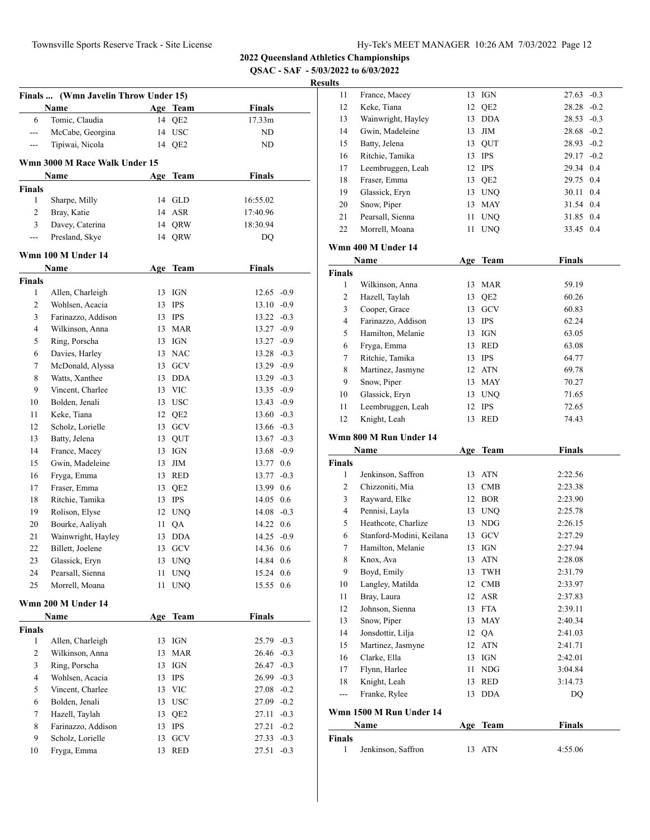**2022 Queensland Athletics Championships**

**QSAC - SAF - 5/03/2022 to 6/03/2022**

#### **Results**

|               | Finals  (Wmn Javelin Throw Under 15) |     |                         |               |        |
|---------------|--------------------------------------|-----|-------------------------|---------------|--------|
|               | Name                                 |     | Age Team                | <b>Finals</b> |        |
| 6             | Tomic, Claudia                       | 14  | QE <sub>2</sub>         | 17.33m        |        |
| $---$         | McCabe, Georgina                     | 14  | <b>USC</b>              | ND.           |        |
| ---           | Tipiwai, Nicola                      | 14  | QE <sub>2</sub>         | ND            |        |
|               | Wmn 3000 M Race Walk Under 15        |     |                         |               |        |
|               | Name                                 |     | Age Team                | <b>Finals</b> |        |
| Finals        |                                      |     |                         |               |        |
| 1             | Sharpe, Milly                        |     | 14 GLD                  | 16:55.02      |        |
| 2             | Bray, Katie                          | 14  | ASR                     | 17:40.96      |        |
| 3             | Davey, Caterina                      | 14  | QRW                     | 18:30.94      |        |
| ---           | Presland, Skye                       | 14  | QRW                     | DQ            |        |
|               | Wmn 100 M Under 14                   |     |                         |               |        |
|               | <b>Name</b>                          |     | Age Team                | <b>Finals</b> |        |
| Finals        |                                      |     |                         |               |        |
| $\mathbf{1}$  | Allen, Charleigh                     | 13  | <b>IGN</b>              | $12.65 -0.9$  |        |
| 2             | Wohlsen, Acacia                      | 13  | IPS                     | $13.10 -0.9$  |        |
| 3             | Farinazzo, Addison                   |     | 13 IPS                  | $13.22 -0.3$  |        |
| 4             | Wilkinson, Anna                      |     | 13 MAR                  | 13.27 -0.9    |        |
| 5             | Ring, Porscha                        |     | 13 IGN                  | $13.27 -0.9$  |        |
| 6             | Davies, Harley                       |     | 13 NAC                  | $13.28 - 0.3$ |        |
| 7             | McDonald, Alyssa                     |     | 13 GCV                  | 13.29 -0.9    |        |
| 8             | Watts, Xanthee                       | 13  | <b>DDA</b>              | $13.29 -0.3$  |        |
| 9             | Vincent, Charlee                     | 13  | <b>VIC</b>              | $13.35 -0.9$  |        |
| 10            | Bolden, Jenali                       |     | 13 USC                  | $13.43 - 0.9$ |        |
| 11            | Keke, Tiana                          |     | 12 QE2                  | $13.60 - 0.3$ |        |
| 12            | Scholz, Lorielle                     |     | 13 GCV                  | 13.66 -0.3    |        |
| 13            | Batty, Jelena                        |     | 13 QUT                  | $13.67 - 0.3$ |        |
| 14            | France, Macey                        | 13  | IGN                     | 13.68         | $-0.9$ |
| 15            | Gwin, Madeleine                      | 13  | ЛM                      | 13.77 0.6     |        |
| 16            | Fryga, Emma                          |     | 13 RED                  | 13.77 -0.3    |        |
| 17            | Fraser, Emma                         |     | 13 QE2                  | 13.99         | 0.6    |
| 18            | Ritchie, Tamika                      | 13  | IPS                     | 14.05         | 0.6    |
| 19            | Rolison, Elyse                       |     | 12 UNQ                  | 14.08 -0.3    |        |
| $20\,$        | Bourke, Aaliyah                      | 11  | QA                      | 14.22         | 0.6    |
| 21            | Wainwright, Hayley                   | 13  | DDA                     | $14.25 -0.9$  |        |
| 22            | Billett, Joelene                     |     | 13 GCV                  | 14.36         | 0.6    |
| 23            | Glassick, Eryn                       | 13  | <b>UNQ</b>              | 14.84 0.6     |        |
| 24            | Pearsall, Sienna                     | 11  | <b>UNQ</b>              | 15.24 0.6     |        |
| 25            | Morrell, Moana                       | 11  | <b>UNQ</b>              | 15.55         | 0.6    |
|               | Wmn 200 M Under 14                   |     |                         |               |        |
|               | Name                                 | Age | <b>Team</b>             | <b>Finals</b> |        |
| <b>Finals</b> |                                      |     |                         |               |        |
| 1             | Allen, Charleigh                     | 13  | IGN                     | $25.79 - 0.3$ |        |
| $\mathbf{2}$  | Wilkinson, Anna                      | 13  | <b>MAR</b>              | 26.46 -0.3    |        |
| 3             | Ring, Porscha                        | 13  | IGN                     | 26.47         | $-0.3$ |
| 4             | Wohlsen, Acacia                      | 13  | <b>IPS</b>              | 26.99 -0.3    |        |
| 5             | Vincent, Charlee                     | 13  | <b>VIC</b>              | 27.08 -0.2    |        |
| 6             | Bolden, Jenali                       | 13  | <b>USC</b>              | 27.09 -0.2    |        |
| $\tau$        | Hazell, Taylah                       | 13  | QE <sub>2</sub>         | 27.11         | $-0.3$ |
| $\,$ 8 $\,$   | Farinazzo, Addison                   | 13  | <b>IPS</b>              | 27.21         | $-0.2$ |
| 9             | Scholz, Lorielle                     | 13  | GCV                     | 27.33         | $-0.3$ |
|               | Fryga, Emma                          |     | $\mathop{\mathsf{RED}}$ |               |        |

| 11 | France, Macey      | 13 | IGN        | 27.63         | $-0.3$ |
|----|--------------------|----|------------|---------------|--------|
| 12 | Keke, Tiana        |    | 12 QE2     | $28.28 - 0.2$ |        |
| 13 | Wainwright, Hayley | 13 | DDA        | $28.53 - 0.3$ |        |
| 14 | Gwin, Madeleine    |    | $13$ JIM   | $28.68 - 0.2$ |        |
| 15 | Batty, Jelena      |    | 13 OUT     | $28.93 - 0.2$ |        |
| 16 | Ritchie, Tamika    | 13 | <b>IPS</b> | $29.17 - 0.2$ |        |
| 17 | Leembruggen, Leah  |    | 12 IPS     | 29.34 0.4     |        |
| 18 | Fraser, Emma       |    | 13 QE2     | 29.75 0.4     |        |
| 19 | Glassick, Eryn     | 13 | <b>UNO</b> | 30.11 0.4     |        |
| 20 | Snow, Piper        | 13 | MAY        | 31.54 0.4     |        |
| 21 | Pearsall, Sienna   | 11 | <b>UNO</b> | 31.85 0.4     |        |
| 22 | Morrell, Moana     | 11 | <b>UNO</b> | 33.45 0.4     |        |
|    |                    |    |            |               |        |

# **Wmn 400 M Under 14**

|               | Name               | Age | Team            | <b>Finals</b> |
|---------------|--------------------|-----|-----------------|---------------|
| <b>Finals</b> |                    |     |                 |               |
| 1             | Wilkinson, Anna    | 13  | MAR             | 59.19         |
| 2             | Hazell, Taylah     | 13  | QE <sub>2</sub> | 60.26         |
| 3             | Cooper, Grace      | 13  | <b>GCV</b>      | 60.83         |
| 4             | Farinazzo, Addison | 13  | <b>IPS</b>      | 62.24         |
| 5             | Hamilton, Melanie  | 13  | IGN             | 63.05         |
| 6             | Fryga, Emma        | 13  | RED             | 63.08         |
| 7             | Ritchie, Tamika    | 13  | <b>IPS</b>      | 64.77         |
| 8             | Martinez, Jasmyne  | 12  | ATN             | 69.78         |
| 9             | Snow, Piper        | 13  | MAY             | 70.27         |
| 10            | Glassick, Eryn     | 13  | <b>UNO</b>      | 71.65         |
| 11            | Leembruggen, Leah  | 12  | <b>IPS</b>      | 72.65         |
| 12            | Knight, Leah       | 13  | <b>RED</b>      | 74.43         |

#### **Wmn 800 M Run Under 14**

|               | Name                     | Age | Team       | <b>Finals</b> |
|---------------|--------------------------|-----|------------|---------------|
| <b>Finals</b> |                          |     |            |               |
| 1             | Jenkinson, Saffron       | 13  | <b>ATN</b> | 2:22.56       |
| 2             | Chizzoniti, Mia          | 13  | CMB        | 2:23.38       |
| 3             | Rayward, Elke            | 12  | <b>BOR</b> | 2:23.90       |
| 4             | Pennisi, Layla           | 13  | <b>UNQ</b> | 2:25.78       |
| 5             | Heathcote, Charlize      | 13  | <b>NDG</b> | 2:26.15       |
| 6             | Stanford-Modini, Keilana | 13  | <b>GCV</b> | 2:27.29       |
| 7             | Hamilton, Melanie        | 13  | <b>IGN</b> | 2:27.94       |
| 8             | Knox, Ava                | 13  | <b>ATN</b> | 2:28.08       |
| 9             | Boyd, Emily              | 13  | TWH        | 2:31.79       |
| 10            | Langley, Matilda         | 12  | CMB        | 2:33.97       |
| 11            | Bray, Laura              | 12  | <b>ASR</b> | 2:37.83       |
| 12            | Johnson, Sienna          | 13  | <b>FTA</b> | 2:39.11       |
| 13            | Snow, Piper              | 13  | MAY        | 2:40.34       |
| 14            | Jonsdottir, Lilja        | 12  | QA         | 2:41.03       |
| 15            | Martinez, Jasmyne        | 12  | <b>ATN</b> | 2:41.71       |
| 16            | Clarke, Ella             | 13  | <b>IGN</b> | 2:42.01       |
| 17            | Flynn, Harlee            | 11  | <b>NDG</b> | 3:04.84       |
| 18            | Knight, Leah             | 13  | <b>RED</b> | 3:14.73       |
| ---           | Franke, Rylee            | 13  | <b>DDA</b> | DQ            |
|               | Wmn 1500 M Run Under 14  |     |            |               |
|               | Name                     | Age | Team       | <b>Finals</b> |

| Finals |                      |        |         |
|--------|----------------------|--------|---------|
|        | 1 Jenkinson, Saffron | 13 ATN | 4:55.06 |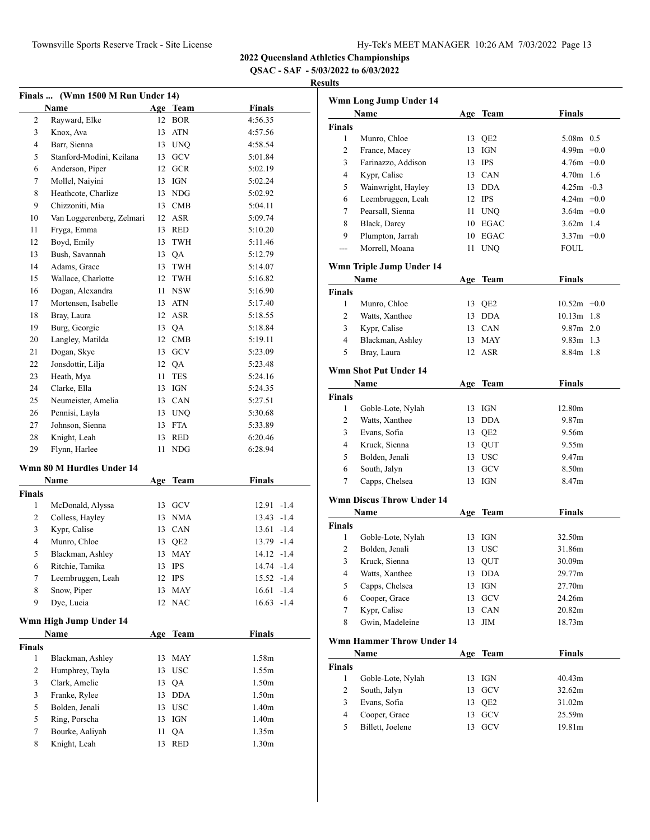**QSAC - SAF - 5/03/2022 to 6/03/2022**

| Finals  (Wmn 1500 M Run Under 14) |                           |    |            |                   |  |
|-----------------------------------|---------------------------|----|------------|-------------------|--|
|                                   | Name                      |    | Age Team   | <b>Finals</b>     |  |
| 2                                 | Rayward, Elke             |    | 12 BOR     | 4:56.35           |  |
| 3                                 | Knox, Ava                 | 13 | ATN        | 4:57.56           |  |
| 4                                 | Barr, Sienna              |    | 13 UNO     | 4:58.54           |  |
| 5                                 | Stanford-Modini, Keilana  |    | 13 GCV     | 5:01.84           |  |
| 6                                 | Anderson, Piper           |    | 12 GCR     | 5:02.19           |  |
| 7                                 | Mollel, Naiyini           |    | 13 IGN     | 5:02.24           |  |
| 8                                 | Heathcote, Charlize       |    | 13 NDG     | 5:02.92           |  |
| 9                                 | Chizzoniti, Mia           |    | 13 CMB     | 5:04.11           |  |
| 10                                | Van Loggerenberg, Zelmari |    | 12 ASR     | 5:09.74           |  |
| 11                                | Fryga, Emma               |    | 13 RED     | 5:10.20           |  |
| 12                                | Boyd, Emily               |    | 13 TWH     | 5:11.46           |  |
| 13                                | Bush, Savannah            |    | 13 QA      | 5:12.79           |  |
| 14                                | Adams, Grace              |    | 13 TWH     | 5:14.07           |  |
| 15                                | Wallace, Charlotte        |    | 12 TWH     | 5:16.82           |  |
| 16                                | Dogan, Alexandra          |    | 11 NSW     | 5:16.90           |  |
| 17                                | Mortensen, Isabelle       |    | 13 ATN     | 5:17.40           |  |
| 18                                | Bray, Laura               |    | 12 ASR     | 5:18.55           |  |
| 19                                | Burg, Georgie             |    | 13 QA      | 5:18.84           |  |
| 20                                | Langley, Matilda          |    | 12 CMB     | 5:19.11           |  |
| 21                                | Dogan, Skye               |    | 13 GCV     | 5:23.09           |  |
| 22                                | Jonsdottir, Lilja         |    | 12 QA      | 5:23.48           |  |
| 23                                | Heath, Mya                | 11 | <b>TES</b> | 5:24.16           |  |
| 24                                | Clarke, Ella              |    | 13 IGN     | 5:24.35           |  |
| 25                                | Neumeister, Amelia        |    | 13 CAN     | 5:27.51           |  |
| 26                                | Pennisi, Layla            |    | 13 UNQ     | 5:30.68           |  |
| 27                                | Johnson, Sienna           |    | 13 FTA     | 5:33.89           |  |
| 28                                | Knight, Leah              |    | 13 RED     | 6:20.46           |  |
| 29                                | Flynn, Harlee             | 11 | <b>NDG</b> | 6:28.94           |  |
|                                   |                           |    |            |                   |  |
|                                   | Wmn 80 M Hurdles Under 14 |    |            |                   |  |
|                                   | Name                      |    | Age Team   | <b>Finals</b>     |  |
| <b>Finals</b>                     |                           |    |            |                   |  |
| 1                                 | McDonald, Alyssa          |    | 13 GCV     | $12.91 - 1.4$     |  |
| 2                                 | Colless, Hayley           |    | 13 NMA     | $13.43 - 1.4$     |  |
| 3                                 | Kypr, Calise              |    | 13 CAN     | $13.61 - 1.4$     |  |
| 4                                 | Munro, Chloe              |    | 13 QE2     | 13.79 -1.4        |  |
| 5                                 | Blackman, Ashley          |    | 13 MAY     | $14.12 - 1.4$     |  |
| 6                                 | Ritchie, Tamika           | 13 | IPS        | 14.74 -1.4        |  |
| 7                                 | Leembruggen, Leah         | 12 | <b>IPS</b> | 15.52 -1.4        |  |
| 8                                 | Snow, Piper               | 13 | <b>MAY</b> | 16.61<br>$-1.4$   |  |
| 9                                 | Dye, Lucia                | 12 | <b>NAC</b> | 16.63<br>$-1.4$   |  |
|                                   | Wmn High Jump Under 14    |    |            |                   |  |
|                                   | Name                      |    | Age Team   | <b>Finals</b>     |  |
| Finals                            |                           |    |            |                   |  |
| 1                                 | Blackman, Ashley          | 13 | MAY        | 1.58m             |  |
| 2                                 | Humphrey, Tayla           | 13 | <b>USC</b> | 1.55m             |  |
| 3                                 | Clark, Amelie             | 13 | QA         | 1.50 <sub>m</sub> |  |
| 3                                 | Franke, Rylee             | 13 | <b>DDA</b> | 1.50 <sub>m</sub> |  |
| 5                                 | Bolden, Jenali            |    | 13 USC     | 1.40 <sub>m</sub> |  |
| 5                                 | Ring, Porscha             | 13 | IGN        | 1.40 <sub>m</sub> |  |
| 7                                 | Bourke, Aaliyah           | 11 | QA         | 1.35m             |  |
| 8                                 | Knight, Leah              | 13 | <b>RED</b> | 1.30 <sub>m</sub> |  |
|                                   |                           |    |            |                   |  |

|                | Wmn Long Jump Under 14           |    |                   |                   |
|----------------|----------------------------------|----|-------------------|-------------------|
|                | Name                             |    | Age Team          | <b>Finals</b>     |
| <b>Finals</b>  |                                  |    |                   |                   |
| $\mathbf{1}$   | Munro, Chloe                     | 13 | QE <sub>2</sub>   | 5.08m 0.5         |
| 2              | France, Macey                    |    | 13 IGN            | $4.99m +0.0$      |
| 3              | Farinazzo, Addison               |    | 13 IPS            | $4.76m + 0.0$     |
| 4              | Kypr, Calise                     |    | 13 CAN            | $4.70m$ 1.6       |
| 5              | Wainwright, Hayley               |    | 13 DDA            | $4.25m - 0.3$     |
| 6              | Leembruggen, Leah                |    | 12 IPS            | $4.24m +0.0$      |
| 7              | Pearsall, Sienna                 |    | 11 UNQ            | $3.64m + 0.0$     |
| 8              | Black, Darcy                     |    | 10 EGAC           | $3.62m$ 1.4       |
| 9              | Plumpton, Jarrah                 |    | 10 EGAC           | $3.37m +0.0$      |
| ---            | Morrell, Moana                   | 11 | <b>UNQ</b>        | FOUL              |
|                | Wmn Triple Jump Under 14         |    |                   |                   |
|                | Name                             |    | Age Team          | <b>Finals</b>     |
| <b>Finals</b>  |                                  |    |                   |                   |
| 1              | Munro, Chloe                     |    | 13 QE2            | $10.52m + 0.0$    |
| 2              | Watts, Xanthee                   |    | 13 DDA            | $10.13m$ 1.8      |
| 3              | Kypr, Calise                     |    | 13 CAN            | $9.87m$ 2.0       |
| $\overline{4}$ | Blackman, Ashley                 |    | 13 MAY            | 9.83m 1.3         |
| 5              | Bray, Laura                      | 12 | <b>ASR</b>        | 8.84m 1.8         |
|                | <b>Wmn Shot Put Under 14</b>     |    |                   |                   |
|                | Name                             |    | Age Team          | <b>Finals</b>     |
| <b>Finals</b>  |                                  |    |                   |                   |
| $\mathbf{1}$   | Goble-Lote, Nylah                |    | 13 IGN            | 12.80m            |
| 2              | Watts, Xanthee                   |    | 13 DDA            | 9.87 <sub>m</sub> |
| 3              | Evans, Sofia                     |    | 13 QE2            | 9.56m             |
| 4              | Kruck, Sienna                    |    | 13 QUT            | 9.55m             |
| 5              | Bolden, Jenali                   |    | 13 USC            | 9.47m             |
| 6              | South, Jalyn                     |    | 13 GCV            | 8.50 <sub>m</sub> |
| 7              | Capps, Chelsea                   |    | 13 IGN            | 8.47m             |
|                | <b>Wmn Discus Throw Under 14</b> |    |                   |                   |
|                | Name                             |    | Age Team          | <b>Finals</b>     |
| Finals         |                                  |    |                   |                   |
| 1              | Goble-Lote, Nylah                |    | 13 IGN            | 32.50m            |
| 2              | Bolden, Jenali                   |    | 13 USC            | 31.86m            |
| 3              | Kruck, Sienna                    |    | 13 QUT            | 30.09m            |
| 4              | Watts, Xanthee                   |    | 13 DDA            | 29.77m            |
| 5              | Capps, Chelsea                   | 13 | IGN               | 27.70m            |
| 6              | Cooper, Grace                    | 13 | GCV               | 24.26m            |
| 7              | Kypr, Calise                     | 13 | CAN               | 20.82m            |
| 8              | Gwin, Madeleine                  | 13 | ЛM                | 18.73m            |
|                | <b>Wmn Hammer Throw Under 14</b> |    |                   |                   |
|                | Name                             |    | Age Team          | <b>Finals</b>     |
| Finals         |                                  |    |                   |                   |
| 1              | Goble-Lote, Nylah                | 13 | IGN               | 40.43m            |
| 2              | South, Jalyn                     | 13 | $_{\mathrm{GCV}}$ | 32.62m            |
| 3              | Evans, Sofia                     | 13 | QE <sub>2</sub>   | 31.02m            |
| $\overline{4}$ | Cooper, Grace                    |    | 13 GCV            | 25.59m            |
| 5              | Billett, Joelene                 | 13 | GCV               | 19.81m            |
|                |                                  |    |                   |                   |
|                |                                  |    |                   |                   |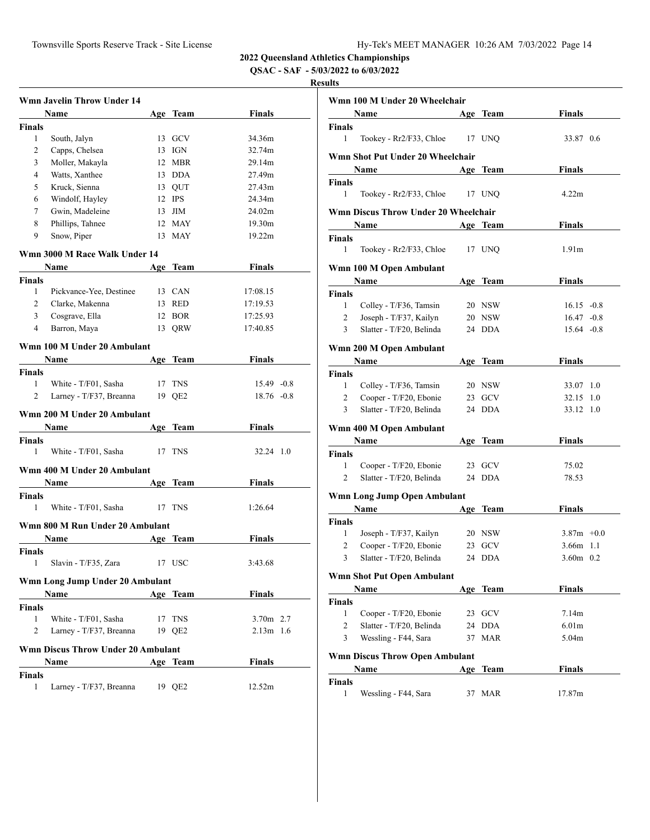**QSAC - SAF - 5/03/2022 to 6/03/2022**

|                | <b>Wmn Javelin Throw Under 14</b>  |     |            |               |  |
|----------------|------------------------------------|-----|------------|---------------|--|
|                | Name                               |     | Age Team   | Finals        |  |
| <b>Finals</b>  |                                    |     |            |               |  |
| 1              | South, Jalyn                       |     | 13 GCV     | 34.36m        |  |
| 2              | Capps, Chelsea                     |     | 13 IGN     | 32.74m        |  |
| 3              | Moller, Makayla                    |     | 12 MBR     | 29.14m        |  |
| 4              | Watts, Xanthee                     |     | 13 DDA     | 27.49m        |  |
| 5              | Kruck, Sienna                      |     | 13 QUT     | 27.43m        |  |
| 6              | Windolf, Hayley                    |     | 12 IPS     | 24.34m        |  |
| 7              | Gwin, Madeleine                    |     | $13$ JIM   | 24.02m        |  |
| 8              | Phillips, Tahnee                   |     | 12 MAY     | 19.30m        |  |
| 9              | Snow, Piper                        |     | 13 MAY     | 19.22m        |  |
|                | Wmn 3000 M Race Walk Under 14      |     |            |               |  |
|                | Name                               |     | Age Team   | Finals        |  |
| <b>Finals</b>  |                                    |     |            |               |  |
| 1              | Pickvance-Yee, Destinee            |     | 13 CAN     | 17:08.15      |  |
| $\overline{2}$ | Clarke, Makenna                    |     | 13 RED     | 17:19.53      |  |
| 3              | Cosgrave, Ella                     |     | 12 BOR     | 17:25.93      |  |
| 4              | Barron, Maya                       |     | 13 QRW     | 17:40.85      |  |
|                |                                    |     |            |               |  |
|                | Wmn 100 M Under 20 Ambulant        |     |            |               |  |
|                | Name                               |     | Age Team   | Finals        |  |
| <b>Finals</b>  |                                    |     |            |               |  |
| 1              | White - T/F01, Sasha               |     | 17 TNS     | $15.49 -0.8$  |  |
| 2              | Larney - T/F37, Breanna            |     | 19 OE2     | $18.76 - 0.8$ |  |
|                | Wmn 200 M Under 20 Ambulant        |     |            |               |  |
|                | Name                               | Age | Team       | <b>Finals</b> |  |
| <b>Finals</b>  |                                    |     |            |               |  |
| 1              | White - T/F01, Sasha               |     | 17 TNS     | 32.24 1.0     |  |
|                | Wmn 400 M Under 20 Ambulant        |     |            |               |  |
|                | Name                               |     | Age Team   | Finals        |  |
| <b>Finals</b>  |                                    |     |            |               |  |
| 1              | White - T/F01, Sasha               |     | 17 TNS     | 1:26.64       |  |
|                | Wmn 800 M Run Under 20 Ambulant    |     |            |               |  |
|                | Name                               |     | Age Team   | <b>Finals</b> |  |
| <b>Finals</b>  |                                    |     |            |               |  |
| 1              | Slavin - T/F35, Zara               | 17  | <b>USC</b> | 3:43.68       |  |
|                | Wmn Long Jump Under 20 Ambulant    |     |            |               |  |
|                | <b>Name</b>                        |     | Age Team   | <b>Finals</b> |  |
| <b>Finals</b>  |                                    |     |            |               |  |
| 1              | White - T/F01, Sasha               |     | 17 TNS     | 3.70m 2.7     |  |
| 2              | Larney - T/F37, Breanna            |     | 19 QE2     | $2.13m$ 1.6   |  |
|                |                                    |     |            |               |  |
|                | Wmn Discus Throw Under 20 Ambulant |     |            |               |  |
|                | Name                               |     | Age Team   | <b>Finals</b> |  |
| <b>Finals</b>  |                                    |     |            |               |  |
| 1              | Larney - T/F37, Breanna            |     | 19 QE2     | 12.52m        |  |

| Wmn 100 M Under 20 Wheelchair |                                                    |        |                  |                                |     |
|-------------------------------|----------------------------------------------------|--------|------------------|--------------------------------|-----|
|                               | Name                                               | Age    | Team             | Finals                         |     |
| <b>Finals</b>                 |                                                    |        |                  |                                |     |
| 1                             | Tookey - Rr2/F33, Chloe                            | 17 UNO |                  | 33.87 0.6                      |     |
|                               | Wmn Shot Put Under 20 Wheelchair                   |        |                  |                                |     |
|                               | Name                                               |        | Age Team         | Finals                         |     |
| Finals<br>1                   | Tookey - Rr2/F33, Chloe                            | 17 UNO |                  | 4.22m                          |     |
|                               | <b>Wmn Discus Throw Under 20 Wheelchair</b>        |        |                  |                                |     |
|                               | Name                                               |        | Age Team         | Finals                         |     |
| Finals                        |                                                    |        |                  |                                |     |
| 1                             | Tookey - Rr2/F33, Chloe                            |        | 17 UNQ           | 1.91 <sub>m</sub>              |     |
|                               | Wmn 100 M Open Ambulant                            |        |                  |                                |     |
|                               | Name                                               |        | Age Team         | Finals                         |     |
| Finals                        |                                                    |        |                  |                                |     |
| 1<br>$\overline{2}$           | Colley - T/F36, Tamsin                             |        | 20 NSW           | $16.15 - 0.8$<br>$16.47 - 0.8$ |     |
| 3                             | Joseph - T/F37, Kailyn<br>Slatter - T/F20, Belinda |        | 20 NSW<br>24 DDA | $15.64 - 0.8$                  |     |
|                               |                                                    |        |                  |                                |     |
|                               | Wmn 200 M Open Ambulant                            |        |                  |                                |     |
|                               | Name                                               |        | Age Team         | Finals                         |     |
| <b>Finals</b><br>1            | Colley - T/F36, Tamsin                             |        | 20 NSW           | 33.07                          | 1.0 |
| 2                             | Cooper - T/F20, Ebonie                             |        | 23 GCV           | 32.15                          | 1.0 |
| 3                             | Slatter - T/F20, Belinda                           |        | 24 DDA           | 33.12 1.0                      |     |
|                               |                                                    |        |                  |                                |     |
|                               | Wmn 400 M Open Ambulant<br><b>Name</b>             |        | Age Team         | Finals                         |     |
| <b>Finals</b>                 |                                                    |        |                  |                                |     |
| 1                             | Cooper - T/F20, Ebonie                             |        | 23 GCV           | 75.02                          |     |
| $\overline{2}$                | Slatter - T/F20, Belinda                           |        | 24 DDA           | 78.53                          |     |
|                               | Wmn Long Jump Open Ambulant                        |        |                  |                                |     |
|                               | Name                                               |        | Age Team         | Finals                         |     |
| <b>Finals</b>                 |                                                    |        |                  |                                |     |
| 1                             | Joseph - T/F37, Kailyn                             |        | 20 NSW           | $3.87m +0.0$                   |     |
| 2                             | Cooper - T/F20, Ebonie                             |        | 23 GCV           | $3.66m$ 1.1                    |     |
| 3                             | Slatter - T/F20, Belinda                           |        | 24 DDA           | $3.60m$ 0.2                    |     |
|                               | Wmn Shot Put Open Ambulant                         |        |                  |                                |     |
|                               | Name                                               |        | Age Team         | <b>Finals</b>                  |     |
| Finals                        |                                                    |        |                  |                                |     |
| 1                             | Cooper - T/F20, Ebonie                             | 23     | GCV              | 7.14m                          |     |
| 2                             | Slatter - T/F20, Belinda                           | 24     | <b>DDA</b>       | 6.01 <sub>m</sub>              |     |
| 3                             | Wessling - F44, Sara                               | 37     | MAR              | 5.04m                          |     |
|                               | <b>Wmn Discus Throw Open Ambulant</b>              |        |                  |                                |     |
|                               | Name                                               | Age    | Team             | Finals                         |     |
| Finals<br>1                   | Wessling - F44, Sara                               | 37     | <b>MAR</b>       | 17.87m                         |     |
|                               |                                                    |        |                  |                                |     |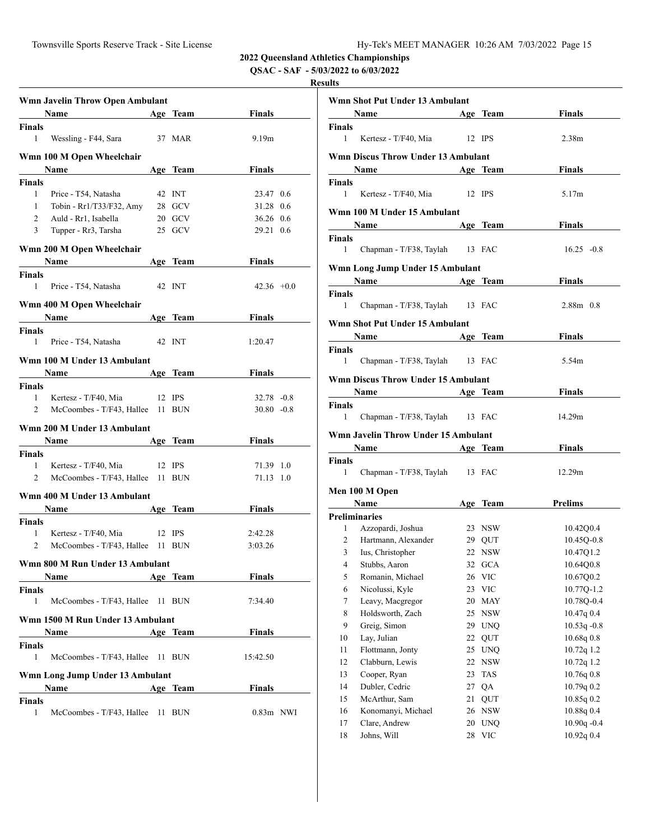**QSAC - SAF - 5/03/2022 to 6/03/2022**

|                | Wmn Javelin Throw Open Ambulant  |    |            |                   |  |
|----------------|----------------------------------|----|------------|-------------------|--|
|                | <b>Name</b>                      |    | Age Team   | <b>Finals</b>     |  |
| Finals         |                                  |    |            |                   |  |
| 1              | Wessling - F44, Sara             |    | 37 MAR     | 9.19 <sub>m</sub> |  |
|                | Wmn 100 M Open Wheelchair        |    |            |                   |  |
|                | Name                             |    | Age Team   | Finals            |  |
| Finals         |                                  |    |            |                   |  |
| 1              | Price - T54, Natasha             |    | 42 INT     | 23.47 0.6         |  |
| $\mathbf{1}$   | Tobin - Rr1/T33/F32, Amy         |    | 28 GCV     | 31.28 0.6         |  |
| $\overline{2}$ | Auld - Rr1, Isabella             |    | 20 GCV     | 36.26 0.6         |  |
| 3              | Tupper - Rr3, Tarsha             |    | 25 GCV     | 29.21 0.6         |  |
|                | Wmn 200 M Open Wheelchair        |    |            |                   |  |
|                | Name                             |    | Age Team   | Finals            |  |
| <b>Finals</b>  |                                  |    |            |                   |  |
| 1              | Price - T54, Natasha             |    | 42 INT     | $42.36 +0.0$      |  |
|                | Wmn 400 M Open Wheelchair        |    |            |                   |  |
|                | Name                             |    | Age Team   | Finals            |  |
| Finals         |                                  |    |            |                   |  |
| 1              | Price - T54, Natasha             |    | 42 INT     | 1:20.47           |  |
|                | Wmn 100 M Under 13 Ambulant      |    |            |                   |  |
|                | Name                             |    | Age Team   | Finals            |  |
| <b>Finals</b>  |                                  |    |            |                   |  |
| 1              | Kertesz - T/F40, Mia             |    | $12$ IPS   | $32.78 - 0.8$     |  |
| $\overline{2}$ | McCoombes - T/F43, Hallee 11 BUN |    |            | $30.80 - 0.8$     |  |
|                |                                  |    |            |                   |  |
|                | Wmn 200 M Under 13 Ambulant      |    |            |                   |  |
|                | <b>Name</b>                      |    | Age Team   | Finals            |  |
| Finals         |                                  |    |            |                   |  |
| $\mathbf{1}$   | Kertesz - T/F40, Mia             |    | $12$ IPS   | 71.39 1.0         |  |
| $\overline{2}$ | McCoombes - T/F43, Hallee 11 BUN |    |            | 71.13 1.0         |  |
|                | Wmn 400 M Under 13 Ambulant      |    |            |                   |  |
|                | <b>Name</b>                      |    | Age Team   | Finals            |  |
| Finals         |                                  |    |            |                   |  |
| 1              | Kertesz - T/F40, Mia             |    | 12 IPS     | 2:42.28           |  |
| 2              | McCoombes - T/F43, Hallee 11 BUN |    |            | 3:03.26           |  |
|                |                                  |    |            |                   |  |
|                | Wmn 800 M Run Under 13 Ambulant  |    |            |                   |  |
|                | Name                             |    | Age Team   | <b>Finals</b>     |  |
| <b>Finals</b>  |                                  |    |            |                   |  |
| 1              | McCoombes - T/F43, Hallee 11 BUN |    |            | 7:34.40           |  |
|                | Wmn 1500 M Run Under 13 Ambulant |    |            |                   |  |
|                | Name                             |    | Age Team   | Finals            |  |
| Finals         |                                  |    |            |                   |  |
| $\mathbf{1}$   | McCoombes - T/F43, Hallee        |    | 11 BUN     | 15:42.50          |  |
|                |                                  |    |            |                   |  |
|                | Wmn Long Jump Under 13 Ambulant  |    |            |                   |  |
|                | Name                             |    | Age Team   | <b>Finals</b>     |  |
| Finals         |                                  |    |            |                   |  |
| 1              | McCoombes - T/F43, Hallee        | 11 | <b>BUN</b> | $0.83m$ NWI       |  |

| $\overline{\phantom{a}}$ |                                                                                                                                                                                                                               |        |            |                   |
|--------------------------|-------------------------------------------------------------------------------------------------------------------------------------------------------------------------------------------------------------------------------|--------|------------|-------------------|
|                          | Wmn Shot Put Under 13 Ambulant                                                                                                                                                                                                |        |            |                   |
|                          | <b>Example 2</b> Solution Age Team                                                                                                                                                                                            |        |            | Finals            |
| Finals                   |                                                                                                                                                                                                                               |        |            |                   |
| 1                        | Kertesz - T/F40, Mia 12 IPS                                                                                                                                                                                                   |        |            | 2.38 <sub>m</sub> |
|                          | Wmn Discus Throw Under 13 Ambulant                                                                                                                                                                                            |        |            |                   |
|                          | Name Manual Communication of the Manual Communication of the Manual Communication of the Manual Communication of the Manual Communication of the Manual Communication of the Manual Communication of the Manual Communication |        | Age Team   | <b>Finals</b>     |
| Finals<br>1              | Kertesz - T/F40, Mia 12 IPS                                                                                                                                                                                                   |        |            |                   |
|                          | Wmn 100 M Under 15 Ambulant                                                                                                                                                                                                   |        |            | 5.17m             |
|                          |                                                                                                                                                                                                                               |        |            | Finals            |
| Finals                   | Name Age Team                                                                                                                                                                                                                 |        |            |                   |
| 1                        | Chapman - T/F38, Taylah 13 FAC                                                                                                                                                                                                |        |            | $16.25 -0.8$      |
|                          | Wmn Long Jump Under 15 Ambulant                                                                                                                                                                                               |        |            |                   |
|                          | <b>Example 2018</b> Mame Age Team                                                                                                                                                                                             |        |            | Finals            |
| Finals                   |                                                                                                                                                                                                                               |        |            |                   |
| 1                        | Chapman - T/F38, Taylah 13 FAC                                                                                                                                                                                                |        |            | $2.88m$ 0.8       |
|                          | Wmn Shot Put Under 15 Ambulant                                                                                                                                                                                                |        |            |                   |
|                          | Name Age Team                                                                                                                                                                                                                 |        |            | <b>Finals</b>     |
| Finals                   |                                                                                                                                                                                                                               |        |            |                   |
| 1                        | Chapman - T/F38, Taylah 13 FAC                                                                                                                                                                                                |        |            | 5.54m             |
|                          | Wmn Discus Throw Under 15 Ambulant                                                                                                                                                                                            |        |            |                   |
|                          | Name Age Team                                                                                                                                                                                                                 |        |            | <b>Finals</b>     |
| Finals                   |                                                                                                                                                                                                                               |        |            |                   |
| 1                        | Chapman - T/F38, Taylah 13 FAC                                                                                                                                                                                                |        |            | 14.29m            |
|                          |                                                                                                                                                                                                                               |        |            |                   |
|                          | Wmn Javelin Throw Under 15 Ambulant                                                                                                                                                                                           |        |            |                   |
|                          | <b>Solution Service Service Age Team</b>                                                                                                                                                                                      |        |            | <b>Finals</b>     |
| Finals<br>$\mathbf{1}$   | Chapman - T/F38, Taylah 13 FAC                                                                                                                                                                                                |        |            | 12.29m            |
|                          | Men 100 M Open                                                                                                                                                                                                                |        |            |                   |
|                          | <b>Name</b>                                                                                                                                                                                                                   |        | Age Team   | <b>Prelims</b>    |
|                          | Preliminaries                                                                                                                                                                                                                 |        |            |                   |
|                          | 1 Azzopardi, Joshua                                                                                                                                                                                                           | 23 NSW |            | 10.42Q0.4         |
|                          | 2 Hartmann, Alexander 29 QUT                                                                                                                                                                                                  |        |            | $10.45Q - 0.8$    |
|                          | 3 Ius, Christopher                                                                                                                                                                                                            |        | 22 NSW     | 10.47Q1.2         |
| 4                        | Stubbs, Aaron                                                                                                                                                                                                                 | 32     | GCA        | 10.64Q0.8         |
| 5                        | Romanin, Michael                                                                                                                                                                                                              | 26     | <b>VIC</b> | 10.67Q0.2         |
| 6                        | Nicolussi, Kyle                                                                                                                                                                                                               |        | 23 VIC     | 10.77Q-1.2        |
| 7                        | Leavy, Macgregor                                                                                                                                                                                                              | 20     | <b>MAY</b> | 10.78Q-0.4        |
| 8                        | Holdsworth, Zach                                                                                                                                                                                                              | 25     | <b>NSW</b> | 10.47q 0.4        |
| 9                        | Greig, Simon                                                                                                                                                                                                                  |        | 29 UNQ     | $10.53q - 0.8$    |
| 10                       | Lay, Julian                                                                                                                                                                                                                   | 22     | QUT        | 10.68q0.8         |
| 11                       | Flottmann, Jonty                                                                                                                                                                                                              | 25     | <b>UNQ</b> | 10.72q 1.2        |
| 12                       | Clabburn, Lewis                                                                                                                                                                                                               | 22     | <b>NSW</b> | 10.72q 1.2        |
| 13                       | Cooper, Ryan                                                                                                                                                                                                                  | 23     | <b>TAS</b> | 10.76q0.8         |
| 14                       | Dubler, Cedric                                                                                                                                                                                                                | 27     | QA         | 10.79q 0.2        |
| 15                       | McArthur, Sam                                                                                                                                                                                                                 | 21     | QUT        | 10.85q 0.2        |
| 16                       | Konomanyi, Michael                                                                                                                                                                                                            | 26     | <b>NSW</b> | 10.88q 0.4        |
| 17                       | Clare, Andrew                                                                                                                                                                                                                 | 20     | <b>UNQ</b> | $10.90q - 0.4$    |
| 18                       | Johns, Will                                                                                                                                                                                                                   | 28     | <b>VIC</b> | 10.92q 0.4        |
|                          |                                                                                                                                                                                                                               |        |            |                   |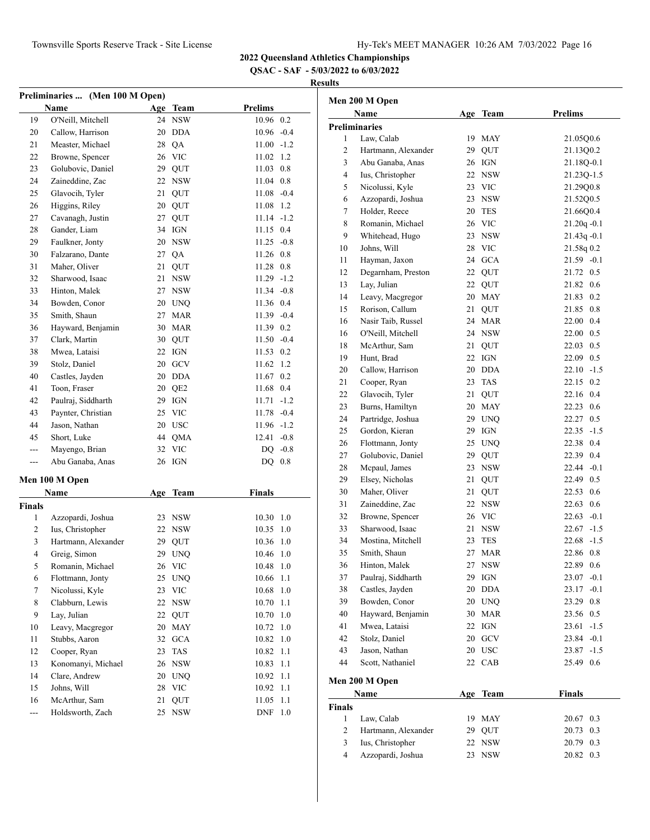**QSAC - SAF - 5/03/2022 to 6/03/2022**

| Preliminaries  (Men 100 M Open) |                     |     |             |                |         |  |
|---------------------------------|---------------------|-----|-------------|----------------|---------|--|
|                                 | Name                | Age | Team        | <b>Prelims</b> |         |  |
| 19                              | O'Neill, Mitchell   |     | 24 NSW      | 10.96 0.2      |         |  |
| 20                              | Callow, Harrison    |     | 20 DDA      | $10.96 - 0.4$  |         |  |
| 21                              | Measter, Michael    |     | 28 QA       | $11.00 -1.2$   |         |  |
| 22                              | Browne, Spencer     |     | 26 VIC      | 11.02          | 1.2     |  |
| 23                              | Golubovic, Daniel   |     | 29 QUT      | 11.03          | 0.8     |  |
| 24                              | Zaineddine, Zac     |     | 22 NSW      | 11.04          | 0.8     |  |
| 25                              | Glavocih, Tyler     | 21  | QUT         | 11.08          | $-0.4$  |  |
| 26                              | Higgins, Riley      |     | 20 QUT      | 11.08          | 1.2     |  |
| 27                              | Cavanagh, Justin    | 27  | QUT         | 11.14          | $-1.2$  |  |
| 28                              | Gander, Liam        |     | 34 IGN      | 11.15 0.4      |         |  |
| 29                              | Faulkner, Jonty     |     | 20 NSW      | $11.25 -0.8$   |         |  |
| 30                              | Falzarano, Dante    |     | 27 QA       | 11.26 0.8      |         |  |
| 31                              | Maher, Oliver       | 21  | QUT         | 11.28 0.8      |         |  |
| 32                              | Sharwood, Isaac     | 21  | <b>NSW</b>  | $11.29 - 1.2$  |         |  |
| 33                              | Hinton, Malek       |     | 27 NSW      | $11.34 -0.8$   |         |  |
| 34                              | Bowden, Conor       |     | 20 UNQ      | 11.36 0.4      |         |  |
| 35                              | Smith, Shaun        | 27  | <b>MAR</b>  | $11.39 -0.4$   |         |  |
| 36                              | Hayward, Benjamin   |     | 30 MAR      | 11.39 0.2      |         |  |
| 37                              | Clark, Martin       |     | 30 QUT      | $11.50 -0.4$   |         |  |
| 38                              | Mwea, Lataisi       | 22  | IGN         | 11.53          | 0.2     |  |
| 39                              | Stolz, Daniel       | 20  | ${\rm GCV}$ | 11.62          | 1.2     |  |
| 40                              | Castles, Jayden     |     | 20 DDA      | 11.67 0.2      |         |  |
| 41                              | Toon, Fraser        |     | 20 QE2      | 11.68 0.4      |         |  |
| 42                              | Paulraj, Siddharth  |     | 29 IGN      | $11.71 - 1.2$  |         |  |
| 43                              | Paynter, Christian  |     | 25 VIC      | $11.78 - 0.4$  |         |  |
| 44                              | Jason, Nathan       |     | 20 USC      | $11.96 - 1.2$  |         |  |
| 45                              | Short, Luke         |     | 44 QMA      | 12.41          | $-0.8$  |  |
| $ -$                            | Mayengo, Brian      |     | 32 VIC      | DQ             | $-0.8$  |  |
| $ -$                            | Abu Ganaba, Anas    |     | 26 IGN      | DQ             | $0.8\,$ |  |
|                                 |                     |     |             |                |         |  |
|                                 | Men 100 M Open      |     |             |                |         |  |
|                                 | Name                | Age | <b>Team</b> | <b>Finals</b>  |         |  |
| Finals                          |                     |     |             |                |         |  |
| 1                               | Azzopardi, Joshua   |     | 23 NSW      | 10.30 1.0      |         |  |
| 2                               | Ius, Christopher    |     | 22 NSW      | 10.35          | 1.0     |  |
| 3                               | Hartmann, Alexander |     | 29 QUT      | 10.36          | 1.0     |  |
| 4                               | Greig, Simon        |     | 29 UNQ      | 10.46 1.0      |         |  |
| 5 <sup>5</sup>                  | Romanin, Michael    |     | 26 VIC      | $10.48$ 1.0    |         |  |
| 6                               | Flottmann, Jonty    |     | 25 UNQ      | 10.66          | 1.1     |  |
| $\tau$                          | Nicolussi, Kyle     | 23  | <b>VIC</b>  | 10.68          | 1.0     |  |
| 8                               | Clabburn, Lewis     | 22  | <b>NSW</b>  | 10.70          | 1.1     |  |
| 9                               | Lay, Julian         | 22  | QUT         | 10.70          | 1.0     |  |
| 10                              | Leavy, Macgregor    | 20  | <b>MAY</b>  | 10.72          | 1.0     |  |
| 11                              | Stubbs, Aaron       | 32  | <b>GCA</b>  | 10.82          | 1.0     |  |
| 12                              | Cooper, Ryan        | 23  | TAS         | 10.82          | 1.1     |  |
| 13                              | Konomanyi, Michael  |     | 26 NSW      | 10.83          | 1.1     |  |
| 14                              | Clare, Andrew       | 20  | <b>UNQ</b>  | 10.92          | 1.1     |  |
| 15                              | Johns, Will         | 28  | VIC         | 10.92          | 1.1     |  |
| 16                              | McArthur, Sam       | 21  | QUT         | 11.05          | 1.1     |  |
| ---                             | Holdsworth, Zach    | 25  | <b>NSW</b>  | DNF            | 1.0     |  |

|                                | Men 200 M Open         |     |             |                 |
|--------------------------------|------------------------|-----|-------------|-----------------|
|                                | Name                   | Age | Team        | <b>Prelims</b>  |
|                                | <b>Preliminaries</b>   |     |             |                 |
| 1                              | Law, Calab             | 19  | MAY         | 21.05Q0.6       |
| $\overline{c}$                 | Hartmann, Alexander    |     | 29 QUT      | 21.13Q0.2       |
| 3                              | Abu Ganaba, Anas       |     | 26 IGN      | 21.18Q-0.1      |
| 4                              | Ius, Christopher       |     | 22 NSW      | 21.23Q-1.5      |
| 5                              | Nicolussi, Kyle        |     | 23 VIC      | 21.29Q0.8       |
| 6                              | Azzopardi, Joshua      |     | 23 NSW      | 21.52Q0.5       |
| 7                              | Holder, Reece          | 20  | <b>TES</b>  | 21.66Q0.4       |
| 8                              | Romanin, Michael       |     | 26 VIC      | $21.20q - 0.1$  |
| 9                              | Whitehead, Hugo        |     | 23 NSW      | $21.43q -0.1$   |
| 10                             | Johns, Will            |     | 28 VIC      | 21.58q 0.2      |
| 11                             | Hayman, Jaxon          |     | 24 GCA      | $21.59 - 0.1$   |
| 12                             | Degarnham, Preston     |     | 22 QUT      | 0.5<br>21.72    |
| 13                             | Lay, Julian            |     | 22 QUT      | 21.82 0.6       |
| 14                             | Leavy, Macgregor       |     | 20 MAY      | 21.83<br>0.2    |
| 15                             | Rorison, Callum        | 21  | QUT         | 21.85<br>0.8    |
| 16                             | Nasir Taib, Russel     |     | 24 MAR      | 22.00<br>0.4    |
| 16                             | O'Neill, Mitchell      |     | 24 NSW      | 22.00<br>0.5    |
| 18                             | McArthur, Sam          | 21  | QUT         | 22.03<br>0.5    |
| 19                             | Hunt, Brad             | 22  | IGN         | 22.09 0.5       |
| 20                             | Callow, Harrison       |     | 20 DDA      | $-1.5$<br>22.10 |
| 21                             | Cooper, Ryan           | 23  | <b>TAS</b>  | 0.2<br>22.15    |
| 22                             | Glavocih, Tyler        | 21  | QUT         | 22.16 0.4       |
| 23                             | Burns, Hamiltyn        |     | 20 MAY      | 22.23 0.6       |
| 24                             | Partridge, Joshua      |     | 29 UNQ      | 22.27 0.5       |
| 25                             | Gordon, Kieran         | 29  | IGN         | $22.35 -1.5$    |
| 26                             | Flottmann, Jonty       |     | 25 UNQ      | 0.4<br>22.38    |
| 27                             | Golubovic, Daniel      | 29  | QUT         | 22.39 0.4       |
| 28                             | Mcpaul, James          | 23  | <b>NSW</b>  | 22.44<br>$-0.1$ |
| 29                             | Elsey, Nicholas        | 21  | QUT         | 22.49 0.5       |
| 30                             | Maher, Oliver          | 21  | QUT         | 0.6<br>22.53    |
| 31                             | Zaineddine, Zac        | 22  | <b>NSW</b>  | 22.63<br>0.6    |
| 32                             | Browne, Spencer        |     | 26 VIC      | $22.63 - 0.1$   |
| 33                             | Sharwood, Isaac        | 21  | <b>NSW</b>  | $22.67 - 1.5$   |
| 34                             | Mostina, Mitchell      | 23  | <b>TES</b>  | 22.68<br>$-1.5$ |
| 35                             | Smith, Shaun           | 27  | <b>MAR</b>  | 22.86<br>0.8    |
| 36                             | Hinton, Malek          | 27  | <b>NSW</b>  | 22.89<br>0.6    |
| 37                             | Paulraj, Siddharth     | 29  | IGN         | 23.07<br>$-0.1$ |
| 38                             | Castles, Jayden        | 20  | <b>DDA</b>  | $-0.1$<br>23.17 |
| 39                             | Bowden, Conor          |     | 20 UNQ      | 23.29 0.8       |
| 40                             | Hayward, Benjamin      |     | 30 MAR      | 23.56 0.5       |
| 41                             | Mwea, Lataisi          |     | 22 IGN      | 23.61<br>$-1.5$ |
| 42                             | Stolz, Daniel          |     | 20 GCV      | 23.84 -0.1      |
| 43                             | Jason, Nathan          | 20  | <b>USC</b>  | $23.87 - 1.5$   |
| 44                             | Scott, Nathaniel       | 22  | CAB         | 25.49 0.6       |
|                                |                        |     |             |                 |
|                                | Men 200 M Open<br>Name | Age |             | <b>Finals</b>   |
| <b>Finals</b>                  |                        |     | <b>Team</b> |                 |
|                                |                        |     |             |                 |
| $\mathbf{1}$<br>$\overline{c}$ | Law, Calab             |     | 19 MAY      | 20.67 0.3       |
| 3                              | Hartmann, Alexander    |     | 29 QUT      | 0.3<br>20.73    |
| $\overline{4}$                 | Ius, Christopher       | 22  | <b>NSW</b>  | 20.79 0.3       |
|                                | Azzopardi, Joshua      | 23  | <b>NSW</b>  | 20.82<br>0.3    |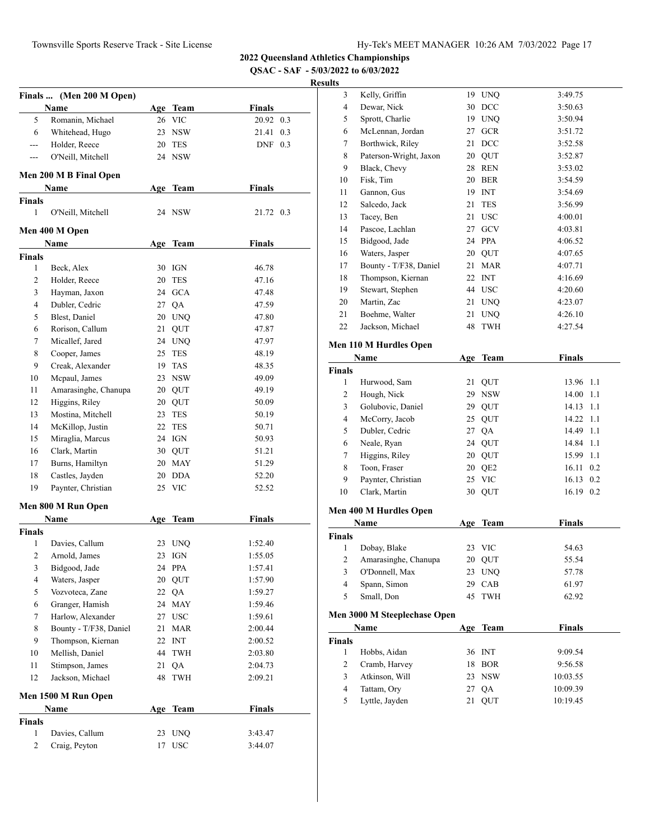**QSAC - SAF - 5/03/2022 to 6/03/2022**

|                | Finals  (Men 200 M Open) |     |                    |                        |     |
|----------------|--------------------------|-----|--------------------|------------------------|-----|
| 5              | Name<br>Romanin, Michael |     | Age Team<br>26 VIC | <b>Finals</b><br>20.92 | 0.3 |
| 6              | Whitehead, Hugo          |     | 23 NSW             | 21.41                  | 0.3 |
| $---$          | Holder, Reece            |     | 20 TES             | $DNF$ 0.3              |     |
| $---$          | O'Neill, Mitchell        |     | 24 NSW             |                        |     |
|                |                          |     |                    |                        |     |
|                | Men 200 M B Final Open   |     |                    |                        |     |
|                | Name                     | Age | <b>Team</b>        | <b>Finals</b>          |     |
| <b>Finals</b>  |                          |     |                    |                        |     |
| 1              | O'Neill, Mitchell        |     | 24 NSW             | 21.72 0.3              |     |
|                | Men 400 M Open           |     |                    |                        |     |
|                | Name                     | Age | Team               | <b>Finals</b>          |     |
| <b>Finals</b>  |                          |     |                    |                        |     |
| 1              | Beck, Alex               |     | 30 IGN             | 46.78                  |     |
| 2              | Holder, Reece            |     | 20 TES             | 47.16                  |     |
| 3              | Hayman, Jaxon            |     | 24 GCA             | 47.48                  |     |
| 4              | Dubler, Cedric           |     | 27 QA              | 47.59                  |     |
| 5              | Blest, Daniel            |     | 20 UNO             | 47.80                  |     |
| 6              | Rorison, Callum          |     | 21 QUT             | 47.87                  |     |
| 7              | Micallef, Jared          |     | 24 UNQ             | 47.97                  |     |
| 8              | Cooper, James            |     | 25 TES             | 48.19                  |     |
| 9              | Creak, Alexander         |     | 19 TAS             | 48.35                  |     |
| 10             | Mcpaul, James            |     | 23 NSW             | 49.09                  |     |
| 11             | Amarasinghe, Chanupa     |     | 20 QUT             | 49.19                  |     |
| 12             | Higgins, Riley           |     | 20 QUT             | 50.09                  |     |
| 13             | Mostina, Mitchell        |     | 23 TES             | 50.19                  |     |
| 14             | McKillop, Justin         |     | 22 TES             | 50.71                  |     |
| 15             | Miraglia, Marcus         |     | 24 IGN             | 50.93                  |     |
| 16             | Clark, Martin            |     | 30 QUT             | 51.21                  |     |
| 17             | Burns, Hamiltyn          |     | 20 MAY             | 51.29                  |     |
| 18             | Castles, Jayden          |     | 20 DDA             | 52.20                  |     |
| 19             | Paynter, Christian       |     | 25 VIC             | 52.52                  |     |
|                | Men 800 M Run Open       |     |                    |                        |     |
|                | Name                     | Age | <b>Team</b>        | <b>Finals</b>          |     |
| <b>Finals</b>  |                          |     |                    |                        |     |
| 1              | Davies, Callum           | 23  | <b>UNQ</b>         | 1:52.40                |     |
| $\overline{c}$ | Arnold, James            | 23  | IGN                | 1:55.05                |     |
| 3              | Bidgood, Jade            |     | 24 PPA             | 1:57.41                |     |
| $\overline{4}$ | Waters, Jasper           | 20  | QUT                | 1:57.90                |     |
| 5              | Vozvoteca, Zane          | 22  | QA                 | 1:59.27                |     |
| 6              | Granger, Hamish          | 24  | MAY                | 1:59.46                |     |
| $\tau$         | Harlow, Alexander        |     | 27 USC             | 1:59.61                |     |
| 8              | Bounty - T/F38, Daniel   | 21  | <b>MAR</b>         | 2:00.44                |     |
| 9              | Thompson, Kiernan        |     | 22 INT             | 2:00.52                |     |
| 10             | Mellish, Daniel          | 44  | TWH                | 2:03.80                |     |
| 11             | Stimpson, James          | 21  | QA                 | 2:04.73                |     |
| 12             | Jackson, Michael         | 48  | TWH                | 2:09.21                |     |
|                |                          |     |                    |                        |     |
|                | Men 1500 M Run Open      |     |                    |                        |     |
| Finals         | <b>Name</b>              |     | Age Team           | <b>Finals</b>          |     |
| 1              | Davies, Callum           | 23  | <b>UNQ</b>         | 3:43.47                |     |
| 2              | Craig, Peyton            | 17  | <b>USC</b>         | 3:44.07                |     |
|                |                          |     |                    |                        |     |

| 3              | Kelly, Griffin               |    | 19 UNQ     | 3:49.75       |  |
|----------------|------------------------------|----|------------|---------------|--|
| 4              | Dewar, Nick                  |    | 30 DCC     | 3:50.63       |  |
| 5              | Sprott, Charlie              |    | 19 UNQ     | 3:50.94       |  |
| 6              | McLennan, Jordan             |    | 27 GCR     | 3:51.72       |  |
| 7              | Borthwick, Riley             | 21 | <b>DCC</b> | 3:52.58       |  |
| 8              | Paterson-Wright, Jaxon       |    | 20 QUT     | 3:52.87       |  |
| 9              | Black, Chevy                 |    | 28 REN     | 3:53.02       |  |
| 10             | Fisk, Tim                    |    | 20 BER     | 3:54.59       |  |
| 11             | Gannon, Gus                  |    | 19 INT     | 3:54.69       |  |
| 12             | Salcedo, Jack                | 21 | <b>TES</b> | 3:56.99       |  |
| 13             | Tacey, Ben                   | 21 | USC        | 4:00.01       |  |
| 14             | Pascoe, Lachlan              |    | 27 GCV     | 4:03.81       |  |
| 15             | Bidgood, Jade                |    | 24 PPA     | 4:06.52       |  |
| 16             | Waters, Jasper               |    | 20 QUT     | 4:07.65       |  |
| 17             | Bounty - T/F38, Daniel       |    | 21 MAR     | 4:07.71       |  |
| 18             | Thompson, Kiernan            |    | 22 INT     | 4:16.69       |  |
| 19             | Stewart, Stephen             |    | 44 USC     | 4:20.60       |  |
| 20             | Martin, Zac                  |    | 21 UNQ     | 4:23.07       |  |
| 21             | Boehme, Walter               | 21 | <b>UNQ</b> | 4:26.10       |  |
| 22             | Jackson, Michael             | 48 | TWH        | 4:27.54       |  |
|                |                              |    |            |               |  |
|                | Men 110 M Hurdles Open       |    |            |               |  |
|                | Name                         |    | Age Team   | <b>Finals</b> |  |
| <b>Finals</b>  |                              |    |            |               |  |
| 1              | Hurwood, Sam                 | 21 | QUT        | 13.96<br>1.1  |  |
| 2              | Hough, Nick                  |    | 29 NSW     | 1.1<br>14.00  |  |
| 3              | Golubovic, Daniel            |    | 29 QUT     | 1.1<br>14.13  |  |
| 4              | McCorry, Jacob               |    | 25 QUT     | 1.1<br>14.22  |  |
| 5              | Dubler, Cedric               |    | 27 QA      | 1.1<br>14.49  |  |
| 6              | Neale, Ryan                  |    | 24 QUT     | 1.1<br>14.84  |  |
| 7              | Higgins, Riley               |    | 20 QUT     | 15.99<br>1.1  |  |
| 8              | Toon, Fraser                 |    | 20 QE2     | 0.2<br>16.11  |  |
| 9              | Paynter, Christian           |    | 25 VIC     | 0.2<br>16.13  |  |
| 10             | Clark, Martin                |    | 30 QUT     | 16.19 0.2     |  |
|                | Men 400 M Hurdles Open       |    |            |               |  |
|                | Name                         |    | Age Team   | <b>Finals</b> |  |
| <b>Finals</b>  |                              |    |            |               |  |
| 1              | Dobay, Blake                 | 23 | VIC        | 54.63         |  |
| $\overline{c}$ | Amarasinghe, Chanupa         | 20 | <b>OUT</b> | 55.54         |  |
| 3              | O'Donnell, Max               | 23 | UNQ        | 57.78         |  |
| 4              | Spann, Simon                 | 29 | CAB        | 61.97         |  |
| 5              | Small, Don                   | 45 | TWH        | 62.92         |  |
|                |                              |    |            |               |  |
|                | Men 3000 M Steeplechase Open |    |            |               |  |
|                | Name                         |    | Age Team   | <b>Finals</b> |  |
| <b>Finals</b>  |                              |    |            |               |  |
| 1              | Hobbs, Aidan                 |    | 36 INT     | 9:09.54       |  |
| 2              | Cramb, Harvey                | 18 | <b>BOR</b> | 9:56.58       |  |
| 3              | Atkinson, Will               | 23 | <b>NSW</b> | 10:03.55      |  |
| 4              | Tattam, Ory                  | 27 | QA         | 10:09.39      |  |
| 5              | Lyttle, Jayden               | 21 | QUT        | 10:19.45      |  |
|                |                              |    |            |               |  |
|                |                              |    |            |               |  |
|                |                              |    |            |               |  |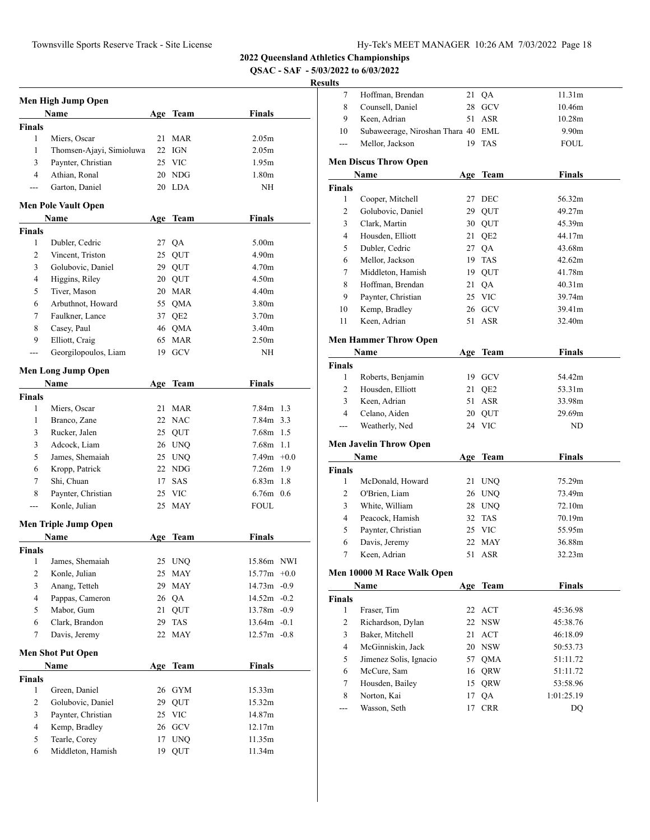**QSAC - SAF - 5/03/2022 to 6/03/2022**

# **Resul**

|                | Men High Jump Open          |     |                   |                   |  |
|----------------|-----------------------------|-----|-------------------|-------------------|--|
|                | Name                        |     | Age Team          | Finals            |  |
| Finals         |                             |     |                   |                   |  |
| 1              | Miers, Oscar                | 21  | <b>MAR</b>        | 2.05m             |  |
| 1              | Thomsen-Ajayi, Simioluwa    | 22  | IGN               | 2.05m             |  |
| 3              | Paynter, Christian          | 25  | <b>VIC</b>        | 1.95m             |  |
| 4              | Athian, Ronal               |     | 20 NDG            | 1.80 <sub>m</sub> |  |
| $---$          | Garton, Daniel              |     | 20 LDA            | NH                |  |
|                | <b>Men Pole Vault Open</b>  |     |                   |                   |  |
|                | Name                        | Age | Team              | Finals            |  |
| <b>Finals</b>  |                             |     |                   |                   |  |
| 1              | Dubler, Cedric              |     | 27 QA             | 5.00 <sub>m</sub> |  |
| 2              | Vincent, Triston            |     | 25 QUT            | 4.90 <sub>m</sub> |  |
| 3              | Golubovic, Daniel           |     | 29 QUT            | 4.70 <sub>m</sub> |  |
| 4              | Higgins, Riley              |     | 20 QUT            | 4.50 <sub>m</sub> |  |
| 5              | Tiver, Mason                |     | 20 MAR            | 4.40 <sub>m</sub> |  |
| 6              | Arbuthnot, Howard           | 55  | QMA               | 3.80 <sub>m</sub> |  |
| 7              |                             |     |                   | 3.70 <sub>m</sub> |  |
|                | Faulkner, Lance             |     | 37 QE2            | 3.40 <sub>m</sub> |  |
| 8              | Casey, Paul                 |     | 46 QMA            |                   |  |
| 9              | Elliott, Craig              | 65  | <b>MAR</b>        | 2.50 <sub>m</sub> |  |
| $---$          | Georgilopoulos, Liam        |     | 19 GCV            | NH                |  |
|                | <b>Men Long Jump Open</b>   |     |                   |                   |  |
|                | Name                        | Age | Team              | <b>Finals</b>     |  |
| Finals         |                             |     |                   |                   |  |
| 1              | Miers, Oscar                | 21  | MAR               | 7.84m 1.3         |  |
| 1              | Branco, Zane                |     | 22 NAC            | 7.84m 3.3         |  |
| 3              | Rucker, Jalen               |     | 25 QUT            | 7.68m 1.5         |  |
| 3              | Adcock, Liam                |     | 26 UNQ            | $7.68m$ 1.1       |  |
| 5              | James, Shemaiah             |     | 25 UNQ            | $7.49m +0.0$      |  |
| 6              | Kropp, Patrick              |     | 22 NDG            | 7.26m 1.9         |  |
| 7              | Shi, Chuan                  | 17  | SAS               | $6.83m$ 1.8       |  |
| 8              | Paynter, Christian          |     | 25 VIC            | $6.76m$ 0.6       |  |
| ---            | Konle, Julian               |     | 25 MAY            | FOUL              |  |
|                | <b>Men Triple Jump Open</b> |     |                   |                   |  |
|                | Name                        | Age | Team              | Finals            |  |
| <b>Finals</b>  |                             |     |                   |                   |  |
| 1              | James, Shemaiah             | 25  | <b>UNQ</b>        | 15.86m NWI        |  |
| $\overline{c}$ | Konle, Julian               | 25  | <b>MAY</b>        | $15.77m +0.0$     |  |
| 3              | Anang, Tetteh               | 29  | MAY               | 14.73m -0.9       |  |
| 4              | Pappas, Cameron             |     |                   | $14.52m - 0.2$    |  |
|                | Mabor, Gum                  | 26  | QA                |                   |  |
| 5              |                             | 21  | QUT               | 13.78m -0.9       |  |
| 6              | Clark, Brandon              | 29  | TAS               | $13.64m - 0.1$    |  |
| 7              | Davis, Jeremy               | 22  | MAY               | $12.57m - 0.8$    |  |
|                | <b>Men Shot Put Open</b>    |     |                   |                   |  |
|                | Name                        |     | Age Team          | <b>Finals</b>     |  |
| Finals         |                             |     |                   |                   |  |
| 1              | Green, Daniel               | 26  | <b>GYM</b>        | 15.33m            |  |
| $\overline{c}$ | Golubovic, Daniel           | 29  | QUT               | 15.32m            |  |
| 3              | Paynter, Christian          |     | 25 VIC            | 14.87m            |  |
| $\overline{4}$ | Kemp, Bradley               | 26  | $_{\mathrm{GCV}}$ | 12.17m            |  |
| 5              | Tearle, Corey               | 17  | <b>UNQ</b>        | 11.35m            |  |
| 6              | Middleton, Hamish           | 19  | QUT               | 11.34m            |  |

| $\tau$                                   | Hoffman, Brendan                   | 21  | QA              | 11.31m                 |
|------------------------------------------|------------------------------------|-----|-----------------|------------------------|
| 8                                        | Counsell, Daniel                   | 28  | GCV             | 10.46m                 |
| 9                                        | Keen, Adrian                       | 51  | <b>ASR</b>      | 10.28m                 |
| 10                                       | Subaweerage, Niroshan Thara 40 EML |     |                 | 9.90 <sub>m</sub>      |
| ---                                      | Mellor, Jackson                    | 19  | <b>TAS</b>      | <b>FOUL</b>            |
|                                          | <b>Men Discus Throw Open</b>       |     |                 |                        |
|                                          | Name                               | Age | <b>Team</b>     | <b>Finals</b>          |
| <b>Finals</b>                            |                                    |     |                 |                        |
| 1                                        | Cooper, Mitchell                   | 27  | DEC             | 56.32m                 |
| 2                                        | Golubovic, Daniel                  | 29  | QUT             | 49.27m                 |
| 3                                        | Clark, Martin                      |     | 30 QUT          | 45.39m                 |
| 4                                        | Housden, Elliott                   | 21  | QE <sub>2</sub> | 44.17m                 |
| 5                                        | Dubler, Cedric                     |     | 27 QA           | 43.68m                 |
| 6                                        | Mellor, Jackson                    | 19  | <b>TAS</b>      | 42.62m                 |
| 7                                        | Middleton, Hamish                  |     | 19 QUT          | 41.78m                 |
| 8                                        | Hoffman, Brendan                   | 21  | QA              | 40.31 <sub>m</sub>     |
| 9                                        | Paynter, Christian                 |     | 25 VIC          | 39.74m                 |
| 10                                       | Kemp, Bradley                      |     | 26 GCV          | 39.41m                 |
| 11                                       | Keen, Adrian                       |     | 51 ASR          | 32.40m                 |
|                                          | <b>Men Hammer Throw Open</b>       |     |                 |                        |
|                                          | Name                               |     | Age Team        | <b>Finals</b>          |
| <b>Finals</b>                            |                                    |     |                 |                        |
| $\mathbf{1}$                             | Roberts, Benjamin                  | 19  | GCV             | 54.42m                 |
| $\overline{2}$                           | Housden, Elliott                   | 21  | QE <sub>2</sub> | 53.31m                 |
| 3                                        | Keen, Adrian                       | 51  | <b>ASR</b>      | 33.98m                 |
|                                          |                                    |     |                 |                        |
| 4                                        | Celano, Aiden                      |     | 20 QUT          | 29.69m                 |
| $\sim$                                   | Weatherly, Ned                     |     | 24 VIC          | ND                     |
|                                          | <b>Men Javelin Throw Open</b>      |     |                 |                        |
|                                          | Name                               |     | Age Team        | <b>Finals</b>          |
|                                          |                                    |     |                 |                        |
| 1                                        | McDonald, Howard                   |     | 21 UNQ          | 75.29m                 |
| $\overline{2}$                           | O'Brien, Liam                      |     | 26 UNQ          | 73.49m                 |
| 3                                        | White, William                     |     | 28 UNQ          | 72.10m                 |
| 4                                        | Peacock, Hamish                    |     | 32 TAS          | 70.19m                 |
| 5                                        | Paynter, Christian                 |     | 25 VIC          | 55.95m                 |
| 6                                        | Davis, Jeremy                      |     | 22 MAY          | 36.88m                 |
| 7                                        | Keen, Adrian                       |     | 51 ASR          | 32.23m                 |
|                                          | Men 10000 M Race Walk Open         |     |                 |                        |
|                                          | Name                               |     | Age Team        | <b>Finals</b>          |
|                                          |                                    |     |                 |                        |
| 1                                        | Fraser, Tim                        | 22  | ACT             | 45:36.98               |
| 2                                        | Richardson, Dylan                  | 22  | <b>NSW</b>      | 45:38.76               |
| 3                                        | Baker, Mitchell                    | 21  | ACT             | 46:18.09               |
| 4                                        | McGinniskin, Jack                  |     | 20 NSW          | 50:53.73               |
| 5                                        | Jimenez Solis, Ignacio             |     | 57 QMA          | 51:11.72               |
| 6                                        | McCure, Sam                        |     | 16 QRW          | 51:11.72               |
| <b>Finals</b><br><b>Finals</b><br>7<br>8 | Housden, Bailey<br>Norton, Kai     | 17  | 15 QRW<br>QA    | 53:58.96<br>1:01:25.19 |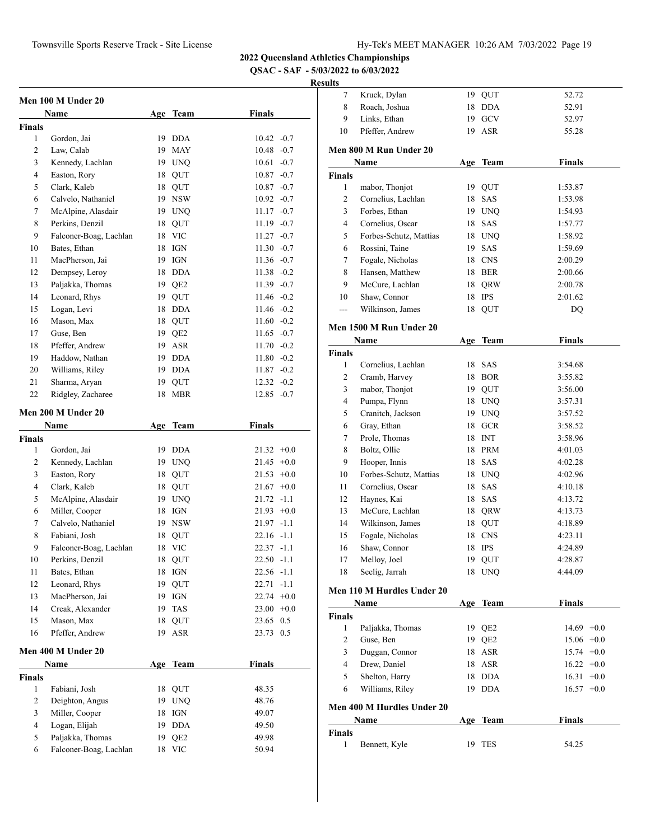**QSAC - SAF - 5/03/2022 to 6/03/2022**

|                | Men 100 M Under 20     |    |                 |                 |  |
|----------------|------------------------|----|-----------------|-----------------|--|
|                | Name                   |    | Age Team        | <b>Finals</b>   |  |
| <b>Finals</b>  |                        |    |                 |                 |  |
| 1              | Gordon, Jai            |    | 19 DDA          | $10.42 -0.7$    |  |
| $\overline{2}$ | Law, Calab             |    | 19 MAY          | 10.48<br>$-0.7$ |  |
| 3              | Kennedy, Lachlan       |    | 19 UNQ          | 10.61<br>$-0.7$ |  |
| 4              | Easton, Rory           | 18 | QUT             | 10.87<br>$-0.7$ |  |
| 5              | Clark, Kaleb           | 18 | QUT             | $10.87 - 0.7$   |  |
| 6              | Calvelo, Nathaniel     |    | 19 NSW          | $10.92 -0.7$    |  |
| 7              | McAlpine, Alasdair     |    | 19 UNQ          | $11.17 - 0.7$   |  |
| 8              | Perkins, Denzil        | 18 | <b>QUT</b>      | $11.19 - 0.7$   |  |
| 9              | Falconer-Boag, Lachlan |    | 18 VIC          | $11.27 -0.7$    |  |
| 10             | Bates, Ethan           | 18 | IGN             | $11.30 -0.7$    |  |
| 11             | MacPherson, Jai        |    | 19 IGN          | $11.36 - 0.7$   |  |
| 12             | Dempsey, Leroy         |    | 18 DDA          | $11.38 - 0.2$   |  |
| 13             | Paljakka, Thomas       | 19 | QE <sub>2</sub> | $11.39 - 0.7$   |  |
| 14             | Leonard, Rhys          | 19 | QUT             | $11.46 - 0.2$   |  |
| 15             | Logan, Levi            |    | 18 DDA          | $11.46 - 0.2$   |  |
| 16             | Mason, Max             | 18 | QUT             | $11.60 - 0.2$   |  |
| 17             | Guse, Ben              | 19 | QE <sub>2</sub> | $11.65 - 0.7$   |  |
| 18             | Pfeffer, Andrew        |    | 19 ASR          | $11.70 -0.2$    |  |
| 19             | Haddow, Nathan         |    | 19 DDA          | $11.80 - 0.2$   |  |
| 20             | Williams, Riley        |    | 19 DDA          | $-0.2$<br>11.87 |  |
| 21             | Sharma, Aryan          |    | 19 QUT          | $12.32 -0.2$    |  |
| 22             | Ridgley, Zacharee      | 18 | ${\tt MBR}$     | $12.85 -0.7$    |  |
|                | Men 200 M Under 20     |    |                 |                 |  |
|                | Name                   |    | Age Team        | <b>Finals</b>   |  |
| <b>Finals</b>  |                        |    |                 |                 |  |
| $\mathbf{1}$   | Gordon, Jai            |    | 19 DDA          | $21.32 +0.0$    |  |
| 2              | Kennedy, Lachlan       | 19 | <b>UNQ</b>      | $+0.0$<br>21.45 |  |
| 3              | Easton, Rory           | 18 | QUT             | 21.53<br>$+0.0$ |  |
| 4              | Clark, Kaleb           | 18 | QUT             | $21.67 +0.0$    |  |
| 5              | McAlpine, Alasdair     |    | 19 UNQ          | $21.72 -1.1$    |  |
| 6              | Miller, Cooper         |    | 18 IGN          | $21.93 +0.0$    |  |
| 7              | Calvelo, Nathaniel     |    | 19 NSW          | $21.97 -1.1$    |  |
| 8              | Fabiani, Josh          | 18 | QUT             | $22.16 - 1.1$   |  |
| 9              | Falconer-Boag, Lachlan | 18 | VIC             | $22.37 -1.1$    |  |
| 10             | Perkins, Denzil        |    | 18 QUT          | $22.50 -1.1$    |  |
| 11             | Bates, Ethan           | 18 | IGN             | 22.56 -1.1      |  |
| 12             | Leonard, Rhys          | 19 | QUT             | $-1.1$<br>22.71 |  |
| 13             | MacPherson, Jai        | 19 | IGN             | 22.74<br>$+0.0$ |  |
| 14             | Creak, Alexander       | 19 | <b>TAS</b>      | $23.00 +0.0$    |  |
| 15             | Mason, Max             | 18 | QUT             | 23.65<br>0.5    |  |
| 16             | Pfeffer, Andrew        | 19 | ASR             | 23.73<br>0.5    |  |
|                | Men 400 M Under 20     |    |                 |                 |  |
|                | Name                   |    | Age Team        | <b>Finals</b>   |  |
| <b>Finals</b>  |                        |    |                 |                 |  |
| 1              | Fabiani, Josh          | 18 | QUT             | 48.35           |  |
| 2              | Deighton, Angus        |    | 19 UNQ          | 48.76           |  |
| 3              | Miller, Cooper         | 18 | IGN             | 49.07           |  |
| 4              |                        |    | 19 DDA          | 49.50           |  |
|                | Logan, Elijah          |    |                 |                 |  |
| 5              | Paljakka, Thomas       |    | 19 QE2          | 49.98           |  |
| 6              | Falconer-Boag, Lachlan |    | 18 VIC          | 50.94           |  |

| 7                  | Kruck, Dylan               | 19 | QUT        | 52.72         |
|--------------------|----------------------------|----|------------|---------------|
| 8                  | Roach, Joshua              | 18 | <b>DDA</b> | 52.91         |
| 9                  | Links, Ethan               | 19 | GCV        | 52.97         |
| 10                 | Pfeffer, Andrew            |    | 19 ASR     | 55.28         |
|                    |                            |    |            |               |
|                    | Men 800 M Run Under 20     |    |            |               |
|                    | Name                       |    | Age Team   | Finals        |
| Finals             |                            |    |            |               |
| 1                  | mabor, Thonjot             |    | 19 QUT     | 1:53.87       |
| 2                  | Cornelius, Lachlan         |    | 18 SAS     | 1:53.98       |
| 3                  | Forbes, Ethan              |    | 19 UNQ     | 1:54.93       |
| 4                  | Cornelius, Oscar           |    | 18 SAS     | 1:57.77       |
| 5                  | Forbes-Schutz, Mattias     |    | 18 UNQ     | 1:58.92       |
| 6                  | Rossini, Taine             | 19 | SAS        | 1:59.69       |
| 7                  | Fogale, Nicholas           |    | 18 CNS     | 2:00.29       |
| 8                  | Hansen, Matthew            |    | 18 BER     | 2:00.66       |
| 9                  | McCure, Lachlan            | 18 | QRW        | 2:00.78       |
| 10                 | Shaw, Connor               |    | 18 IPS     | 2:01.62       |
| $---$              | Wilkinson, James           | 18 | QUT        | DQ            |
|                    | Men 1500 M Run Under 20    |    |            |               |
|                    | Name                       |    | Age Team   | <b>Finals</b> |
| Finals             |                            |    |            |               |
| 1                  | Cornelius, Lachlan         |    | 18 SAS     | 3:54.68       |
| 2                  | Cramb, Harvey              |    | 18 BOR     | 3:55.82       |
| 3                  | mabor, Thonjot             |    | 19 QUT     | 3:56.00       |
| 4                  | Pumpa, Flynn               |    | 18 UNQ     | 3:57.31       |
| 5                  | Cranitch, Jackson          |    | 19 UNQ     | 3:57.52       |
| 6                  | Gray, Ethan                |    | 18 GCR     | 3:58.52       |
| 7                  | Prole, Thomas              |    | 18 INT     | 3:58.96       |
| 8                  | Boltz, Ollie               |    | 18 PRM     | 4:01.03       |
| 9                  | Hooper, Innis              |    | 18 SAS     | 4:02.28       |
| 10                 | Forbes-Schutz, Mattias     |    | 18 UNQ     | 4:02.96       |
| 11                 | Cornelius, Oscar           | 18 | SAS        | 4:10.18       |
| 12                 | Haynes, Kai                |    | 18 SAS     | 4:13.72       |
| 13                 | McCure, Lachlan            |    | 18 QRW     | 4:13.73       |
| 14                 | Wilkinson, James           |    | 18 QUT     | 4:18.89       |
| 15                 | Fogale, Nicholas           |    | 18 CNS     | 4:23.11       |
| 16                 | Shaw, Connor               |    | 18 IPS     | 4:24.89       |
| 17                 | Melloy, Joel               |    |            | 4:28.87       |
|                    | Seelig, Jarrah             |    | 19 QUT     |               |
| 18                 |                            |    | 18 UNQ     | 4:44.09       |
|                    | Men 110 M Hurdles Under 20 |    |            |               |
|                    | Name                       |    | Age Team   | <b>Finals</b> |
| Finals             |                            |    |            |               |
| 1                  | Paljakka, Thomas           |    | 19 QE2     | $14.69 + 0.0$ |
| 2                  | Guse, Ben                  |    | 19 QE2     | $15.06 +0.0$  |
| 3                  | Duggan, Connor             |    | 18 ASR     | $15.74 +0.0$  |
| 4                  | Drew, Daniel               |    | 18 ASR     | $16.22 +0.0$  |
| 5                  | Shelton, Harry             |    | 18 DDA     | $16.31 + 0.0$ |
| 6                  | Williams, Riley            |    | 19 DDA     | $16.57 + 0.0$ |
|                    |                            |    |            |               |
|                    | Men 400 M Hurdles Under 20 |    |            |               |
|                    | Name                       |    | Age Team   | <b>Finals</b> |
| <b>Finals</b><br>1 |                            | 19 |            |               |
|                    | Bennett, Kyle              |    | <b>TES</b> | 54.25         |
|                    |                            |    |            |               |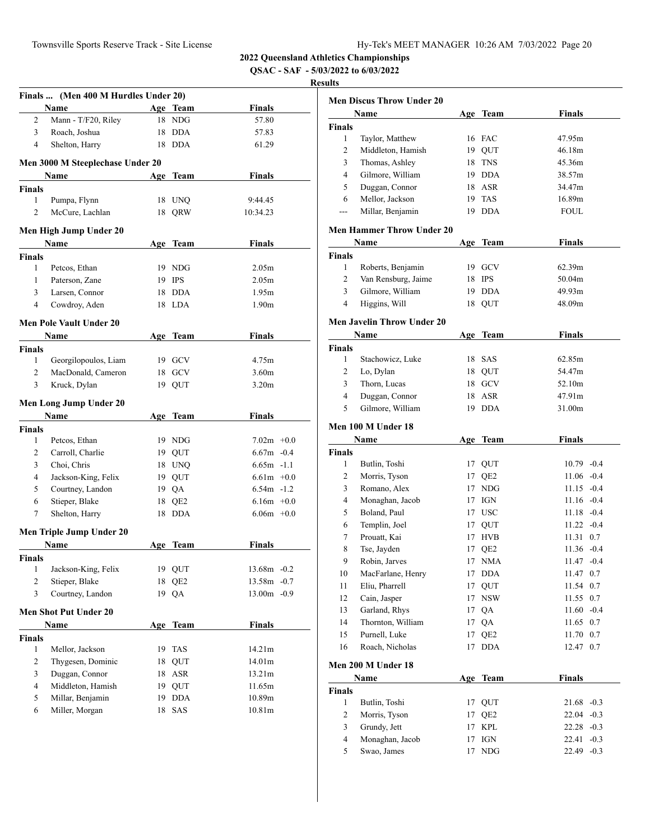**QSAC - SAF - 5/03/2022 to 6/03/2022**

|                    | Finals  (Men 400 M Hurdles Under 20)  |     |                 |                   |        |
|--------------------|---------------------------------------|-----|-----------------|-------------------|--------|
|                    | <b>Name</b>                           |     | Age Team        | <b>Finals</b>     |        |
| 2                  | Mann - T/F20, Riley                   |     | 18 NDG          | 57.80             |        |
| 3                  | Roach, Joshua                         |     | 18 DDA          | 57.83             |        |
| 4                  | Shelton, Harry                        |     | 18 DDA          | 61.29             |        |
|                    | Men 3000 M Steeplechase Under 20      |     |                 |                   |        |
|                    | Name                                  |     | Age Team        | Finals            |        |
| Finals             |                                       |     |                 |                   |        |
| $\mathbf{1}$       | Pumpa, Flynn                          |     | 18 UNQ          | 9:44.45           |        |
| 2                  | McCure, Lachlan                       |     | 18 QRW          | 10:34.23          |        |
|                    |                                       |     |                 |                   |        |
|                    | Men High Jump Under 20<br><b>Name</b> |     | Age Team        | Finals            |        |
| Finals             |                                       |     |                 |                   |        |
| 1                  | Petcos, Ethan                         |     | 19 NDG          | 2.05m             |        |
| 1                  | Paterson, Zane                        |     | 19 IPS          | 2.05 <sub>m</sub> |        |
| 3                  | Larsen, Connor                        |     | 18 DDA          | 1.95m             |        |
| $\overline{4}$     | Cowdroy, Aden                         |     | 18 LDA          | 1.90 <sub>m</sub> |        |
|                    |                                       |     |                 |                   |        |
|                    | <b>Men Pole Vault Under 20</b>        |     |                 | <b>Finals</b>     |        |
|                    | Name                                  |     | Age Team        |                   |        |
| <b>Finals</b><br>1 | Georgilopoulos, Liam                  |     | 19 GCV          | 4.75m             |        |
| $\overline{2}$     | MacDonald, Cameron                    |     | 18 GCV          | 3.60 <sub>m</sub> |        |
| 3                  |                                       |     |                 | 3.20 <sub>m</sub> |        |
|                    | Kruck, Dylan                          |     | 19 QUT          |                   |        |
|                    | Men Long Jump Under 20                |     |                 |                   |        |
|                    | <b>Name</b>                           |     | Age Team        | <b>Finals</b>     |        |
| Finals             |                                       |     |                 |                   |        |
| 1                  | Petcos, Ethan                         |     | 19 NDG          | $7.02m +0.0$      |        |
| 2                  | Carroll, Charlie                      |     | 19 QUT          | $6.67m - 0.4$     |        |
| 3                  | Choi, Chris                           |     | 18 UNQ          | $6.65m -1.1$      |        |
| $\overline{4}$     | Jackson-King, Felix                   |     | 19 QUT          | $6.61m + 0.0$     |        |
| 5                  | Courtney, Landon                      |     | 19 QA           | $6.54m -1.2$      |        |
| 6                  | Stieper, Blake                        |     | 18 QE2          | $6.16m + 0.0$     |        |
| 7                  | Shelton, Harry                        |     | 18 DDA          | $6.06m + 0.0$     |        |
|                    | Men Triple Jump Under 20              |     |                 |                   |        |
|                    | Name                                  |     | Age Team        | Finals            |        |
| Finals             |                                       |     |                 |                   |        |
| 1                  | Jackson-King, Felix                   |     | 19 QUT          | 13.68m            | $-0.2$ |
| 2                  | Stieper, Blake                        | 18  | QE <sub>2</sub> | 13.58m            | $-0.7$ |
| 3                  | Courtney, Landon                      | 19  | QA              | 13.00m - 0.9      |        |
|                    | <b>Men Shot Put Under 20</b>          |     |                 |                   |        |
|                    | Name                                  | Age | Team            | Finals            |        |
| <b>Finals</b>      |                                       |     |                 |                   |        |
| 1                  | Mellor, Jackson                       |     | 19 TAS          | 14.21m            |        |
| 2                  | Thygesen, Dominic                     |     | 18 QUT          | 14.01m            |        |
| 3                  | Duggan, Connor                        | 18  | ASR             | 13.21m            |        |
| 4                  | Middleton, Hamish                     |     | 19 QUT          | 11.65m            |        |
| 5                  | Millar, Benjamin                      | 19  | <b>DDA</b>      | 10.89m            |        |
| 6                  | Miller, Morgan                        | 18  | SAS             | 10.81m            |        |
|                    |                                       |     |                 |                   |        |

|                | <b>Men Discus Throw Under 20</b>  |     |                 |                 |
|----------------|-----------------------------------|-----|-----------------|-----------------|
|                | Name                              |     | Age Team        | <b>Finals</b>   |
| <b>Finals</b>  |                                   |     |                 |                 |
| $\mathbf{1}$   | Taylor, Matthew                   |     | 16 FAC          | 47.95m          |
| 2              | Middleton, Hamish                 |     | 19 QUT          | 46.18m          |
| 3              | Thomas, Ashley                    |     | 18 TNS          | 45.36m          |
| 4              | Gilmore, William                  |     | 19 DDA          | 38.57m          |
| 5              | Duggan, Connor                    |     | 18 ASR          | 34.47m          |
| 6              | Mellor, Jackson                   |     | 19 TAS          | 16.89m          |
| ---            | Millar, Benjamin                  | 19  | <b>DDA</b>      | <b>FOUL</b>     |
|                | <b>Men Hammer Throw Under 20</b>  |     |                 |                 |
|                | Name                              | Age | Team            | <b>Finals</b>   |
| <b>Finals</b>  |                                   |     |                 |                 |
| 1              | Roberts, Benjamin                 |     | 19 GCV          | 62.39m          |
| 2              | Van Rensburg, Jaime               |     | 18 IPS          | 50.04m          |
| 3              | Gilmore, William                  |     | 19 DDA          | 49.93m          |
| 4              | Higgins, Will                     |     | 18 QUT          | 48.09m          |
|                |                                   |     |                 |                 |
|                | <b>Men Javelin Throw Under 20</b> |     |                 |                 |
|                | Name                              |     | Age Team        | <b>Finals</b>   |
| <b>Finals</b>  |                                   |     |                 |                 |
| 1              | Stachowicz, Luke                  | 18  | SAS             | 62.85m          |
| 2              | Lo, Dylan                         | 18  | QUT             | 54.47m          |
| 3              | Thorn, Lucas                      | 18  | GCV             | 52.10m          |
| 4              | Duggan, Connor                    | 18  | ASR             | 47.91m          |
| 5              | Gilmore, William                  | 19  | <b>DDA</b>      | 31.00m          |
|                | Men 100 M Under 18                |     |                 |                 |
|                | Name                              |     | Age Team        | <b>Finals</b>   |
| <b>Finals</b>  |                                   |     |                 |                 |
| 1              | Butlin, Toshi                     |     | 17 QUT          | $10.79 - 0.4$   |
| 2              | Morris, Tyson                     |     | 17 QE2          | $11.06 - 0.4$   |
| 3              | Romano, Alex                      |     | 17 NDG          | $11.15 - 0.4$   |
| 4              | Monaghan, Jacob                   | 17  | IGN             | $11.16 - 0.4$   |
| 5              | Boland, Paul                      |     | 17 USC          | $11.18 - 0.4$   |
| 6              | Templin, Joel                     |     | 17 QUT          | $11.22 -0.4$    |
| 7              | Prouatt, Kai                      | 17  | <b>HVB</b>      | 11.31 0.7       |
| 8              | Tse, Jayden                       | 17  | QE <sub>2</sub> | $11.36 - 0.4$   |
| 9              | Robin, Jarves                     | 17  | <b>NMA</b>      | 11.47 -0.4      |
| 10             | MacFarlane, Henry                 | 17  | DDA             | 11.47 0.7       |
|                | Eliu, Pharrell                    |     |                 |                 |
| 11             |                                   | 17  | QUT             | 11.54 0.7       |
| 12             | Cain, Jasper                      | 17  | $_{\rm NSW}$    | 11.55 0.7       |
| 13             | Garland, Rhys                     |     | 17 QA           | $11.60 -0.4$    |
| 14             | Thornton, William                 |     | 17 QA           | 11.65 0.7       |
| 15             | Purnell, Luke                     | 17  | QE <sub>2</sub> | 11.70 0.7       |
| 16             | Roach, Nicholas                   | 17  | <b>DDA</b>      | 12.47 0.7       |
|                | Men 200 M Under 18                |     |                 |                 |
|                | Name                              | Age | <b>Team</b>     | <b>Finals</b>   |
| <b>Finals</b>  |                                   |     |                 |                 |
| 1              | Butlin, Toshi                     | 17  | QUT             | $21.68 - 0.3$   |
| 2              | Morris, Tyson                     | 17  | QE <sub>2</sub> | $22.04 - 0.3$   |
| 3              | Grundy, Jett                      | 17  | <b>KPL</b>      | $22.28 - 0.3$   |
| $\overline{4}$ | Monaghan, Jacob                   | 17  | IGN             | 22.41<br>$-0.3$ |
| 5              | Swao, James                       | 17  | <b>NDG</b>      | 22.49<br>$-0.3$ |
|                |                                   |     |                 |                 |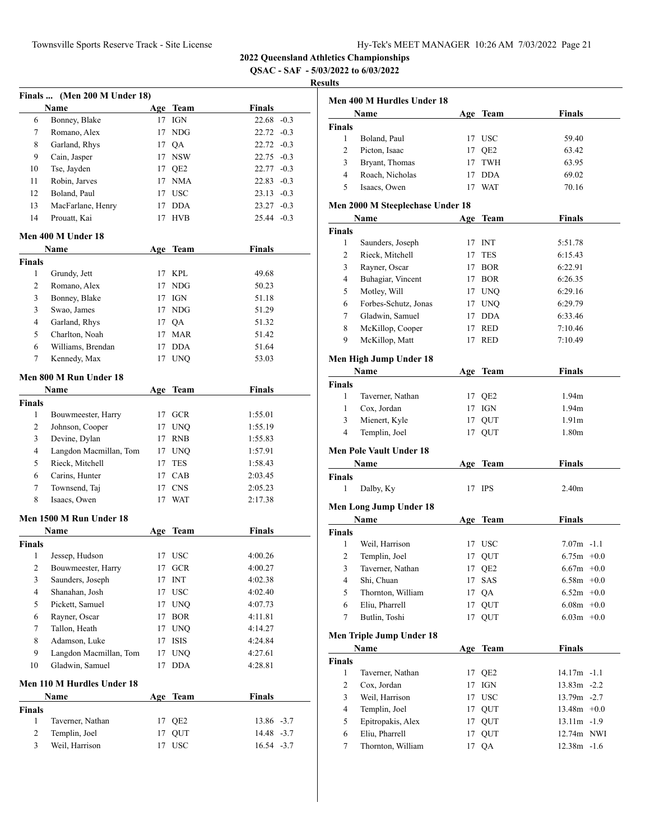**QSAC - SAF - 5/03/2022 to 6/03/2022**

|               | Finals  (Men 200 M Under 18) |    |                      |                    |
|---------------|------------------------------|----|----------------------|--------------------|
|               | Name                         |    | Age Team             | <b>Finals</b>      |
| 6             | Bonney, Blake                |    | 17 IGN               | $22.68 - 0.3$      |
| 7             | Romano, Alex                 |    | 17 NDG               | $22.72 -0.3$       |
| 8             | Garland, Rhys                |    | 17 OA                | $22.72 -0.3$       |
| 9             | Cain, Jasper                 |    | 17 NSW               | $22.75 -0.3$       |
| 10            | Tse, Jayden                  |    | 17 QE2               | $22.77 - 0.3$      |
| 11            | Robin, Jarves                |    | 17 NMA               | $22.83 - 0.3$      |
| 12            | Boland, Paul                 |    | 17 USC               | $23.13 -0.3$       |
| 13            | MacFarlane, Henry            |    | 17 DDA               | $23.27 -0.3$       |
| 14            | Prouatt, Kai                 | 17 | <b>HVB</b>           | $25.44 - 0.3$      |
|               | Men 400 M Under 18           |    |                      |                    |
|               | Name                         |    | Age Team             | <b>Finals</b>      |
| <b>Finals</b> |                              |    |                      |                    |
| 1             | Grundy, Jett                 |    | 17 KPL               | 49.68              |
| 2             | Romano, Alex                 |    | 17 NDG               | 50.23              |
| 3             | Bonney, Blake                |    | 17 IGN               | 51.18              |
| 3             | Swao, James                  |    | 17 NDG               | 51.29              |
| 4             | Garland, Rhys                |    | 17 QA                | 51.32              |
| 5             | Charlton, Noah               |    | 17 MAR               | 51.42              |
| 6             | Williams, Brendan            |    | 17 DDA               | 51.64              |
| 7             | Kennedy, Max                 | 17 | <b>UNO</b>           | 53.03              |
|               | Men 800 M Run Under 18       |    |                      |                    |
|               | Name                         |    | Age Team             | <b>Finals</b>      |
|               |                              |    |                      |                    |
| Finals<br>1   | Bouwmeester, Harry           |    | 17 GCR               | 1:55.01            |
| 2             | Johnson, Cooper              |    | 17 UNQ               | 1:55.19            |
| 3             | Devine, Dylan                |    | 17 RNB               | 1:55.83            |
| 4             | Langdon Macmillan, Tom       |    | 17 UNQ               | 1:57.91            |
| 5             | Rieck, Mitchell              | 17 | <b>TES</b>           | 1:58.43            |
|               | Carins, Hunter               |    |                      |                    |
| 6<br>7        | Townsend, Taj                | 17 | 17 CAB<br><b>CNS</b> | 2:03.45<br>2:05.23 |
| 8             | Isaacs, Owen                 |    | 17 WAT               | 2:17.38            |
|               |                              |    |                      |                    |
|               | Men 1500 M Run Under 18      |    |                      |                    |
|               | Name                         |    | Age Team             | Finals             |
| Finals        |                              |    |                      |                    |
| 1             | Jessep, Hudson               |    | 17 USC               | 4:00.26            |
| 2             | Bouwmeester, Harry           | 17 | <b>GCR</b>           | 4:00.27            |
| 3             | Saunders, Joseph             | 17 | INT                  | 4:02.38            |
| 4             | Shanahan, Josh               | 17 | <b>USC</b>           | 4:02.40            |
| 5             | Pickett, Samuel              | 17 | <b>UNQ</b>           | 4:07.73            |
| 6             | Rayner, Oscar                | 17 | <b>BOR</b>           | 4:11.81            |
| 7             | Tallon, Heath                | 17 | <b>UNQ</b>           | 4:14.27            |
| 8             | Adamson, Luke                | 17 | <b>ISIS</b>          | 4:24.84            |
| 9             | Langdon Macmillan, Tom       | 17 | <b>UNQ</b>           | 4:27.61            |
| 10            | Gladwin, Samuel              | 17 | <b>DDA</b>           | 4:28.81            |
|               | Men 110 M Hurdles Under 18   |    |                      |                    |
|               | Name                         |    | Age Team             | Finals             |
| <b>Finals</b> |                              |    |                      |                    |
| 1             | Taverner, Nathan             | 17 | QE <sub>2</sub>      | 13.86 -3.7         |
| 2             | Templin, Joel                | 17 | QUT                  | 14.48 -3.7         |
| 3             | Weil, Harrison               | 17 | <b>USC</b>           | 16.54 -3.7         |
|               |                              |    |                      |                    |

|                | Men 400 M Hurdles Under 18               |     |             |                   |  |
|----------------|------------------------------------------|-----|-------------|-------------------|--|
|                | Name                                     |     | Age Team    | Finals            |  |
| <b>Finals</b>  |                                          |     |             |                   |  |
| 1              | Boland, Paul                             |     | 17 USC      | 59.40             |  |
| $\overline{2}$ | Picton, Isaac                            |     | 17 QE2      | 63.42             |  |
| 3              | Bryant, Thomas                           |     | 17 TWH      | 63.95             |  |
| 4              | Roach, Nicholas                          |     | 17 DDA      | 69.02             |  |
| 5              | Isaacs, Owen                             |     | 17 WAT      | 70.16             |  |
|                | Men 2000 M Steeplechase Under 18<br>Name |     | Age Team    | Finals            |  |
| <b>Finals</b>  |                                          |     |             |                   |  |
| 1              | Saunders, Joseph                         |     | 17 INT      | 5:51.78           |  |
| 2              | Rieck, Mitchell                          | 17  | <b>TES</b>  | 6:15.43           |  |
| 3              | Rayner, Oscar                            |     | 17 BOR      | 6:22.91           |  |
| 4              | Buhagiar, Vincent                        |     | 17 BOR      | 6:26.35           |  |
| 5              | Motley, Will                             |     | 17 UNQ      | 6:29.16           |  |
| 6              | Forbes-Schutz, Jonas                     |     | 17 UNO      | 6:29.79           |  |
| 7              | Gladwin, Samuel                          |     | 17 DDA      | 6:33.46           |  |
| 8              |                                          |     | 17 RED      | 7:10.46           |  |
| 9              | McKillop, Cooper<br>McKillop, Matt       |     | 17 RED      | 7:10.49           |  |
|                |                                          |     |             |                   |  |
|                | Men High Jump Under 18                   |     |             |                   |  |
|                | Name                                     |     | Age Team    | Finals            |  |
| <b>Finals</b>  |                                          |     |             |                   |  |
| 1              | Taverner, Nathan                         |     | 17 QE2      | 1.94 <sub>m</sub> |  |
| 1              | Cox, Jordan                              |     | 17 IGN      | 1.94m             |  |
| 3              | Mienert, Kyle                            |     | 17 QUT      | 1.91 <sub>m</sub> |  |
| 4              | Templin, Joel                            | 17  | QUT         | 1.80m             |  |
|                | <b>Men Pole Vault Under 18</b>           |     |             |                   |  |
|                | Name                                     |     | Age Team    | Finals            |  |
| <b>Finals</b>  |                                          |     |             |                   |  |
| 1              | Dalby, Ky                                |     | 17 IPS      | 2.40 <sub>m</sub> |  |
|                | Men Long Jump Under 18                   |     |             |                   |  |
|                | <b>Name</b>                              |     | Age Team    | <b>Finals</b>     |  |
| Finals         |                                          |     |             |                   |  |
| 1              | Weil, Harrison                           | 17  | <b>USC</b>  | $7.07m - 1.1$     |  |
| 2              | Templin, Joel                            | 17  | QUT         | $6.75m + 0.0$     |  |
| 3              | Taverner, Nathan                         | 17  | QE2         | $6.67m$ +0.0      |  |
| $\overline{4}$ | Shi, Chuan                               | 17  | SAS         | $6.58m + 0.0$     |  |
| 5              | Thornton, William                        | 17  | QA          | $6.52m + 0.0$     |  |
| 6              | Eliu, Pharrell                           | 17  | QUT         | $6.08m$ +0.0      |  |
| 7              | Butlin, Toshi                            | 17  | QUT         | $6.03m + 0.0$     |  |
|                |                                          |     |             |                   |  |
|                | Men Triple Jump Under 18                 |     |             |                   |  |
| <b>Finals</b>  | Name                                     | Age | <b>Team</b> | <b>Finals</b>     |  |
| $\mathbf{1}$   | Taverner, Nathan                         |     | 17 QE2      | 14.17m -1.1       |  |
| 2              | Cox. Jordan                              | 17  | IGN         | $13.83m - 2.2$    |  |
| $\mathfrak{Z}$ | Weil, Harrison                           | 17  | <b>USC</b>  | 13.79m -2.7       |  |
| 4              | Templin, Joel                            | 17  | QUT         | $13.48m + 0.0$    |  |
| 5              | Epitropakis, Alex                        |     | 17 QUT      | $13.11m - 1.9$    |  |
| 6              | Eliu, Pharrell                           | 17  | QUT         | 12.74m NWI        |  |
| 7              | Thornton, William                        | 17  | QA          | $12.38m - 1.6$    |  |
|                |                                          |     |             |                   |  |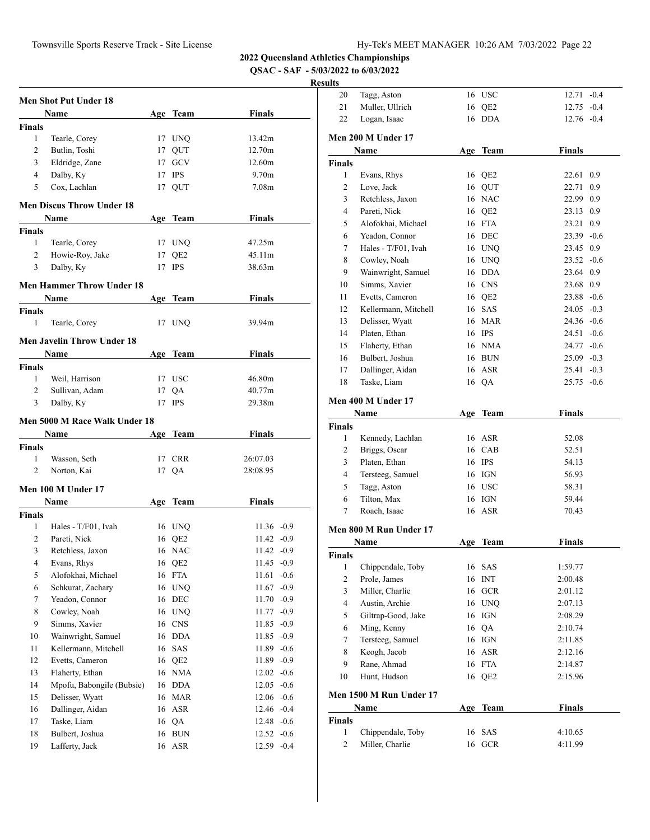**QSAC - SAF - 5/03/2022 to 6/03/2022**

|                    | <b>Men Shot Put Under 18</b>         |          |                   |                       |        |
|--------------------|--------------------------------------|----------|-------------------|-----------------------|--------|
|                    | Name                                 |          | Age Team          | Finals                |        |
| <b>Finals</b>      |                                      |          |                   |                       |        |
| 1                  | Tearle, Corey                        |          | 17 UNQ            | 13.42m                |        |
| 2                  | Butlin, Toshi                        | 17       | QUT               | 12.70m                |        |
| 3                  | Eldridge, Zane                       |          | 17 GCV            | 12.60m                |        |
| $\overline{4}$     | Dalby, Ky                            | 17       | <b>IPS</b>        | 9.70 <sub>m</sub>     |        |
| 5                  | Cox, Lachlan                         |          | 17 QUT            | 7.08m                 |        |
|                    | <b>Men Discus Throw Under 18</b>     |          |                   |                       |        |
|                    | Name                                 |          | Age Team          | Finals                |        |
| <b>Finals</b>      |                                      |          |                   |                       |        |
| 1                  | Tearle, Corey                        |          | 17 UNQ            | 47.25m                |        |
| 2                  | Howie-Roy, Jake                      |          | 17 QE2            | 45.11m                |        |
| 3                  | Dalby, Ky                            |          | 17 IPS            | 38.63m                |        |
|                    |                                      |          |                   |                       |        |
|                    | <b>Men Hammer Throw Under 18</b>     |          |                   |                       |        |
|                    | Name                                 |          | Age Team          | Finals                |        |
| <b>Finals</b>      |                                      |          |                   |                       |        |
| 1                  | Tearle, Corey                        |          | 17 UNQ            | 39.94m                |        |
|                    | Men Javelin Throw Under 18           |          |                   |                       |        |
|                    | Name                                 |          | Age Team          | Finals                |        |
| <b>Finals</b>      |                                      |          |                   |                       |        |
| 1                  | Weil, Harrison                       |          | 17 USC            | 46.80m                |        |
| 2                  | Sullivan, Adam                       | 17       | QA                | 40.77m                |        |
| 3                  | Dalby, Ky                            | 17       | <b>IPS</b>        | 29.38m                |        |
|                    | <b>Men 5000 M Race Walk Under 18</b> |          |                   |                       |        |
|                    | Name                                 |          | Age Team          | Finals                |        |
|                    |                                      |          |                   |                       |        |
|                    |                                      |          |                   |                       |        |
| <b>Finals</b><br>1 |                                      |          |                   |                       |        |
| 2                  | Wasson, Seth<br>Norton, Kai          |          | 17 CRR<br>17 QA   | 26:07.03<br>28:08.95  |        |
|                    |                                      |          |                   |                       |        |
|                    | Men 100 M Under 17                   |          |                   |                       |        |
|                    | Name                                 |          | Age Team          | Finals                |        |
| <b>Finals</b>      |                                      |          |                   |                       |        |
| 1                  | Hales - T/F01, Ivah                  |          | 16 UNQ            | $11.36 - 0.9$         |        |
| 2                  | Pareti, Nick                         |          | 16 QE2            | $11.42 -0.9$          |        |
| 3                  | Retchless, Jaxon                     |          | 16 NAC            | $11.42 -0.9$          |        |
| $\overline{4}$     | Evans, Rhys                          |          | 16 OE2            | $11.45 -0.9$          |        |
| 5                  | Alofokhai, Michael                   |          | 16 FTA            | 11.61<br>$-0.6$       |        |
| 6                  | Schkurat, Zachary                    | 16       | <b>UNQ</b>        | 11.67<br>$-0.9$       |        |
| $\tau$             | Yeadon, Connor                       | 16       | DEC               | $11.70 -0.9$          |        |
| 8                  | Cowley, Noah                         |          | 16 UNQ            | $11.77 - 0.9$         |        |
| 9                  | Simms, Xavier                        | 16       | <b>CNS</b>        | 11.85 -0.9            |        |
| 10                 | Wainwright, Samuel                   |          | 16 DDA            | 11.85 -0.9            |        |
| 11                 | Kellermann, Mitchell                 | 16       | SAS               | $11.89 - 0.6$         |        |
| 12                 | Evetts, Cameron                      | 16       | QE <sub>2</sub>   | 11.89 -0.9            |        |
| 13                 | Flaherty, Ethan                      |          | 16 NMA            | $12.02 -0.6$          |        |
| 14                 | Mpofu, Babongile (Bubsie)            |          | 16 DDA            | $12.05 - 0.6$         |        |
| 15                 | Delisser, Wyatt                      | 16       | <b>MAR</b>        | $12.06 - 0.6$         |        |
| 16                 | Dallinger, Aidan                     | 16       | ASR               | 12.46 -0.4            |        |
| 17                 | Taske, Liam                          | 16       | QA                | 12.48 -0.6            |        |
| 18<br>19           | Bulbert, Joshua<br>Lafferty, Jack    | 16<br>16 | <b>BUN</b><br>ASR | $12.52 -0.6$<br>12.59 | $-0.4$ |

| ums              |                         |     |                   |               |     |
|------------------|-------------------------|-----|-------------------|---------------|-----|
| 20               | Tagg, Aston             |     | 16 USC            | $12.71 - 0.4$ |     |
| 21               | Muller, Ullrich         | 16  | QE <sub>2</sub>   | $12.75 - 0.4$ |     |
| 22               | Logan, Isaac            | 16  | <b>DDA</b>        | $12.76 - 0.4$ |     |
|                  | Men 200 M Under 17      |     |                   |               |     |
|                  | Name                    |     | Age Team          | <b>Finals</b> |     |
| <b>Finals</b>    |                         |     |                   |               |     |
| 1                | Evans, Rhys             |     | 16 QE2            | 22.61         | 0.9 |
| 2                | Love, Jack              |     | 16 QUT            | 22.71         | 0.9 |
| 3                | Retchless, Jaxon        |     | 16 NAC            | 22.99 0.9     |     |
| $\overline{4}$   | Pareti, Nick            |     | 16 QE2            | 23.13 0.9     |     |
| 5                | Alofokhai, Michael      |     | 16 FTA            | 23.21         | 0.9 |
| 6                | Yeadon, Connor          |     | 16 DEC            | $23.39 -0.6$  |     |
| 7                | Hales - T/F01, Ivah     |     | 16 UNQ            | 23.45 0.9     |     |
| 8                | Cowley, Noah            |     | 16 UNQ            | $23.52 -0.6$  |     |
| 9                | Wainwright, Samuel      |     | 16 DDA            | 23.64 0.9     |     |
| 10               | Simms, Xavier           |     | 16 CNS            | 23.68 0.9     |     |
| 11               | Evetts, Cameron         |     | 16 QE2            | $23.88 - 0.6$ |     |
| 12               | Kellermann, Mitchell    |     | 16 SAS            | $24.05 - 0.3$ |     |
| 13               | Delisser, Wyatt         |     | 16 MAR            | $24.36 - 0.6$ |     |
| 14               | Platen, Ethan           |     | 16 IPS            | $24.51 - 0.6$ |     |
| 15               | Flaherty, Ethan         |     | 16 NMA            | $24.77 - 0.6$ |     |
| 16               | Bulbert, Joshua         |     | 16 BUN            | $25.09 - 0.3$ |     |
| 17               | Dallinger, Aidan        |     | 16 ASR            | $25.41 - 0.3$ |     |
| 18               | Taske, Liam             |     | 16 QA             | $25.75 -0.6$  |     |
|                  |                         |     |                   |               |     |
|                  | Men 400 M Under 17      |     |                   |               |     |
|                  | Name                    |     | Age Team          | <b>Finals</b> |     |
| <b>Finals</b>    |                         |     |                   |               |     |
| 1                | Kennedy, Lachlan        |     | 16 ASR            | 52.08         |     |
| 2                | Briggs, Oscar           | 16  | CAB               | 52.51         |     |
| 3                | Platen, Ethan           |     | 16 IPS            | 54.13         |     |
| 4                | Tersteeg, Samuel        |     | 16 IGN            | 56.93         |     |
| 5                | Tagg, Aston             |     | 16 USC            | 58.31         |     |
| 6                | Tilton, Max             |     | 16 IGN            | 59.44         |     |
| 7                | Roach, Isaac            |     | 16 ASR            | 70.43         |     |
|                  | Men 800 M Run Under 17  |     |                   |               |     |
|                  | Name                    | Age | Team              | <b>Finals</b> |     |
| <b>Finals</b>    |                         |     |                   |               |     |
| 1                | Chippendale, Toby       |     | 16 SAS            | 1:59.77       |     |
| $\boldsymbol{2}$ | Prole, James            | 16  | <b>INT</b>        | 2:00.48       |     |
| $\mathfrak{Z}$   | Miller, Charlie         | 16  | $_{\mathrm{GCR}}$ | 2:01.12       |     |
| $\overline{4}$   | Austin, Archie          |     | 16 UNQ            | 2:07.13       |     |
| 5                | Giltrap-Good, Jake      | 16  | IGN               | 2:08.29       |     |
| 6                | Ming, Kenny             | 16  | QA                | 2:10.74       |     |
| $\tau$           | Tersteeg, Samuel        |     | 16 IGN            | 2:11.85       |     |
| 8                | Keogh, Jacob            | 16  | ASR               | 2:12.16       |     |
| 9                | Rane, Ahmad             | 16  | <b>FTA</b>        | 2:14.87       |     |
| 10               | Hunt, Hudson            | 16  | QE <sub>2</sub>   | 2:15.96       |     |
|                  | Men 1500 M Run Under 17 |     |                   |               |     |
|                  | Name                    | Age | <b>Team</b>       | Finals        |     |
| <b>Finals</b>    |                         |     |                   |               |     |
| $\mathbf{1}$     | Chippendale, Toby       | 16  | SAS               | 4:10.65       |     |
| $\overline{c}$   | Miller, Charlie         | 16  | <b>GCR</b>        | 4:11.99       |     |
|                  |                         |     |                   |               |     |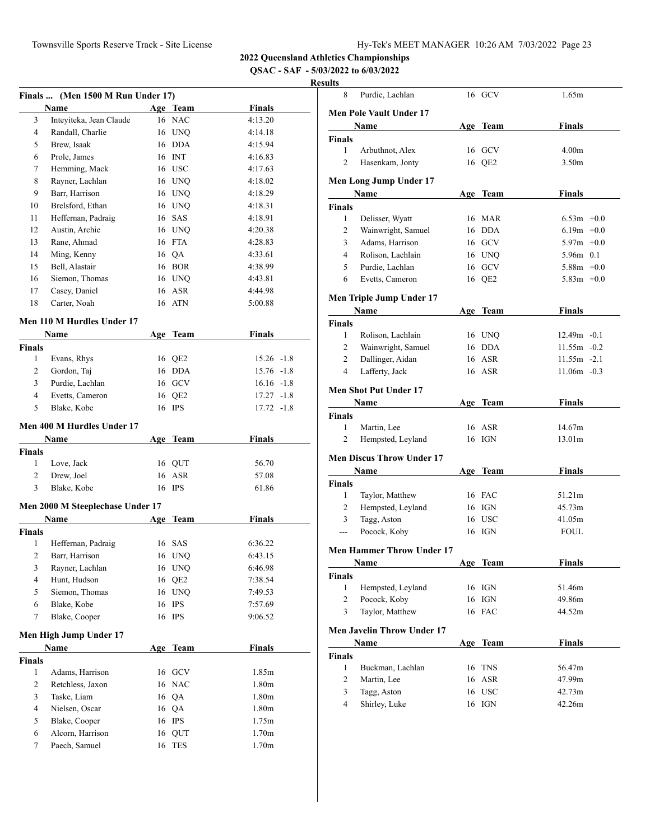**QSAC - SAF - 5/03/2022 to 6/03/2022**

|                | Finals  (Men 1500 M Run Under 17) |     |              |               |  |
|----------------|-----------------------------------|-----|--------------|---------------|--|
|                | Name                              |     | Age Team     | <b>Finals</b> |  |
| 3              | Inteyiteka, Jean Claude           |     | 16 NAC       | 4:13.20       |  |
| 4              | Randall, Charlie                  |     | 16 UNQ       | 4:14.18       |  |
| 5              | Brew, Isaak                       |     | 16 DDA       | 4:15.94       |  |
| 6              | Prole, James                      |     | 16 INT       | 4:16.83       |  |
| 7              | Hemming, Mack                     |     | 16 USC       | 4:17.63       |  |
| 8              | Rayner, Lachlan                   |     | 16 UNQ       | 4:18.02       |  |
| 9              | Barr, Harrison                    |     | 16 UNQ       | 4:18.29       |  |
| 10             | Brelsford, Ethan                  |     | 16 UNQ       | 4:18.31       |  |
| 11             | Heffernan, Padraig                |     | 16 SAS       | 4:18.91       |  |
| 12             | Austin, Archie                    |     | 16 UNQ       | 4:20.38       |  |
| 13             | Rane, Ahmad                       |     | 16 FTA       | 4:28.83       |  |
| 14             | Ming, Kenny                       |     | 16 QA        | 4:33.61       |  |
| 15             | Bell, Alastair                    |     | 16 BOR       | 4:38.99       |  |
| 16             | Siemon, Thomas                    |     | 16 UNQ       | 4:43.81       |  |
| 17             | Casey, Daniel                     |     | 16 ASR       | 4:44.98       |  |
| 18             | Carter, Noah                      |     | 16 ATN       | 5:00.88       |  |
|                |                                   |     |              |               |  |
|                | Men 110 M Hurdles Under 17        |     |              |               |  |
|                | Name                              |     | Age Team     | <b>Finals</b> |  |
| Finals<br>1    | Evans, Rhys                       |     | 16 QE2       | $15.26 -1.8$  |  |
| 2              | Gordon, Taj                       |     | 16 DDA       | $15.76 - 1.8$ |  |
| 3              | Purdie, Lachlan                   |     | 16 GCV       | $16.16 - 1.8$ |  |
| $\overline{4}$ | Evetts, Cameron                   |     | 16 QE2       | $17.27 - 1.8$ |  |
| 5              | Blake, Kobe                       |     | 16 IPS       | 17.72 -1.8    |  |
|                |                                   |     |              |               |  |
|                | Men 400 M Hurdles Under 17        |     |              |               |  |
|                | Name                              |     | Age Team     | <b>Finals</b> |  |
| Finals         |                                   |     |              |               |  |
| $\mathbf{1}$   | Love, Jack                        | 16  | QUT          | 56.70         |  |
| 2              | Drew, Joel                        | 16  | ASR          | 57.08         |  |
| 3              | Blake, Kobe                       |     | 16 IPS       | 61.86         |  |
|                | Men 2000 M Steeplechase Under 17  |     |              |               |  |
|                | Name                              | Age | Team         | <b>Finals</b> |  |
| <b>Finals</b>  |                                   |     |              |               |  |
| 1              | Heffernan, Padraig                | 16  | <b>SAS</b>   | 6:36.22       |  |
| $\overline{2}$ | Barr, Harrison                    | 16  | UNO          | 6:43.15       |  |
| 3              | Rayner, Lachlan                   |     | 16 UNQ       | 6:46.98       |  |
| 4              | Hunt, Hudson                      | 16  | QE2          | 7:38.54       |  |
| 5              | Siemon, Thomas                    | 16  | <b>UNQ</b>   | 7:49.53       |  |
| 6              | Blake, Kobe                       | 16  | $\rm IPS$    | 7:57.69       |  |
| 7              | Blake, Cooper                     | 16  | <b>IPS</b>   | 9:06.52       |  |
|                | Men High Jump Under 17            |     |              |               |  |
|                | <b>Name</b>                       |     | Age Team     | <b>Finals</b> |  |
| <b>Finals</b>  |                                   |     |              |               |  |
| 1              | Adams, Harrison                   | 16  | GCV          | 1.85m         |  |
| 2              | Retchless, Jaxon                  | 16  | $_{\rm NAC}$ | 1.80m         |  |
| 3              | Taske, Liam                       | 16  | QA           | 1.80m         |  |
| 4              | Nielsen, Oscar                    | 16  | QA           | 1.80m         |  |
| 5              | Blake, Cooper                     | 16  | <b>IPS</b>   | 1.75m         |  |
| 6              | Alcorn, Harrison                  | 16  | QUT          | 1.70m         |  |
| 7              | Paech, Samuel                     | 16  | TES          | 1.70m         |  |

| ιιιэ           |                                   |            |             |                   |  |
|----------------|-----------------------------------|------------|-------------|-------------------|--|
| 8              | Purdie, Lachlan                   |            | 16 GCV      | 1.65m             |  |
|                | Men Pole Vault Under 17           |            |             |                   |  |
|                | Name                              |            | Age Team    | Finals            |  |
| Finals         |                                   |            |             |                   |  |
| 1              | Arbuthnot, Alex                   |            | 16 GCV      | 4.00 <sub>m</sub> |  |
| 2              | Hasenkam, Jonty                   |            | 16 QE2      | 3.50 <sub>m</sub> |  |
|                | <b>Men Long Jump Under 17</b>     |            |             |                   |  |
|                | <b>Name</b>                       |            | Age Team    | Finals            |  |
| Finals         |                                   |            |             |                   |  |
| 1              | Delisser, Wyatt                   |            | 16 MAR      | $6.53m +0.0$      |  |
| 2              | Wainwright, Samuel                |            | 16 DDA      | $6.19m + 0.0$     |  |
| 3              | Adams, Harrison                   |            | 16 GCV      | $5.97m +0.0$      |  |
| $\overline{4}$ | Rolison, Lachlain                 |            | 16 UNQ      | 5.96m 0.1         |  |
| 5              | Purdie, Lachlan                   |            | 16 GCV      | $5.88m + 0.0$     |  |
| 6              | Evetts, Cameron                   |            | 16 QE2      | $5.83m +0.0$      |  |
|                | <b>Men Triple Jump Under 17</b>   |            |             |                   |  |
|                | Name                              |            | Age Team    | <b>Finals</b>     |  |
| Finals         |                                   |            |             |                   |  |
| 1              | Rolison, Lachlain                 |            | 16 UNQ      | $12.49m - 0.1$    |  |
| 2              | Wainwright, Samuel                |            | 16 DDA      | $11.55m - 0.2$    |  |
| 2              | Dallinger, Aidan                  |            | 16 ASR      | $11.55m - 2.1$    |  |
| $\overline{4}$ | Lafferty, Jack                    |            | 16 ASR      | $11.06m - 0.3$    |  |
|                | <b>Men Shot Put Under 17</b>      |            |             |                   |  |
|                | Name                              |            | Age Team    | <b>Finals</b>     |  |
| Finals         |                                   |            |             |                   |  |
| 1              | Martin, Lee                       |            | 16 ASR      | 14.67m            |  |
| 2              | Hempsted, Leyland                 |            | 16 IGN      | 13.01m            |  |
|                | <b>Men Discus Throw Under 17</b>  |            |             |                   |  |
|                | Name                              |            | Age Team    | <b>Finals</b>     |  |
| Finals         |                                   |            |             |                   |  |
| 1              | Taylor, Matthew                   |            | 16 FAC      | 51.21m            |  |
| 2              | Hempsted, Leyland                 |            | 16 IGN      | 45.73m            |  |
| 3              | Tagg, Aston                       |            | 16 USC      | 41.05m            |  |
| ---            | Pocock, Koby                      |            | 16 IGN      | <b>FOUL</b>       |  |
|                | <b>Men Hammer Throw Under 17</b>  |            |             |                   |  |
|                | Name                              | <u>Age</u> | <b>Team</b> | Finals            |  |
| Finals         |                                   |            |             |                   |  |
| 1              | Hempsted, Leyland                 |            | 16 IGN      | 51.46m            |  |
| $\overline{c}$ | Pocock, Koby                      | 16         | IGN         | 49.86m            |  |
| 3              | Taylor, Matthew                   |            | 16 FAC      | 44.52m            |  |
|                | <b>Men Javelin Throw Under 17</b> |            |             |                   |  |
|                | Name                              |            | Age Team    | <b>Finals</b>     |  |
| Finals         |                                   |            |             |                   |  |
| 1              | Buckman, Lachlan                  | 16         | <b>TNS</b>  | 56.47m            |  |
| $\overline{c}$ | Martin, Lee                       | 16         | <b>ASR</b>  | 47.99m            |  |
| 3              | Tagg, Aston                       |            | 16 USC      | 42.73m            |  |
| $\overline{4}$ | Shirley, Luke                     |            | 16 IGN      | 42.26m            |  |
|                |                                   |            |             |                   |  |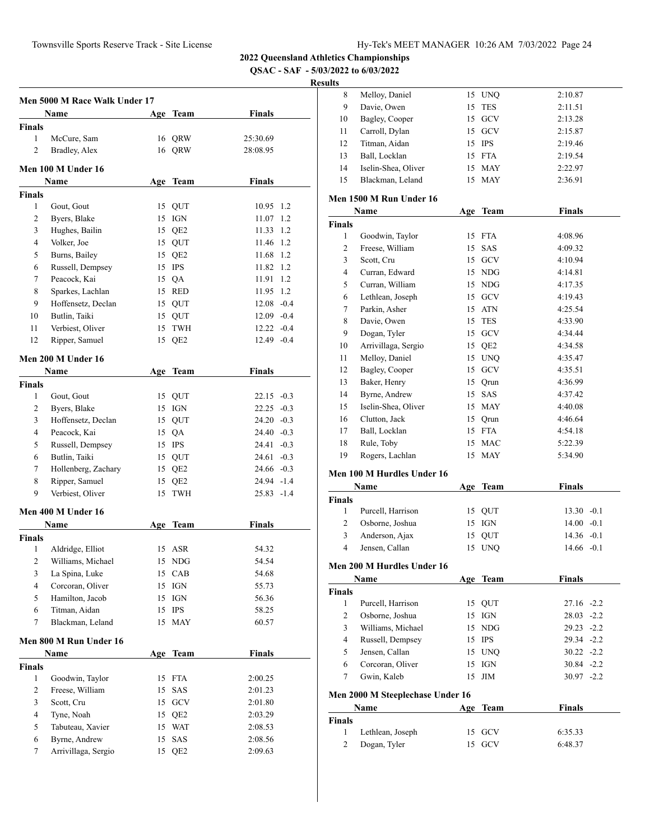**QSAC - SAF - 5/03/2022 to 6/03/2022**

#### **Results**

|               | Men 5000 M Race Walk Under 17     |     |                 |               |     |
|---------------|-----------------------------------|-----|-----------------|---------------|-----|
|               | Name                              | Age | <b>Team</b>     | <b>Finals</b> |     |
| <b>Finals</b> |                                   |     |                 |               |     |
| $\mathbf{1}$  | McCure, Sam                       |     | 16 QRW          | 25:30.69      |     |
| 2             | Bradley, Alex                     |     | 16 ORW          | 28:08.95      |     |
|               |                                   |     |                 |               |     |
|               | Men 100 M Under 16                |     |                 |               |     |
|               | Name                              |     | Age Team        | <b>Finals</b> |     |
| Finals        |                                   |     |                 |               |     |
| $\mathbf{1}$  | Gout, Gout                        |     | 15 QUT          | 10.95 1.2     |     |
| 2             | Byers, Blake                      | 15  | <b>IGN</b>      | 11.07         | 1.2 |
| 3             | Hughes, Bailin                    |     | 15 QE2          | 11.33         | 1.2 |
| 4             | Volker, Joe                       |     | 15 QUT          | 11.46         | 1.2 |
| 5             | Burns, Bailey                     |     | 15 QE2          | 11.68         | 1.2 |
| 6             | Russell, Dempsey                  |     | 15 IPS          | 11.82         | 1.2 |
| 7             | Peacock, Kai                      |     | 15 QA           | 11.91         | 1.2 |
| 8             | Sparkes, Lachlan                  |     | 15 RED          | 11.95 1.2     |     |
| 9             | Hoffensetz, Declan                |     | 15 QUT          | $12.08 - 0.4$ |     |
| 10            | Butlin, Taiki                     |     | 15 QUT          | $12.09 - 0.4$ |     |
| 11            | Verbiest, Oliver                  |     | 15 TWH          | $12.22 -0.4$  |     |
| 12            | Ripper, Samuel                    | 15  | QE <sub>2</sub> | $12.49 -0.4$  |     |
|               | Men 200 M Under 16                |     |                 |               |     |
|               | Name                              |     | Age Team        | Finals        |     |
| Finals        |                                   |     |                 |               |     |
| 1             | Gout, Gout                        |     | 15 QUT          | $22.15 -0.3$  |     |
| 2             | Byers, Blake                      |     | 15 IGN          | $22.25 -0.3$  |     |
| 3             | Hoffensetz, Declan                |     | 15 QUT          | $24.20 -0.3$  |     |
| 4             | Peacock, Kai                      |     |                 | 24.40 -0.3    |     |
|               |                                   |     | 15 QA           |               |     |
| 5<br>6        | Russell, Dempsey<br>Butlin, Taiki |     | 15 IPS          | 24.41 -0.3    |     |
|               |                                   |     | 15 QUT          | $24.61 - 0.3$ |     |
| 7             | Hollenberg, Zachary               |     | 15 QE2          | $24.66 - 0.3$ |     |
| 8             | Ripper, Samuel                    |     | 15 QE2          | 24.94 -1.4    |     |
| 9             | Verbiest, Oliver                  | 15  | TWH             | $25.83 - 1.4$ |     |
|               | Men 400 M Under 16                |     |                 |               |     |
|               | Name                              |     | Age Team        | Finals        |     |
| <b>Finals</b> |                                   |     |                 |               |     |
| 1             | Aldridge, Elliot                  | 15  | ASR             | 54.32         |     |
| 2             | Williams, Michael                 |     | 15 NDG          | 54.54         |     |
| 3             | La Spina, Luke                    | 15  | CAB             | 54.68         |     |
| 4             | Corcoran, Oliver                  | 15  | <b>IGN</b>      | 55.73         |     |
| 5             | Hamilton, Jacob                   | 15  | <b>IGN</b>      | 56.36         |     |
| 6             | Titman, Aidan                     | 15  | <b>IPS</b>      | 58.25         |     |
| 7             | Blackman, Leland                  | 15  | <b>MAY</b>      | 60.57         |     |
|               |                                   |     |                 |               |     |
|               | Men 800 M Run Under 16            |     |                 |               |     |
|               | Name                              |     | Age Team        | <b>Finals</b> |     |
| <b>Finals</b> |                                   |     |                 |               |     |
| $\mathbf{1}$  | Goodwin, Taylor                   | 15  | <b>FTA</b>      | 2:00.25       |     |
| 2             | Freese, William                   | 15  | SAS             | 2:01.23       |     |
| 3             | Scott, Cru                        |     | 15 GCV          | 2:01.80       |     |
| 4             | Tyne, Noah                        |     | 15 QE2          | 2:03.29       |     |
| 5             | Tabuteau, Xavier                  |     | 15 WAT          | 2:08.53       |     |
| 6             | Byrne, Andrew                     | 15  | SAS             | 2:08.56       |     |
| 7             | Arrivillaga, Sergio               | 15  | QE <sub>2</sub> | 2:09.63       |     |
|               |                                   |     |                 |               |     |

| 8  | Melloy, Daniel      |    | 15 UNO     | 2:10.87 |
|----|---------------------|----|------------|---------|
| 9  | Davie, Owen         |    | 15 TES     | 2:11.51 |
| 10 | Bagley, Cooper      |    | 15 GCV     | 2:13.28 |
| 11 | Carroll, Dylan      |    | 15 GCV     | 2:15.87 |
| 12 | Titman, Aidan       |    | 15 IPS     | 2:19.46 |
| 13 | Ball, Locklan       |    | 15 FTA     | 2:19.54 |
| 14 | Iselin-Shea, Oliver | 15 | MAY        | 2:22.97 |
| 15 | Blackman, Leland    |    | <b>MAY</b> | 2:36.91 |

#### **Men 1500 M Run Under 16**

|               | Name                | Age | Team            | Finals  |
|---------------|---------------------|-----|-----------------|---------|
| <b>Finals</b> |                     |     |                 |         |
| 1             | Goodwin, Taylor     | 15  | <b>FTA</b>      | 4:08.96 |
| 2             | Freese, William     | 15  | <b>SAS</b>      | 4:09.32 |
| 3             | Scott, Cru          | 15  | GCV             | 4:10.94 |
| 4             | Curran, Edward      | 15  | <b>NDG</b>      | 4:14.81 |
| 5             | Curran, William     | 15  | <b>NDG</b>      | 4:17.35 |
| 6             | Lethlean, Joseph    | 15  | GCV             | 4:19.43 |
| 7             | Parkin, Asher       | 15  | <b>ATN</b>      | 4:25.54 |
| 8             | Davie, Owen         | 15  | <b>TES</b>      | 4:33.90 |
| 9             | Dogan, Tyler        | 15  | <b>GCV</b>      | 4:34.44 |
| 10            | Arrivillaga, Sergio | 15  | QE <sub>2</sub> | 4:34.58 |
| 11            | Melloy, Daniel      | 15  | <b>UNQ</b>      | 4:35.47 |
| 12            | Bagley, Cooper      | 15  | GCV             | 4:35.51 |
| 13            | Baker, Henry        | 15  | Qrun            | 4:36.99 |
| 14            | Byrne, Andrew       | 15  | SAS             | 4:37.42 |
| 15            | Iselin-Shea, Oliver | 15  | <b>MAY</b>      | 4:40.08 |
| 16            | Clutton, Jack       | 15  | Qrun            | 4:46.64 |
| 17            | Ball, Locklan       | 15  | <b>FTA</b>      | 4:54.18 |
| 18            | Rule, Toby          | 15  | <b>MAC</b>      | 5:22.39 |
| 19            | Rogers, Lachlan     | 15  | <b>MAY</b>      | 5:34.90 |
|               |                     |     |                 |         |

#### **Men 100 M Hurdles Under 16**

| <b>Name</b>   |                   | Age Team |        | <b>Finals</b> |  |
|---------------|-------------------|----------|--------|---------------|--|
| <b>Finals</b> |                   |          |        |               |  |
|               | Purcell, Harrison |          | 15 OUT | $13.30 - 0.1$ |  |
|               | Osborne, Joshua   |          | 15 IGN | $14.00 - 0.1$ |  |
| 3             | Anderson, Ajax    |          | 15 OUT | $14.36 - 0.1$ |  |
| 4             | Jensen, Callan    |          | 15 UNO | $14.66 - 0.1$ |  |

#### **Men 200 M Hurdles Under 16**

|        | Name                             | Age | Team     | <b>Finals</b> |
|--------|----------------------------------|-----|----------|---------------|
| Finals |                                  |     |          |               |
| 1      | Purcell, Harrison                |     | 15 OUT   | $27.16 - 2.2$ |
| 2      | Osborne, Joshua                  |     | 15 IGN   | $28.03 - 2.2$ |
| 3      | Williams, Michael                |     | $15$ NDG | $29.23 - 2.2$ |
| 4      | Russell, Dempsey                 |     | 15 IPS   | $29.34 -2.2$  |
| 5      | Jensen, Callan                   |     | 15 UNO   | $30.22 - 2.2$ |
| 6      | Corcoran, Oliver                 |     | 15 IGN   | $30.84 - 2.2$ |
| 7      | Gwin, Kaleb                      |     | $15$ JIM | $30.97 -2.2$  |
|        | Men 2000 M Steeplechase Under 16 |     |          |               |
|        | Name                             | Age | Team     | <b>Finals</b> |
| Finals |                                  |     |          |               |
|        | Lethlean, Joseph                 | 15  | GCV      | 6:35.33       |

Dogan, Tyler 15 GCV 6:48.37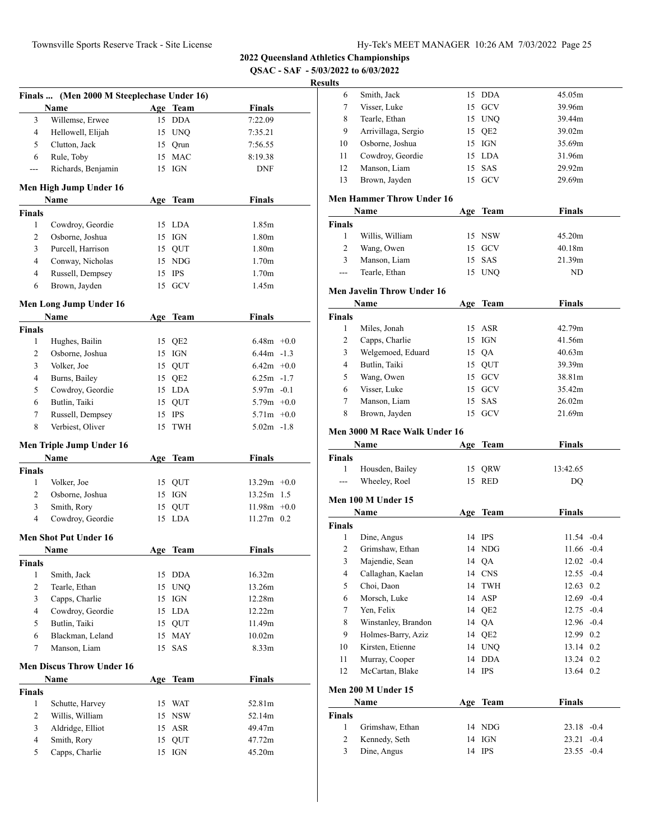**QSAC - SAF - 5/03/2022 to 6/03/2022**

|                | Finals  (Men 2000 M Steeplechase Under 16) |     |             |                   |  |
|----------------|--------------------------------------------|-----|-------------|-------------------|--|
|                | Name                                       |     | Age Team    | <b>Finals</b>     |  |
| 3              | Willemse, Erwee                            | 15  | <b>DDA</b>  | 7:22.09           |  |
| 4              | Hellowell, Elijah                          |     | 15 UNQ      | 7:35.21           |  |
| 5              | Clutton, Jack                              |     | 15 Qrun     | 7:56.55           |  |
| 6              | Rule, Toby                                 | 15  | <b>MAC</b>  | 8:19.38           |  |
| ---            | Richards, Benjamin                         |     | 15 IGN      | <b>DNF</b>        |  |
|                | Men High Jump Under 16                     |     |             |                   |  |
|                | Name                                       |     | Age Team    | Finals            |  |
| <b>Finals</b>  |                                            |     |             |                   |  |
| 1              | Cowdroy, Geordie                           |     | 15 LDA      | 1.85m             |  |
| 2              | Osborne, Joshua                            |     | 15 IGN      | 1.80 <sub>m</sub> |  |
| 3              | Purcell, Harrison                          |     | 15 QUT      | 1.80 <sub>m</sub> |  |
| $\overline{4}$ | Conway, Nicholas                           |     | 15 NDG      | 1.70 <sub>m</sub> |  |
| $\overline{4}$ | Russell, Dempsey                           |     | 15 IPS      | 1.70 <sub>m</sub> |  |
| 6              | Brown, Jayden                              |     | 15 GCV      | 1.45m             |  |
|                | Men Long Jump Under 16                     |     |             |                   |  |
|                | Name                                       | Age | <b>Team</b> | <b>Finals</b>     |  |
| <b>Finals</b>  |                                            |     |             |                   |  |
| 1              | Hughes, Bailin                             |     | 15 QE2      | $6.48m + 0.0$     |  |
| 2              | Osborne, Joshua                            |     | 15 IGN      | $6.44m - 1.3$     |  |
| 3              | Volker, Joe                                |     | 15 OUT      | $6.42m + 0.0$     |  |
| 4              | Burns, Bailey                              |     | 15 QE2      | $6.25m -1.7$      |  |
| 5              | Cowdroy, Geordie                           |     | 15 LDA      | $5.97m - 0.1$     |  |
| 6              | Butlin, Taiki                              |     | 15 QUT      | $5.79m +0.0$      |  |
| 7              | Russell, Dempsey                           | 15  | IPS         | $5.71m +0.0$      |  |
| 8              | Verbiest, Oliver                           | 15  | <b>TWH</b>  | $5.02m -1.8$      |  |
|                | Men Triple Jump Under 16                   |     |             |                   |  |
|                | Name                                       | Age | Team        | <b>Finals</b>     |  |
| <b>Finals</b>  |                                            |     |             |                   |  |
| 1              | Volker, Joe                                | 15  | QUT         | $13.29m +0.0$     |  |
| 2              | Osborne, Joshua                            |     | 15 IGN      | 13.25m 1.5        |  |
| 3              | Smith, Rory                                |     | 15 QUT      | $11.98m + 0.0$    |  |
| $\overline{4}$ | Cowdroy, Geordie                           | 15  | <b>LDA</b>  | 11.27m 0.2        |  |
|                | <b>Men Shot Put Under 16</b>               |     |             |                   |  |
|                | Name                                       |     | Age Team    | Finals            |  |
| Finals         |                                            |     |             |                   |  |
| 1              | Smith, Jack                                |     | 15 DDA      | 16.32m            |  |
| $\overline{c}$ | Tearle, Ethan                              |     | 15 UNQ      | 13.26m            |  |
| 3              | Capps, Charlie                             | 15  | IGN         | 12.28m            |  |
| $\overline{4}$ | Cowdroy, Geordie                           |     | 15 LDA      | 12.22m            |  |
| 5              | Butlin, Taiki                              |     | 15 QUT      | 11.49m            |  |
| 6              | Blackman, Leland                           | 15  | <b>MAY</b>  | 10.02m            |  |
| 7              | Manson, Liam                               | 15  | SAS         | 8.33 <sub>m</sub> |  |
|                | <b>Men Discus Throw Under 16</b>           |     |             |                   |  |
|                | Name                                       |     | Age Team    | <b>Finals</b>     |  |
| <b>Finals</b>  |                                            |     |             |                   |  |
| 1              | Schutte, Harvey                            |     | 15 WAT      | 52.81m            |  |
| 2              | Willis, William                            |     | 15 NSW      | 52.14m            |  |
| 3              | Aldridge, Elliot                           | 15  | ASR         | 49.47m            |  |
| $\overline{4}$ | Smith, Rory                                | 15  | QUT         | 47.72m            |  |
| 5              | Capps, Charlie                             | 15  | IGN         | 45.20m            |  |

| 6                  | Smith, Jack                          |    | 15 DDA          | 45.05m        |        |
|--------------------|--------------------------------------|----|-----------------|---------------|--------|
| 7                  | Visser, Luke                         | 15 | GCV             | 39.96m        |        |
| 8                  | Tearle, Ethan                        |    | 15 UNQ          | 39.44m        |        |
| 9                  | Arrivillaga, Sergio                  |    | 15 QE2          | 39.02m        |        |
| 10                 | Osborne, Joshua                      |    | 15 IGN          | 35.69m        |        |
| 11                 | Cowdroy, Geordie                     |    | 15 LDA          | 31.96m        |        |
| 12                 | Manson, Liam                         |    | 15 SAS          | 29.92m        |        |
| 13                 | Brown, Jayden                        |    | 15 GCV          | 29.69m        |        |
|                    | <b>Men Hammer Throw Under 16</b>     |    |                 |               |        |
|                    | Name                                 |    |                 | <b>Finals</b> |        |
|                    |                                      |    | Age Team        |               |        |
| <b>Finals</b><br>1 | Willis, William                      |    | 15 NSW          | 45.20m        |        |
| $\overline{2}$     |                                      | 15 | <b>GCV</b>      | 40.18m        |        |
| 3                  | Wang, Owen<br>Manson, Liam           | 15 |                 |               |        |
| $---$              | Tearle, Ethan                        |    | SAS             | 21.39m<br>ND  |        |
|                    |                                      |    | 15 UNQ          |               |        |
|                    | <b>Men Javelin Throw Under 16</b>    |    |                 |               |        |
|                    | Name                                 |    | Age Team        | <b>Finals</b> |        |
| <b>Finals</b>      |                                      |    |                 |               |        |
| 1                  | Miles, Jonah                         |    | 15 ASR          | 42.79m        |        |
| $\overline{2}$     | Capps, Charlie                       |    | $15$ IGN        | 41.56m        |        |
| 3                  | Welgemoed, Eduard                    |    | 15 QA           | 40.63m        |        |
| 4                  | Butlin, Taiki                        |    | 15 QUT          | 39.39m        |        |
| 5                  | Wang, Owen                           |    | 15 GCV          | 38.81m        |        |
| 6                  | Visser, Luke                         |    | 15 GCV          | 35.42m        |        |
| 7                  | Manson, Liam                         |    | 15 SAS          | 26.02m        |        |
| 8                  | Brown, Jayden                        | 15 | <b>GCV</b>      | 21.69m        |        |
|                    |                                      |    |                 |               |        |
|                    |                                      |    |                 |               |        |
|                    | <b>Men 3000 M Race Walk Under 16</b> |    |                 |               |        |
|                    | Name                                 |    | Age Team        | <b>Finals</b> |        |
| <b>Finals</b>      |                                      |    |                 |               |        |
| 1<br>$-$           | Housden, Bailey                      | 15 | QRW             | 13:42.65      |        |
|                    | Wheeley, Roel                        |    | 15 RED          | DQ            |        |
|                    | Men 100 M Under 15                   |    |                 |               |        |
|                    | Name                                 |    | Age Team        | Finals        |        |
| <b>Finals</b>      |                                      |    |                 |               |        |
| 1                  | Dine, Angus                          |    | 14 IPS          | $11.54 - 0.4$ |        |
| $\overline{c}$     | Grimshaw, Ethan                      |    | 14 NDG          | $11.66 - 0.4$ |        |
| $\overline{3}$     | Majendie, Sean                       |    | 14 QA           | $12.02 -0.4$  |        |
| 4                  | Callaghan, Kaelan                    |    | 14 CNS          | $12.55 - 0.4$ |        |
| 5                  | Choi, Daon                           | 14 | TWH             | 12.63 0.2     |        |
| 6                  | Morsch, Luke                         | 14 | ASP             | 12.69 -0.4    |        |
| 7                  | Yen, Felix                           | 14 | QE <sub>2</sub> | 12.75 -0.4    |        |
| 8                  | Winstanley, Brandon                  | 14 | QA              | $12.96 -0.4$  |        |
| 9                  | Holmes-Barry, Aziz                   | 14 | QE <sub>2</sub> | 12.99 0.2     |        |
| 10                 | Kirsten, Etienne                     | 14 | <b>UNQ</b>      | 13.14 0.2     |        |
| 11                 | Murray, Cooper                       | 14 | <b>DDA</b>      | 13.24 0.2     |        |
| 12                 | McCartan, Blake                      | 14 | <b>IPS</b>      | 13.64 0.2     |        |
|                    | Men 200 M Under 15                   |    |                 |               |        |
|                    | Name                                 |    |                 | <b>Finals</b> |        |
| <b>Finals</b>      |                                      |    | Age Team        |               |        |
| $\mathbf{1}$       | Grimshaw, Ethan                      |    | 14 NDG          | $23.18 - 0.4$ |        |
| 2                  | Kennedy, Seth                        | 14 | IGN             | 23.21         | $-0.4$ |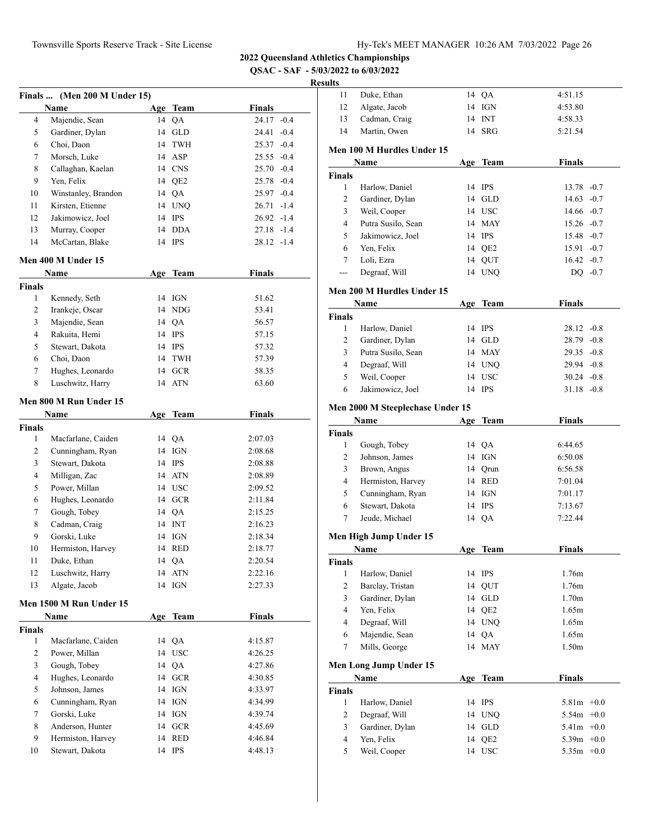**QSAC - SAF - 5/03/2022 to 6/03/2022**

|                | Finals  (Men 200 M Under 15) |    |          |               |
|----------------|------------------------------|----|----------|---------------|
|                | <b>Name</b>                  |    | Age Team | Finals        |
| 4              | Majendie, Sean               |    | 14 QA    | 24.17 -0.4    |
| 5              | Gardiner, Dylan              |    | 14 GLD   | 24.41 -0.4    |
| 6              | Choi, Daon                   |    | 14 TWH   | $25.37 -0.4$  |
| 7              | Morsch, Luke                 |    | 14 ASP   | $25.55 -0.4$  |
| 8              | Callaghan, Kaelan            |    | 14 CNS   | $25.70 -0.4$  |
| 9              | Yen, Felix                   |    | 14 QE2   | 25.78 -0.4    |
| 10             | Winstanley, Brandon          |    | 14 QA    | 25.97 -0.4    |
| 11             | Kirsten, Etienne             |    | 14 UNQ   | $26.71 - 1.4$ |
| 12             | Jakimowicz, Joel             |    | 14 IPS   | $26.92 -1.4$  |
| 13             | Murray, Cooper               |    | 14 DDA   | 27.18 -1.4    |
| 14             | McCartan, Blake              |    | 14 IPS   | 28.12 -1.4    |
|                | Men 400 M Under 15           |    |          |               |
|                | Name                         |    | Age Team | Finals        |
| <b>Finals</b>  |                              |    |          |               |
| 1              | Kennedy, Seth                |    | 14 IGN   | 51.62         |
| 2              | Irankeje, Oscar              |    | 14 NDG   | 53.41         |
| 3              | Majendie, Sean               |    | 14 QA    | 56.57         |
| 4              | Rakuita, Hemi                |    | 14 IPS   | 57.15         |
| 5              | Stewart, Dakota              |    | 14 IPS   | 57.32         |
| 6              | Choi, Daon                   |    | 14 TWH   | 57.39         |
| 7              | Hughes, Leonardo             |    | 14 GCR   | 58.35         |
| 8              | Luschwitz, Harry             |    | 14 ATN   | 63.60         |
|                | Men 800 M Run Under 15       |    |          |               |
|                | Name                         |    | Age Team | <b>Finals</b> |
| <b>Finals</b>  |                              |    |          |               |
| 1              | Macfarlane, Caiden           |    | 14 QA    | 2:07.03       |
| $\overline{c}$ | Cunningham, Ryan             |    | 14 IGN   | 2:08.68       |
| 3              | Stewart, Dakota              |    | 14 IPS   | 2:08.88       |
| 4              | Milligan, Zac                |    | 14 ATN   | 2:08.89       |
| 5              | Power, Millan                |    | 14 USC   | 2:09.52       |
| 6              | Hughes, Leonardo             |    | 14 GCR   | 2:11.84       |
| 7              | Gough, Tobey                 |    | 14 QA    | 2:15.25       |
| 8              | Cadman, Craig                |    | 14 INT   | 2:16.23       |
| 9              | Gorski, Luke                 |    | 14 IGN   | 2:18.34       |
| 10             | Hermiston, Harvey            |    | 14 RED   | 2:18.77       |
| 11             | Duke, Ethan                  |    | 14 QA    | 2:20.54       |
| 12             | Luschwitz, Harry             |    | 14 ATN   | 2:22.16       |
| 13             | Algate, Jacob                |    | 14 IGN   | 2:27.33       |
|                | Men 1500 M Run Under 15      |    |          |               |
|                | Name                         |    | Age Team | <b>Finals</b> |
| <b>Finals</b>  |                              |    |          |               |
| 1              | Macfarlane, Caiden           |    | 14 QA    | 4:15.87       |
| 2              | Power, Millan                |    | 14 USC   | 4:26.25       |
| 3              | Gough, Tobey                 |    | 14 QA    | 4:27.86       |
| 4              | Hughes, Leonardo             |    | 14 GCR   | 4:30.85       |
| 5              | Johnson, James               |    | 14 IGN   | 4:33.97       |
| 6              | Cunningham, Ryan             |    | 14 IGN   | 4:34.99       |
| 7              | Gorski, Luke                 |    | 14 IGN   | 4:39.74       |
| 8              | Anderson, Hunter             |    | 14 GCR   | 4:45.69       |
| 9              | Hermiston, Harvey            | 14 | RED      | 4:46.84       |
| 10             | Stewart, Dakota              |    | 14 IPS   | 4:48.13       |
|                |                              |    |          |               |

| 11<br>12            |                                  |     |                           |                              |  |
|---------------------|----------------------------------|-----|---------------------------|------------------------------|--|
|                     | Duke, Ethan                      | 14  | QA                        | 4:51.15                      |  |
|                     | Algate, Jacob                    | 14  | IGN                       | 4:53.80                      |  |
| 13                  | Cadman, Craig                    | 14  | <b>INT</b>                | 4:58.33                      |  |
| 14                  | Martin, Owen                     | 14  | SRG                       | 5:21.54                      |  |
|                     |                                  |     |                           |                              |  |
|                     | Men 100 M Hurdles Under 15       |     |                           |                              |  |
|                     | Name                             |     | Age Team                  | <b>Finals</b>                |  |
| <b>Finals</b>       |                                  |     |                           |                              |  |
| $\mathbf{1}$        | Harlow, Daniel                   |     | 14 IPS                    | $13.78 - 0.7$                |  |
| 2                   | Gardiner, Dylan                  |     | 14 GLD                    | $14.63 - 0.7$                |  |
| 3                   | Weil, Cooper                     |     | 14 USC                    | $14.66 - 0.7$                |  |
| 4                   | Putra Susilo, Sean               |     | 14 MAY                    | $15.26 -0.7$                 |  |
| 5                   | Jakimowicz, Joel                 |     | 14 IPS                    | 15.48 -0.7                   |  |
| 6                   | Yen, Felix                       | 14  | QE <sub>2</sub>           | $15.91 - 0.7$                |  |
| 7                   | Loli, Ezra                       | 14  | QUT                       | $16.42 -0.7$                 |  |
|                     | Degraaf, Will                    | 14  |                           |                              |  |
| ---                 |                                  |     | <b>UNQ</b>                | DQ $-0.7$                    |  |
|                     | Men 200 M Hurdles Under 15       |     |                           |                              |  |
|                     | Name                             |     | Age Team                  | <b>Finals</b>                |  |
| <b>Finals</b>       |                                  |     |                           |                              |  |
| 1                   | Harlow, Daniel                   | 14  | <b>IPS</b>                | $28.12 -0.8$                 |  |
|                     |                                  |     |                           |                              |  |
| 2                   | Gardiner, Dylan                  |     | 14 GLD                    | $28.79 - 0.8$                |  |
| 3                   | Putra Susilo, Sean               |     | 14 MAY                    | $29.35 -0.8$                 |  |
| 4                   | Degraaf, Will                    |     | 14 UNO                    | $29.94 -0.8$                 |  |
| 5                   | Weil, Cooper                     |     | 14 USC                    | $30.24 -0.8$                 |  |
| 6                   | Jakimowicz, Joel                 |     | 14 IPS                    | $31.18 - 0.8$                |  |
|                     | Men 2000 M Steeplechase Under 15 |     |                           |                              |  |
|                     |                                  |     |                           |                              |  |
|                     | Name                             | Age | <b>Team</b>               | <b>Finals</b>                |  |
| <b>Finals</b>       |                                  |     |                           |                              |  |
| $\mathbf{1}$        | Gough, Tobey                     |     | 14 QA                     | 6:44.65                      |  |
| 2                   | Johnson, James                   |     | 14 IGN                    | 6:50.08                      |  |
| 3                   | Brown, Angus                     | 14  | Qrun                      | 6:56.58                      |  |
| 4                   | Hermiston, Harvey                |     | 14 RED                    | 7:01.04                      |  |
|                     |                                  |     |                           |                              |  |
| 5                   | Cunningham, Ryan                 |     | 14 IGN                    | 7:01.17                      |  |
| 6                   | Stewart, Dakota                  |     | 14 IPS                    | 7:13.67                      |  |
| 7                   | Jeude, Michael                   | 14  | QA                        | 7:22.44                      |  |
|                     |                                  |     |                           |                              |  |
|                     | Men High Jump Under 15           |     |                           |                              |  |
|                     | Name                             | Age | Team                      | <b>Finals</b>                |  |
| Finals              |                                  |     |                           |                              |  |
| 1                   | Harlow, Daniel                   |     | 14 IPS                    | 1.76m                        |  |
| $\mathbf{2}$        | Barclay, Tristan                 | 14  | QUT                       | 1.76m                        |  |
| 3                   | Gardiner, Dylan                  | 14  | GLD                       | 1.70 <sub>m</sub>            |  |
| $\overline{4}$      | Yen, Felix                       | 14  | QE <sub>2</sub>           | 1.65m                        |  |
| 4                   |                                  | 14  | <b>UNQ</b>                | 1.65m                        |  |
|                     | Degraaf, Will                    |     |                           |                              |  |
| 6                   | Majendie, Sean                   | 14  | QA                        | 1.65m                        |  |
| 7                   | Mills, George                    | 14  | <b>MAY</b>                | 1.50m                        |  |
|                     | Men Long Jump Under 15           |     |                           |                              |  |
|                     | Name                             |     | Age Team                  | <b>Finals</b>                |  |
| <b>Finals</b>       |                                  |     |                           |                              |  |
| $\mathbf{1}$        |                                  |     |                           |                              |  |
|                     | Harlow, Daniel                   |     | 14 IPS                    | $5.81m + 0.0$                |  |
| $\overline{c}$      | Degraaf, Will                    |     | 14 UNQ                    | $5.54m + 0.0$                |  |
| 3                   | Gardiner, Dylan                  |     | 14 GLD                    | $5.41m + 0.0$                |  |
| $\overline{4}$<br>5 | Yen, Felix<br>Weil, Cooper       | 14  | QE <sub>2</sub><br>14 USC | $5.39m +0.0$<br>$5.35m +0.0$ |  |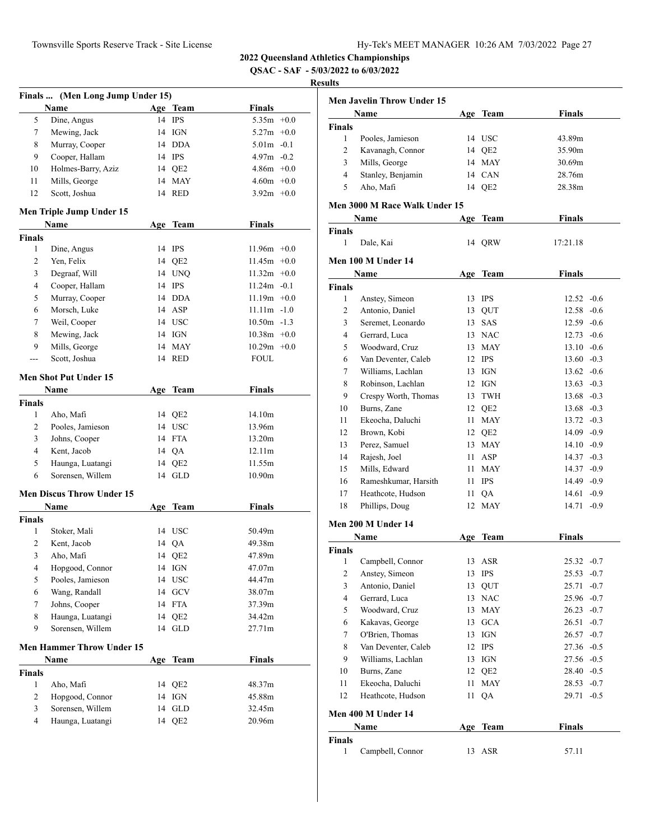**QSAC - SAF - 5/03/2022 to 6/03/2022**

|                | Finals  (Men Long Jump Under 15) |     |                      |                |  |
|----------------|----------------------------------|-----|----------------------|----------------|--|
|                | Name                             |     | Age Team             | Finals         |  |
| 5              | Dine, Angus                      | 14  | <b>IPS</b>           | $5.35m +0.0$   |  |
| 7              | Mewing, Jack                     |     | 14 IGN               | $5.27m +0.0$   |  |
| 8              | Murray, Cooper                   |     | 14 DDA               | $5.01m - 0.1$  |  |
| 9              | Cooper, Hallam                   |     | 14 IPS               | $4.97m - 0.2$  |  |
| 10             | Holmes-Barry, Aziz               |     | 14 QE2               | $4.86m + 0.0$  |  |
| 11             | Mills, George                    |     | 14 MAY               | $4.60m + 0.0$  |  |
| 12             | Scott, Joshua                    |     | 14 RED               | $3.92m +0.0$   |  |
|                | Men Triple Jump Under 15         |     |                      |                |  |
|                | Name                             |     | Age Team             | <b>Finals</b>  |  |
| <b>Finals</b>  |                                  |     |                      |                |  |
| 1              | Dine, Angus                      |     | 14 IPS               | $11.96m +0.0$  |  |
| 2              | Yen, Felix                       | 14  | QE <sub>2</sub>      | $11.45m +0.0$  |  |
| 3              | Degraaf, Will                    | 14  | <b>UNQ</b>           | $11.32m +0.0$  |  |
| 4              | Cooper, Hallam                   |     | 14 IPS               | $11.24m - 0.1$ |  |
| 5              | Murray, Cooper                   |     | 14 DDA               | $11.19m +0.0$  |  |
| 6              | Morsch, Luke                     |     | 14 ASP               | $11.11m - 1.0$ |  |
| 7              | Weil, Cooper                     |     | 14 USC               | $10.50m - 1.3$ |  |
| 8              | Mewing, Jack                     |     | 14 IGN               | $10.38m + 0.0$ |  |
| 9              | Mills, George                    |     | 14 MAY               | $10.29m + 0.0$ |  |
| ---            | Scott, Joshua                    |     | 14 RED               | <b>FOUL</b>    |  |
|                | <b>Men Shot Put Under 15</b>     |     |                      |                |  |
|                | Name                             | Age | Team                 | Finals         |  |
| Finals         |                                  |     |                      |                |  |
| 1              | Aho, Mafi                        |     | 14 QE2               | 14.10m         |  |
| 2              | Pooles, Jamieson                 |     | 14 USC               | 13.96m         |  |
| 3              | Johns, Cooper                    |     | 14 FTA               | 13.20m         |  |
| 4              | Kent, Jacob                      |     | 14 QA                | 12.11m         |  |
| 5              | Haunga, Luatangi                 | 14  | QE <sub>2</sub>      | 11.55m         |  |
| 6              | Sorensen, Willem                 |     | 14 GLD               | 10.90m         |  |
|                | <b>Men Discus Throw Under 15</b> |     |                      |                |  |
|                | Name                             |     | Age Team             | <b>Finals</b>  |  |
| <b>Finals</b>  |                                  |     |                      |                |  |
| 1              | Stoker, Mali                     |     | 14 USC               | 50.49m         |  |
| 2              | Kent, Jacob                      | 14  | QA                   | 49.38m         |  |
| 3              | Aho, Mafi                        |     | 14 QE2               | 47.89m         |  |
| 4              | Hopgood, Connor                  |     | 14 IGN               | 47.07m         |  |
| 5              | Pooles, Jamieson                 | 14  | <b>USC</b>           | 44.47m         |  |
| 6              | Wang, Randall                    | 14  | GCV                  | 38.07m         |  |
| 7              | Johns, Cooper                    | 14  | <b>FTA</b>           | 37.39m         |  |
| 8              | Haunga, Luatangi                 | 14  | QE <sub>2</sub>      | 34.42m         |  |
| 9              | Sorensen, Willem                 | 14  | GLD                  | 27.71m         |  |
|                | <b>Men Hammer Throw Under 15</b> |     |                      |                |  |
|                | Name                             |     | Age Team             | <b>Finals</b>  |  |
| <b>Finals</b>  |                                  |     |                      |                |  |
| 1              | Aho, Mafi                        |     | 14 QE2               | 48.37m         |  |
| 2              | Hopgood, Connor                  |     | 14 IGN               | 45.88m         |  |
| 3              | Sorensen, Willem                 | 14  | $\operatorname{GLD}$ | 32.45m         |  |
| $\overline{4}$ | Haunga, Luatangi                 | 14  | QE <sub>2</sub>      | 20.96m         |  |

|                    | <b>Men Javelin Throw Under 15</b>    |    |            |                 |
|--------------------|--------------------------------------|----|------------|-----------------|
|                    | Name                                 |    | Age Team   | <b>Finals</b>   |
| <b>Finals</b>      |                                      |    |            |                 |
| 1                  | Pooles, Jamieson                     |    | 14 USC     | 43.89m          |
| 2                  | Kavanagh, Connor                     |    | 14 QE2     | 35.90m          |
| 3                  | Mills, George                        |    | 14 MAY     | 30.69m          |
| 4                  | Stanley, Benjamin                    |    | 14 CAN     | 28.76m          |
| 5                  | Aho, Mafi                            |    | 14 QE2     | 28.38m          |
|                    | <b>Men 3000 M Race Walk Under 15</b> |    |            |                 |
|                    | Name                                 |    | Age Team   | Finals          |
| <b>Finals</b>      |                                      |    |            |                 |
| 1                  | Dale, Kai                            |    | 14 QRW     | 17:21.18        |
|                    |                                      |    |            |                 |
|                    | Men 100 M Under 14                   |    |            |                 |
|                    | Name                                 |    | Age Team   | Finals          |
| <b>Finals</b>      |                                      |    |            |                 |
| 1                  | Anstey, Simeon                       |    | 13 IPS     | $12.52 -0.6$    |
| 2                  | Antonio, Daniel                      |    | 13 QUT     | $12.58 - 0.6$   |
| 3                  | Seremet, Leonardo                    |    | 13 SAS     | $12.59 - 0.6$   |
| 4                  | Gerrard, Luca                        |    | 13 NAC     | $12.73 - 0.6$   |
| 5                  | Woodward, Cruz                       |    | 13 MAY     | $13.10 - 0.6$   |
| 6                  | Van Deventer, Caleb                  |    | 12 IPS     | $13.60 - 0.3$   |
| 7                  | Williams, Lachlan                    |    | 13 IGN     | $13.62 - 0.6$   |
| 8                  | Robinson, Lachlan                    |    | 12 IGN     | $13.63 - 0.3$   |
| 9                  | Crespy Worth, Thomas                 |    | 13 TWH     | $13.68 - 0.3$   |
| 10                 | Burns, Zane                          |    | 12 QE2     | $13.68 - 0.3$   |
| 11                 | Ekeocha, Daluchi                     |    | 11 MAY     | $13.72 -0.3$    |
| 12                 | Brown, Kobi                          |    | 12 QE2     | $14.09 - 0.9$   |
| 13                 | Perez, Samuel                        |    | 13 MAY     | $14.10 -0.9$    |
| 14                 | Rajesh, Joel                         |    | $11$ ASP   | $14.37 - 0.3$   |
| 15                 | Mills, Edward                        |    | 11 MAY     | 14.37 -0.9      |
| 16                 | Rameshkumar, Harsith                 |    | 11 IPS     | 14.49 -0.9      |
| 17                 | Heathcote, Hudson                    |    | 11 QA      | $14.61 - 0.9$   |
| 18                 | Phillips, Doug                       |    | 12 MAY     | $14.71 - 0.9$   |
|                    | Men 200 M Under 14                   |    |            |                 |
|                    | Name                                 |    | Age Team   | <b>Finals</b>   |
| Finals             |                                      |    |            |                 |
| 1                  | Campbell, Connor                     |    | 13 ASR     | $25.32 -0.7$    |
| 2                  | Anstey, Simeon                       | 13 | <b>IPS</b> | 25.53<br>$-0.7$ |
| 3                  | Antonio, Daniel                      | 13 | QUT        | 25.71<br>$-0.7$ |
| 4                  | Gerrard, Luca                        |    | 13 NAC     | 25.96 -0.7      |
| 5                  | Woodward, Cruz                       | 13 | <b>MAY</b> | $-0.7$<br>26.23 |
| 6                  | Kakavas, George                      |    | 13 GCA     | 26.51<br>$-0.7$ |
| 7                  | O'Brien, Thomas                      | 13 | IGN        | 26.57<br>$-0.7$ |
| 8                  | Van Deventer, Caleb                  | 12 | <b>IPS</b> | $27.36 - 0.5$   |
| 9                  | Williams, Lachlan                    | 13 | IGN        | 27.56 -0.5      |
| 10                 | Burns, Zane                          |    | 12 QE2     | $28.40 -0.5$    |
| 11                 | Ekeocha, Daluchi                     | 11 | MAY        | 28.53<br>$-0.7$ |
| 12                 | Heathcote, Hudson                    | 11 | QA         | $-0.5$<br>29.71 |
|                    |                                      |    |            |                 |
|                    | Men 400 M Under 14                   |    |            |                 |
|                    | Name                                 |    | Age Team   | Finals          |
| <b>Finals</b><br>1 | Campbell, Connor                     | 13 | ASR        | 57.11           |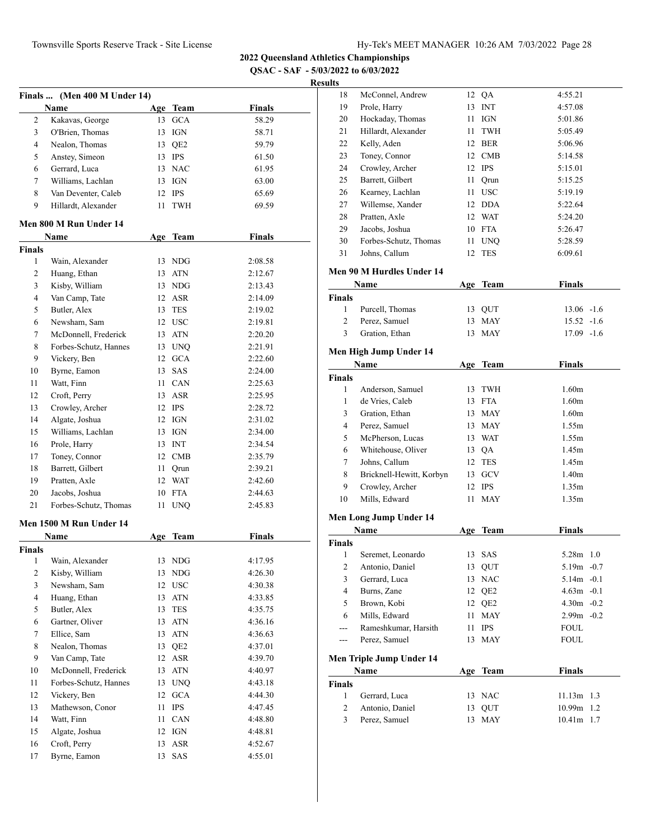**2022 Queensland Athletics Championships**

**QSAC - SAF - 5/03/2022 to 6/03/2022**

|                |                                      |      |                    | <b>QSAC - SAF - 5/03</b> |
|----------------|--------------------------------------|------|--------------------|--------------------------|
|                |                                      |      |                    | Rest                     |
|                | Finals  (Men 400 M Under 14)<br>Name |      |                    | <b>Finals</b>            |
| 2              | Kakavas, George                      |      | Age Team<br>13 GCA | 58.29                    |
| 3              | O'Brien, Thomas                      |      | 13 IGN             | 58.71                    |
| 4              | Nealon, Thomas                       |      | 13 QE2             | 59.79                    |
| 5              | Anstey, Simeon                       |      | 13 IPS             | 61.50                    |
| 6              | Gerrard, Luca                        |      | 13 NAC             | 61.95                    |
|                |                                      |      |                    |                          |
| 7              | Williams, Lachlan                    |      | 13 IGN             | 63.00                    |
| 8              | Van Deventer, Caleb                  |      | 12 IPS             | 65.69                    |
| 9              | Hillardt, Alexander                  | 11 - | <b>TWH</b>         | 69.59                    |
|                | Men 800 M Run Under 14               |      |                    |                          |
|                | Name                                 |      | Age Team           | <b>Finals</b>            |
| <b>Finals</b>  |                                      |      |                    |                          |
| 1              | Wain, Alexander                      |      | 13 NDG             | 2:08.58                  |
| 2              | Huang, Ethan                         |      | 13 ATN             | 2:12.67                  |
| 3              | Kisby, William                       |      | 13 NDG             | 2:13.43                  |
| $\overline{4}$ | Van Camp, Tate                       |      | 12 ASR             | 2:14.09                  |
| 5              | Butler, Alex                         |      | 13 TES             | 2:19.02                  |
| 6              | Newsham, Sam                         |      | 12 USC             | 2:19.81                  |
| 7              | McDonnell, Frederick                 |      | 13 ATN             | 2:20.20                  |
| 8              | Forbes-Schutz, Hannes                |      | 13 UNQ             | 2:21.91                  |
| 9              | Vickery, Ben                         |      | 12 GCA             | 2:22.60                  |
| 10             | Byrne, Eamon                         |      | 13 SAS             | 2:24.00                  |
| 11             | Watt, Finn                           |      | 11 CAN             | 2:25.63                  |
| 12             | Croft, Perry                         |      | 13 ASR             | 2:25.95                  |
| 13             | Crowley, Archer                      |      | 12 IPS             | 2:28.72                  |
| 14             | Algate, Joshua                       |      | 12 IGN             | 2:31.02                  |
| 15             | Williams, Lachlan                    |      | 13 IGN             | 2:34.00                  |
| 16             | Prole, Harry                         |      | 13 INT             | 2:34.54                  |
| 17             | Toney, Connor                        |      | 12 CMB             | 2:35.79                  |
| 18             | Barrett, Gilbert                     | 11 - | Qrun               | 2:39.21                  |
| 19             | Pratten, Axle                        |      | 12 WAT             | 2:42.60                  |
| 20             | Jacobs, Joshua                       |      | 10 FTA             | 2:44.63                  |
| 21             | Forbes-Schutz, Thomas                | 11   | <b>UNQ</b>         | 2:45.83                  |
|                | Men 1500 M Run Under 14              |      |                    |                          |
|                | Name                                 | Age  | Team               | Finals                   |
| <b>Finals</b>  |                                      |      |                    |                          |
| 1              | Wain, Alexander                      |      | 13 NDG             | 4:17.95                  |
| $\overline{2}$ | Kisby, William                       |      | 13 NDG             | 4:26.30                  |
| 3              | Newsham, Sam                         |      | 12 USC             | 4:30.38                  |
| $\overline{4}$ | Huang, Ethan                         |      | 13 ATN             | 4:33.85                  |
| 5              | Butler, Alex                         |      | 13 TES             | 4:35.75                  |
| 6              | Gartner, Oliver                      |      | 13 ATN             | 4:36.16                  |
| 7              | Ellice, Sam                          |      | 13 ATN             | 4:36.63                  |
| 8              | Nealon, Thomas                       |      | 13 QE2             | 4:37.01                  |
| 9              | Van Camp, Tate                       |      | 12 ASR             | 4:39.70                  |
| 10             | McDonnell, Frederick                 |      | 13 ATN             | 4:40.97                  |
| 11             | Forbes-Schutz, Hannes                |      | 13 UNQ             | 4:43.18                  |
| 12             | Vickery, Ben                         |      | 12 GCA             | 4:44.30                  |
| 13             | Mathewson, Conor                     |      | 11 IPS             | 4:47.45                  |
| 14             | Watt, Finn                           | 11   | CAN                | 4:48.80                  |
| 15             | Algate, Joshua                       |      | 12 IGN             | 4:48.81                  |
| 16             | Croft, Perry                         |      | 13 ASR             | 4:52.67                  |
| 17             | Byrne, Eamon                         |      | 13 SAS             | 4:55.01                  |
|                |                                      |      |                    |                          |

| ults             |                           |    |                   |                   |
|------------------|---------------------------|----|-------------------|-------------------|
| 18               | McConnel, Andrew          |    | 12 OA             | 4:55.21           |
| 19               | Prole, Harry              |    | 13 INT            | 4:57.08           |
| 20               | Hockaday, Thomas          |    | $11$ IGN          | 5:01.86           |
| 21               | Hillardt, Alexander       |    | 11 TWH            | 5:05.49           |
| 22               | Kelly, Aden               |    | 12 BER            | 5:06.96           |
| 23               | Toney, Connor             |    | 12 CMB            | 5:14.58           |
| 24               | Crowley, Archer           |    | 12 IPS            | 5:15.01           |
| 25               | Barrett, Gilbert          |    | 11 Qrun           | 5:15.25           |
| 26               | Kearney, Lachlan          |    | 11 USC            | 5:19.19           |
| 27               | Willemse, Xander          |    | 12 DDA            | 5:22.64           |
| 28               | Pratten, Axle             |    | 12 WAT            | 5:24.20           |
| 29               | Jacobs, Joshua            |    | 10 FTA            | 5:26.47           |
| 30               | Forbes-Schutz, Thomas     |    | 11 UNQ            | 5:28.59           |
| 31               | Johns, Callum             | 12 | TES               | 6:09.61           |
|                  | Men 90 M Hurdles Under 14 |    |                   |                   |
|                  | Name                      |    | Age Team          | Finals            |
| <b>Finals</b>    |                           |    |                   |                   |
| 1                | Purcell, Thomas           |    | 13 QUT            | $13.06 -1.6$      |
| $\overline{2}$   | Perez, Samuel             |    | 13 MAY            | $15.52 -1.6$      |
| 3                | Gration, Ethan            | 13 | MAY               | $17.09 - 1.6$     |
|                  |                           |    |                   |                   |
|                  | Men High Jump Under 14    |    |                   |                   |
|                  | Name                      |    | Age Team          | <b>Finals</b>     |
| <b>Finals</b>    |                           |    |                   |                   |
| 1                | Anderson, Samuel          |    | 13 TWH            | 1.60 <sub>m</sub> |
| 1                | de Vries, Caleb           |    | 13 FTA            | 1.60 <sub>m</sub> |
| 3                | Gration, Ethan            |    | 13 MAY            | 1.60 <sub>m</sub> |
| $\overline{4}$   | Perez, Samuel             |    | 13 MAY            | 1.55m             |
| 5                | McPherson, Lucas          |    | 13 WAT            | 1.55m             |
| 6                | Whitehouse, Oliver        |    | 13 QA             | 1.45m             |
| 7                | Johns, Callum             |    | 12 TES            | 1.45m             |
| 8                | Bricknell-Hewitt, Korbyn  |    | 13 GCV            | 1.40 <sub>m</sub> |
| 9                | Crowley, Archer           |    | 12 IPS            | 1.35m             |
| 10               | Mills, Edward             | 11 | <b>MAY</b>        | 1.35m             |
|                  | Men Long Jump Under 14    |    |                   |                   |
|                  | Name                      |    | Age Team          | <b>Finals</b>     |
| <b>Finals</b>    |                           |    |                   |                   |
| 1                | Seremet, Leonardo         | 13 | SAS               | 5.28m<br>1.0      |
| $\boldsymbol{2}$ | Antonio, Daniel           | 13 | QUT               | 5.19m -0.7        |
| 3                | Gerrard, Luca             | 13 | $_{\mathrm{NAC}}$ | $5.14m - 0.1$     |
| 4                | Burns, Zane               |    | 12 QE2            | $4.63m - 0.1$     |
| 5                | Brown, Kobi               |    | 12 QE2            | $4.30m - 0.2$     |
| 6                | Mills, Edward             | 11 | MAY               | $2.99m - 0.2$     |
| ---              | Rameshkumar, Harsith      | 11 | <b>IPS</b>        | FOUL              |
| $---$            | Perez, Samuel             |    | 13 MAY            | <b>FOUL</b>       |
|                  | Men Triple Jump Under 14  |    |                   |                   |
|                  | Name                      |    | Age Team          | <b>Finals</b>     |
| Finals           |                           |    |                   |                   |
| 1                | Gerrard, Luca             |    | 13 NAC            | $11.13m$ 1.3      |
| 2                | Antonio, Daniel           | 13 | QUT               | 10.99m<br>1.2     |
| 3                | Perez, Samuel             | 13 | MAY               | 10.41m 1.7        |
|                  |                           |    |                   |                   |
|                  |                           |    |                   |                   |
|                  |                           |    |                   |                   |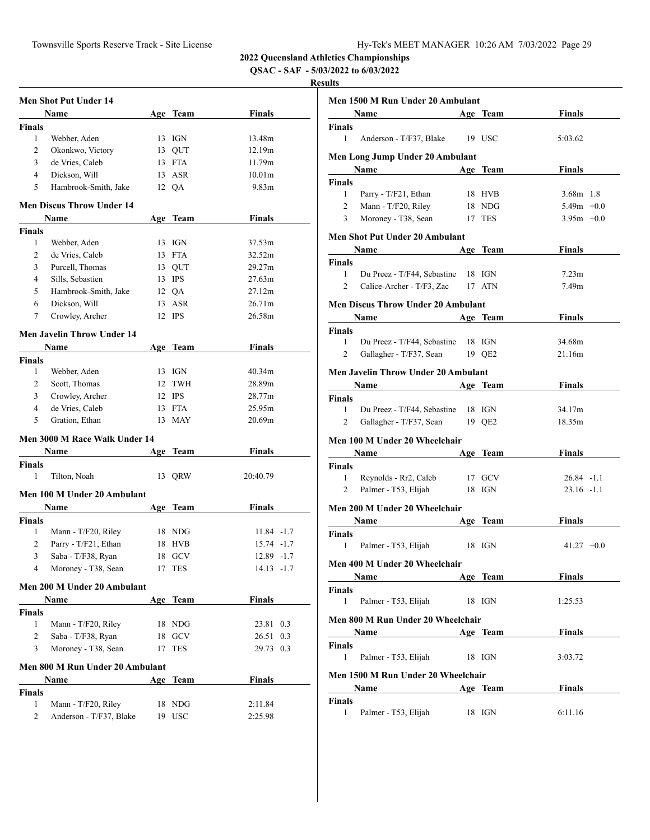**QSAC - SAF - 5/03/2022 to 6/03/2022**

|                | <b>Men Shot Put Under 14</b>      |    |            |                   |  |
|----------------|-----------------------------------|----|------------|-------------------|--|
|                | Name                              |    | Age Team   | Finals            |  |
| <b>Finals</b>  |                                   |    |            |                   |  |
| 1              | Webber, Aden                      |    | 13 IGN     | 13.48m            |  |
| $\overline{c}$ | Okonkwo, Victory                  |    | 13 QUT     | 12.19m            |  |
| 3              | de Vries, Caleb                   |    | 13 FTA     | 11.79m            |  |
| $\overline{4}$ | Dickson, Will                     |    | 13 ASR     | 10.01m            |  |
| 5              | Hambrook-Smith, Jake              |    | 12 QA      | 9.83 <sub>m</sub> |  |
|                | Men Discus Throw Under 14         |    |            |                   |  |
|                | Name                              |    | Age Team   | <b>Finals</b>     |  |
| <b>Finals</b>  |                                   |    |            |                   |  |
| 1              | Webber, Aden                      |    | 13 IGN     | 37.53m            |  |
| 2              | de Vries, Caleb                   |    | 13 FTA     | 32.52m            |  |
| 3              | Purcell, Thomas                   |    | 13 QUT     | 29.27m            |  |
| 4              | Sills, Sebastien                  |    | 13 IPS     | 27.63m            |  |
| 5              | Hambrook-Smith, Jake              |    | 12 QA      | 27.12m            |  |
| 6              | Dickson, Will                     |    | 13 ASR     | 26.71m            |  |
| 7              | Crowley, Archer                   |    | 12 IPS     | 26.58m            |  |
|                | <b>Men Javelin Throw Under 14</b> |    |            |                   |  |
|                | Name                              |    | Age Team   | Finals            |  |
| Finals         |                                   |    |            |                   |  |
| 1              | Webber, Aden                      |    | 13 IGN     | 40.34m            |  |
| 2              | Scott, Thomas                     |    | 12 TWH     | 28.89m            |  |
| 3              | Crowley, Archer                   |    | 12 IPS     | 28.77m            |  |
| 4              | de Vries, Caleb                   |    | 13 FTA     | 25.95m            |  |
| 5              | Gration, Ethan                    |    | 13 MAY     | 20.69m            |  |
|                | Men 3000 M Race Walk Under 14     |    |            |                   |  |
|                | Name                              |    | Age Team   | Finals            |  |
| Finals         |                                   |    |            |                   |  |
| 1              | Tilton, Noah                      | 13 | QRW        | 20:40.79          |  |
|                | Men 100 M Under 20 Ambulant       |    |            |                   |  |
|                | Name                              |    | Age Team   | <b>Finals</b>     |  |
| <b>Finals</b>  |                                   |    |            |                   |  |
| 1              | Mann - T/F20, Riley               |    | 18 NDG     | $11.84 - 1.7$     |  |
| 2              | Parry - T/F21, Ethan              |    | 18 HVB     | 15.74 -1.7        |  |
| 3              | Saba - T/F38, Ryan                |    | 18 GCV     | 12.89 -1.7        |  |
| 4              | Moroney - T38, Sean               | 17 | <b>TES</b> | 14.13 -1.7        |  |
|                | Men 200 M Under 20 Ambulant       |    |            |                   |  |
|                | Name                              |    | Age Team   | Finals            |  |
| <b>Finals</b>  |                                   |    |            |                   |  |
| $\mathbf{1}$   | Mann - T/F20, Riley               |    | 18 NDG     | 23.81 0.3         |  |
| 2              | Saba - T/F38, Ryan                |    | 18 GCV     | 26.51 0.3         |  |
| 3              | Moroney - T38, Sean               |    | 17 TES     | 29.73 0.3         |  |
|                | Men 800 M Run Under 20 Ambulant   |    |            |                   |  |
|                | Name                              |    | Age Team   | <b>Finals</b>     |  |
| <b>Finals</b>  |                                   |    |            |                   |  |
| 1              | Mann - T/F20, Riley               |    | 18 NDG     | 2:11.84           |  |
| 2              | Anderson - T/F37, Blake           | 19 | <b>USC</b> | 2:25.98           |  |
|                |                                   |    |            |                   |  |

|                            | Men 1500 M Run Under 20 Ambulant          |          |                   |  |
|----------------------------|-------------------------------------------|----------|-------------------|--|
|                            | Name                                      | Age Team | Finals            |  |
| Finals                     |                                           |          |                   |  |
| $\mathbf{1}$               | Anderson - T/F37, Blake                   | 19 USC   | 5:03.62           |  |
|                            | Men Long Jump Under 20 Ambulant           |          |                   |  |
|                            | Name                                      | Age Team | Finals            |  |
| Finals                     |                                           |          |                   |  |
| 1                          | Parry - T/F21, Ethan                      | 18 HVB   | $3.68m$ 1.8       |  |
| 2                          | Mann - T/F20, Riley                       | 18 NDG   | $5.49m + 0.0$     |  |
| 3                          | Moroney - T38, Sean                       | 17 TES   | $3.95m +0.0$      |  |
|                            | <b>Men Shot Put Under 20 Ambulant</b>     |          |                   |  |
|                            | Name                                      | Age Team | <b>Finals</b>     |  |
| <b>Finals</b>              |                                           |          |                   |  |
| $\mathbf{1}$               | Du Preez - T/F44, Sebastine               | 18 IGN   | 7.23 <sub>m</sub> |  |
| $\overline{2}$             | Calice-Archer - T/F3, Zac                 | 17 ATN   | 7.49 <sub>m</sub> |  |
|                            | <b>Men Discus Throw Under 20 Ambulant</b> |          |                   |  |
|                            | <b>Name</b>                               | Age Team | Finals            |  |
| Finals                     |                                           |          |                   |  |
| 1                          | Du Preez - T/F44, Sebastine               | 18 IGN   | 34.68m            |  |
| $\overline{c}$             | Gallagher - T/F37, Sean                   | 19 QE2   | 21.16m            |  |
|                            | Men Javelin Throw Under 20 Ambulant       |          |                   |  |
|                            | N <u>ame</u>                              | Age Team | Finals            |  |
| Finals                     |                                           |          |                   |  |
| 1                          | Du Preez - T/F44, Sebastine               | 18 IGN   | 34.17m            |  |
| 2                          | Gallagher - T/F37, Sean                   | 19 QE2   | 18.35m            |  |
|                            | Men 100 M Under 20 Wheelchair             |          |                   |  |
|                            | Name                                      |          | <b>Finals</b>     |  |
|                            |                                           | Age Team |                   |  |
| <b>Finals</b><br>1         | Reynolds - Rr2, Caleb                     | 17 GCV   | $26.84 -1.1$      |  |
| 2                          | Palmer - T53, Elijah                      | 18 IGN   | $23.16 - 1.1$     |  |
|                            |                                           |          |                   |  |
|                            | Men 200 M Under 20 Wheelchair             |          |                   |  |
|                            | Name                                      | Age Team | <b>Finals</b>     |  |
| Finals                     |                                           |          |                   |  |
| 1                          | Palmer - T53, Elijah                      | 18 IGN   | $41.27 +0.0$      |  |
|                            | Men 400 M Under 20 Wheelchair             |          |                   |  |
|                            | Name                                      | Age Team | <b>Finals</b>     |  |
| <b>Finals</b>              |                                           |          |                   |  |
| 1                          | Palmer - T53, Elijah                      | 18 IGN   | 1:25.53           |  |
|                            | Men 800 M Run Under 20 Wheelchair         |          |                   |  |
|                            | Name                                      | Age Team | Finals            |  |
| Finals                     |                                           |          |                   |  |
| $\mathbf{1}$               | Palmer - T53, Elijah                      | 18 IGN   | 3:03.72           |  |
|                            |                                           |          |                   |  |
|                            | Men 1500 M Run Under 20 Wheelchair        |          |                   |  |
|                            | Name                                      | Age Team | <b>Finals</b>     |  |
| <b>Finals</b><br>$1 \quad$ | Palmer - T53, Elijah 18 IGN               |          | 6:11.16           |  |
|                            |                                           |          |                   |  |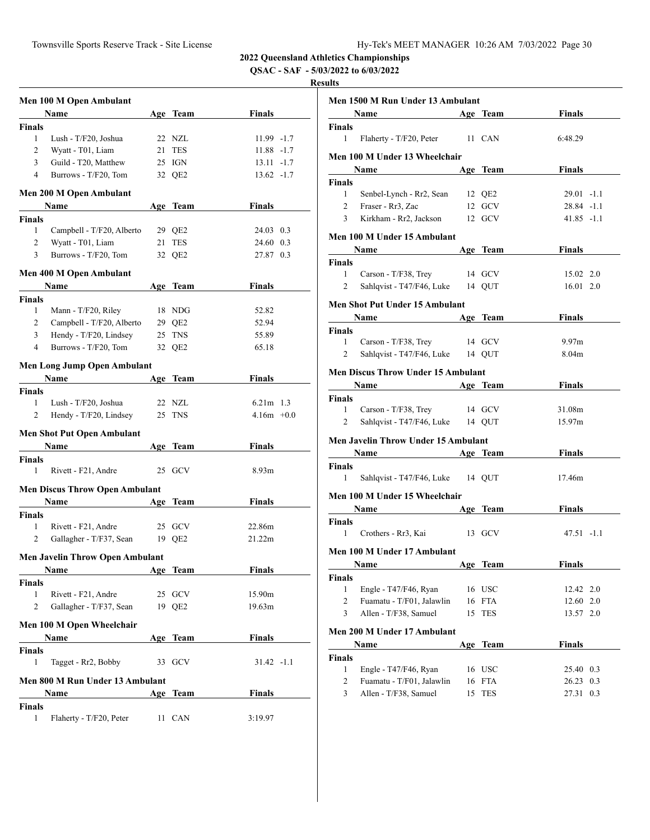**QSAC - SAF - 5/03/2022 to 6/03/2022**

|                | Men 100 M Open Ambulant                |            |            |                   |  |
|----------------|----------------------------------------|------------|------------|-------------------|--|
|                | Name                                   |            | Age Team   | <b>Finals</b>     |  |
| <b>Finals</b>  |                                        |            |            |                   |  |
| $\mathbf{1}$   | Lush - T/F20, Joshua                   |            | 22 NZL     | 11.99 -1.7        |  |
| 2              | Wyatt - T01, Liam                      | 21         | <b>TES</b> | $11.88 - 1.7$     |  |
| 3              | Guild - T20, Matthew                   |            | 25 IGN     | $13.11 - 1.7$     |  |
| $\overline{4}$ | Burrows - T/F20, Tom                   |            | 32 QE2     | $13.62 -1.7$      |  |
|                |                                        |            |            |                   |  |
|                | Men 200 M Open Ambulant                |            |            |                   |  |
|                | Name                                   |            | Age Team   | Finals            |  |
| <b>Finals</b>  |                                        |            |            |                   |  |
| 1              | Campbell - T/F20, Alberto              |            | 29 QE2     | 24.03 0.3         |  |
| $\overline{2}$ | Wyatt - T01, Liam                      |            | 21 TES     | 24.60 0.3         |  |
| 3              | Burrows - T/F20, Tom                   |            | 32 QE2     | 27.87 0.3         |  |
|                | Men 400 M Open Ambulant                |            |            |                   |  |
|                | Name                                   |            | Age Team   | Finals            |  |
| <b>Finals</b>  |                                        |            |            |                   |  |
| $\mathbf{1}$   | Mann - T/F20, Riley                    |            | 18 NDG     | 52.82             |  |
| $\overline{2}$ | Campbell - T/F20, Alberto              |            | 29 QE2     | 52.94             |  |
| 3              | Hendy - T/F20, Lindsey                 |            | 25 TNS     | 55.89             |  |
| 4              | Burrows - T/F20, Tom                   |            | 32 QE2     | 65.18             |  |
|                |                                        |            |            |                   |  |
|                | Men Long Jump Open Ambulant            |            |            |                   |  |
|                | <b>Name</b>                            |            | Age Team   | Finals            |  |
| <b>Finals</b>  |                                        |            |            |                   |  |
| 1              | Lush - T/F20, Joshua                   |            | 22 NZL     | $6.21m$ 1.3       |  |
| $\overline{c}$ | Hendy - T/F20, Lindsey                 |            | 25 TNS     | $4.16m + 0.0$     |  |
|                | <b>Men Shot Put Open Ambulant</b>      |            |            |                   |  |
|                | Name                                   |            | Age Team   | Finals            |  |
| <b>Finals</b>  |                                        |            |            |                   |  |
| 1              | Rivett - F21, Andre                    |            | 25 GCV     | 8.93 <sub>m</sub> |  |
|                |                                        |            |            |                   |  |
|                | <b>Men Discus Throw Open Ambulant</b>  |            |            |                   |  |
|                | Name                                   |            | Age Team   | Finals            |  |
| <b>Finals</b>  |                                        |            |            |                   |  |
| 1              | Rivett - F21, Andre                    |            | 25 GCV     | 22.86m            |  |
| 2              | Gallagher - T/F37, Sean                |            | 19 QE2     | 21.22m            |  |
|                | <b>Men Javelin Throw Open Ambulant</b> |            |            |                   |  |
|                | <u>Name</u>                            | <u>Age</u> | Team       | Finals            |  |
| <b>Finals</b>  |                                        |            |            |                   |  |
| 1              | Rivett - F21, Andre                    |            | 25 GCV     | 15.90m            |  |
| 2              | Gallagher - T/F37, Sean                |            | 19 QE2     | 19.63m            |  |
|                |                                        |            |            |                   |  |
|                | Men 100 M Open Wheelchair              |            |            |                   |  |
|                | Name                                   |            | Age Team   | <b>Finals</b>     |  |
| <b>Finals</b>  |                                        |            |            |                   |  |
| 1              | Tagget - Rr2, Bobby                    |            | 33 GCV     | $31.42 -1.1$      |  |
|                | Men 800 M Run Under 13 Ambulant        |            |            |                   |  |
|                | Name                                   |            | Age Team   | <b>Finals</b>     |  |
| <b>Finals</b>  |                                        |            |            |                   |  |
| 1              | Flaherty - T/F20, Peter                |            | 11 CAN     | 3:19.97           |  |
|                |                                        |            |            |                   |  |

|                | Men 1500 M Run Under 13 Ambulant                                                                                                                                                                                              |        |            |               |     |
|----------------|-------------------------------------------------------------------------------------------------------------------------------------------------------------------------------------------------------------------------------|--------|------------|---------------|-----|
|                | Name                                                                                                                                                                                                                          |        | Age Team   | <b>Finals</b> |     |
| Finals         |                                                                                                                                                                                                                               |        |            |               |     |
| 1              | Flaherty - T/F20, Peter 11 CAN                                                                                                                                                                                                |        |            | 6:48.29       |     |
|                | Men 100 M Under 13 Wheelchair                                                                                                                                                                                                 |        |            |               |     |
|                |                                                                                                                                                                                                                               |        | Age Team   | <b>Finals</b> |     |
| Finals         |                                                                                                                                                                                                                               |        |            |               |     |
| 1              | Senbel-Lynch - Rr2, Sean 12 QE2                                                                                                                                                                                               |        |            | $29.01 -1.1$  |     |
| $\overline{c}$ | Fraser - Rr3, Zac                                                                                                                                                                                                             |        | 12 GCV     | 28.84 -1.1    |     |
| 3              | Kirkham - Rr2, Jackson                                                                                                                                                                                                        |        | 12 GCV     | $41.85 -1.1$  |     |
|                | Men 100 M Under 15 Ambulant                                                                                                                                                                                                   |        |            |               |     |
|                | <b>Name</b>                                                                                                                                                                                                                   |        | Age Team   | Finals        |     |
| Finals         |                                                                                                                                                                                                                               |        |            |               |     |
| 1              | Carson - T/F38, Trey 14 GCV                                                                                                                                                                                                   |        |            | 15.02 2.0     |     |
| 2              | Sahlqvist - T47/F46, Luke 14 QUT                                                                                                                                                                                              |        |            | 16.01 2.0     |     |
|                | Men Shot Put Under 15 Ambulant                                                                                                                                                                                                |        |            |               |     |
|                | Name Age Team                                                                                                                                                                                                                 |        |            | <b>Finals</b> |     |
| Finals         |                                                                                                                                                                                                                               |        |            |               |     |
| 1              | Carson - T/F38, Trey                                                                                                                                                                                                          | 14 GCV |            | 9.97m         |     |
| 2              | Sahlqvist - T47/F46, Luke 14 QUT                                                                                                                                                                                              |        |            | 8.04m         |     |
|                |                                                                                                                                                                                                                               |        |            |               |     |
|                | <b>Men Discus Throw Under 15 Ambulant</b>                                                                                                                                                                                     |        |            |               |     |
|                | Name Manual Manual Manual Manual Manual Manual Manual Manual Manual Manual Manual Manual Manual Manual Manual Manual Manual Manual Manual Manual Manual Manual Manual Manual Manual Manual Manual Manual Manual Manual Manual |        | Age Team   | <b>Finals</b> |     |
| Finals         |                                                                                                                                                                                                                               |        |            |               |     |
| 1              | Carson - T/F38, Trey 14 GCV                                                                                                                                                                                                   |        |            | 31.08m        |     |
| 2              | Sahlqvist - T47/F46, Luke 14 QUT                                                                                                                                                                                              |        |            | 15.97m        |     |
|                | Men Javelin Throw Under 15 Ambulant                                                                                                                                                                                           |        |            |               |     |
|                | Name Age Team                                                                                                                                                                                                                 |        |            | <b>Finals</b> |     |
| Finals         |                                                                                                                                                                                                                               |        |            |               |     |
| 1              | Sahlqvist - T47/F46, Luke 14 QUT                                                                                                                                                                                              |        |            | 17.46m        |     |
|                | Men 100 M Under 15 Wheelchair                                                                                                                                                                                                 |        |            |               |     |
|                | Name Age Team                                                                                                                                                                                                                 |        |            | <b>Finals</b> |     |
| Finals         |                                                                                                                                                                                                                               |        |            |               |     |
| 1              | Crothers - Rr3, Kai 13 GCV                                                                                                                                                                                                    |        |            | $47.51 - 1.1$ |     |
|                | Men 100 M Under 17 Ambulant                                                                                                                                                                                                   |        |            |               |     |
|                | Name Age Team                                                                                                                                                                                                                 |        |            | Finals        |     |
| Finals         |                                                                                                                                                                                                                               |        |            |               |     |
| 1              | Engle - T47/F46, Ryan                                                                                                                                                                                                         |        | 16 USC     | 12.42 2.0     |     |
| $\overline{2}$ | Fuamatu - T/F01, Jalawlin                                                                                                                                                                                                     | 16     | <b>FTA</b> | 12.60 2.0     |     |
| 3              | Allen - T/F38, Samuel                                                                                                                                                                                                         | 15     | TES        | 13.57 2.0     |     |
|                |                                                                                                                                                                                                                               |        |            |               |     |
|                | Men 200 M Under 17 Ambulant                                                                                                                                                                                                   |        |            |               |     |
|                | Name                                                                                                                                                                                                                          | Age    | Team       | <b>Finals</b> |     |
| Finals         |                                                                                                                                                                                                                               |        |            |               |     |
| $\mathbf{1}$   | Engle - T47/F46, Ryan                                                                                                                                                                                                         |        | 16 USC     | 25.40 0.3     |     |
| $\overline{c}$ | Fuamatu - T/F01, Jalawlin                                                                                                                                                                                                     | 16     | FTA        | 26.23         | 0.3 |
| 3              | Allen - T/F38, Samuel                                                                                                                                                                                                         | 15     | <b>TES</b> | 27.31         | 0.3 |